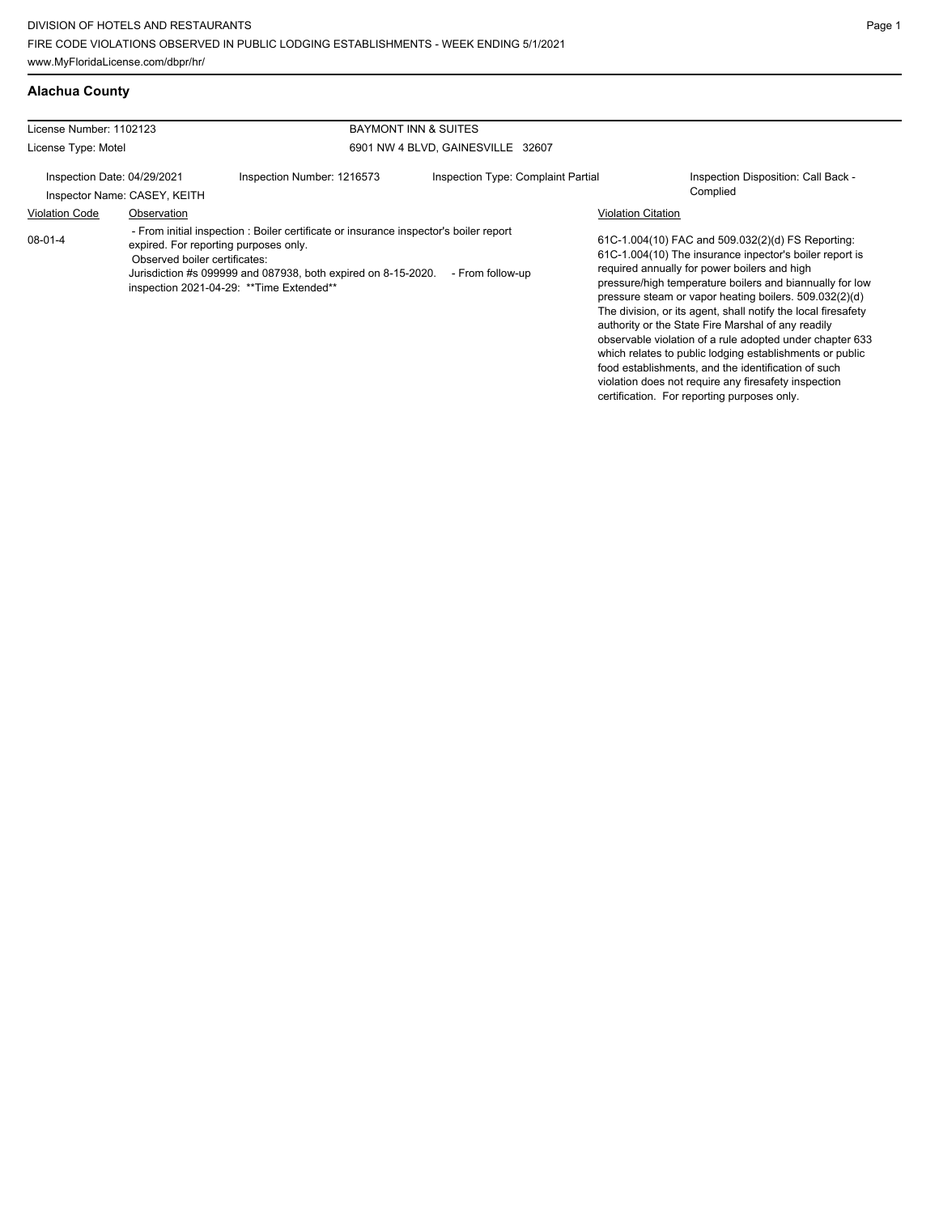# **Alachua County**

| License Number: 1102123 |                                                             | BAYMONT INN & SUITES                                                                                                                                                                                                                         |                                    |                           |                                                                                                                                                                                                                                                                                                                                                                                                                                                                                                                                   |  |
|-------------------------|-------------------------------------------------------------|----------------------------------------------------------------------------------------------------------------------------------------------------------------------------------------------------------------------------------------------|------------------------------------|---------------------------|-----------------------------------------------------------------------------------------------------------------------------------------------------------------------------------------------------------------------------------------------------------------------------------------------------------------------------------------------------------------------------------------------------------------------------------------------------------------------------------------------------------------------------------|--|
| License Type: Motel     |                                                             |                                                                                                                                                                                                                                              | 6901 NW 4 BLVD, GAINESVILLE 32607  |                           |                                                                                                                                                                                                                                                                                                                                                                                                                                                                                                                                   |  |
|                         | Inspection Date: 04/29/2021<br>Inspector Name: CASEY, KEITH | Inspection Number: 1216573                                                                                                                                                                                                                   | Inspection Type: Complaint Partial |                           | Inspection Disposition: Call Back -<br>Complied                                                                                                                                                                                                                                                                                                                                                                                                                                                                                   |  |
| <b>Violation Code</b>   | Observation                                                 |                                                                                                                                                                                                                                              |                                    | <b>Violation Citation</b> |                                                                                                                                                                                                                                                                                                                                                                                                                                                                                                                                   |  |
| $08-01-4$               | Observed boiler certificates:                               | - From initial inspection : Boiler certificate or insurance inspector's boiler report<br>expired. For reporting purposes only.<br>Jurisdiction #s 099999 and 087938, both expired on 8-15-2020.<br>inspection 2021-04-29: ** Time Extended** | - From follow-up                   |                           | 61C-1.004(10) FAC and 509.032(2)(d) FS Reporting:<br>61C-1.004(10) The insurance inpector's boiler report is<br>required annually for power boilers and high<br>pressure/high temperature boilers and biannually for low<br>pressure steam or vapor heating boilers. 509.032(2)(d)<br>The division, or its agent, shall notify the local firesafety<br>authority or the State Fire Marshal of any readily<br>observable violation of a rule adopted under chapter 633<br>which relates to public lodging establishments or public |  |

food establishments, and the identification of such violation does not require any firesafety inspection certification. For reporting purposes only.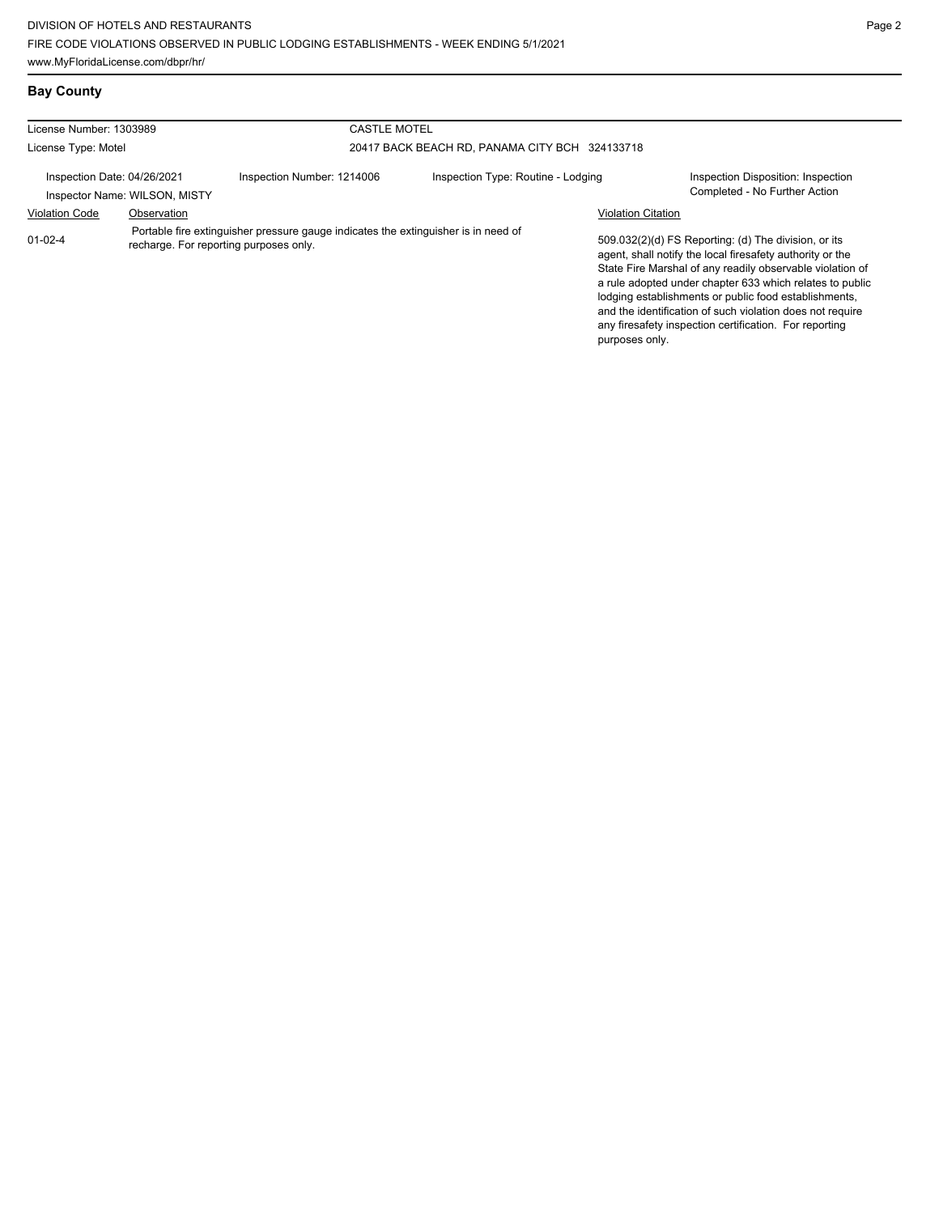# **Bay County**

| License Number: 1303989                                      |             | <b>CASTLE MOTEL</b>                                                                                                          |                                    |                                                                                                                                                                                                                                                                                                                                                                                                                            |
|--------------------------------------------------------------|-------------|------------------------------------------------------------------------------------------------------------------------------|------------------------------------|----------------------------------------------------------------------------------------------------------------------------------------------------------------------------------------------------------------------------------------------------------------------------------------------------------------------------------------------------------------------------------------------------------------------------|
| License Type: Motel                                          |             | 20417 BACK BEACH RD, PANAMA CITY BCH 324133718                                                                               |                                    |                                                                                                                                                                                                                                                                                                                                                                                                                            |
| Inspection Date: 04/26/2021<br>Inspector Name: WILSON, MISTY |             | Inspection Number: 1214006                                                                                                   | Inspection Type: Routine - Lodging | Inspection Disposition: Inspection<br>Completed - No Further Action                                                                                                                                                                                                                                                                                                                                                        |
| <b>Violation Code</b>                                        | Observation |                                                                                                                              |                                    | <b>Violation Citation</b>                                                                                                                                                                                                                                                                                                                                                                                                  |
| $01 - 02 - 4$                                                |             | Portable fire extinguisher pressure gauge indicates the extinguisher is in need of<br>recharge. For reporting purposes only. |                                    | 509.032(2)(d) FS Reporting: (d) The division, or its<br>agent, shall notify the local firesafety authority or the<br>State Fire Marshal of any readily observable violation of<br>a rule adopted under chapter 633 which relates to public<br>lodging establishments or public food establishments,<br>and the identification of such violation does not require<br>any firesafety inspection certification. For reporting |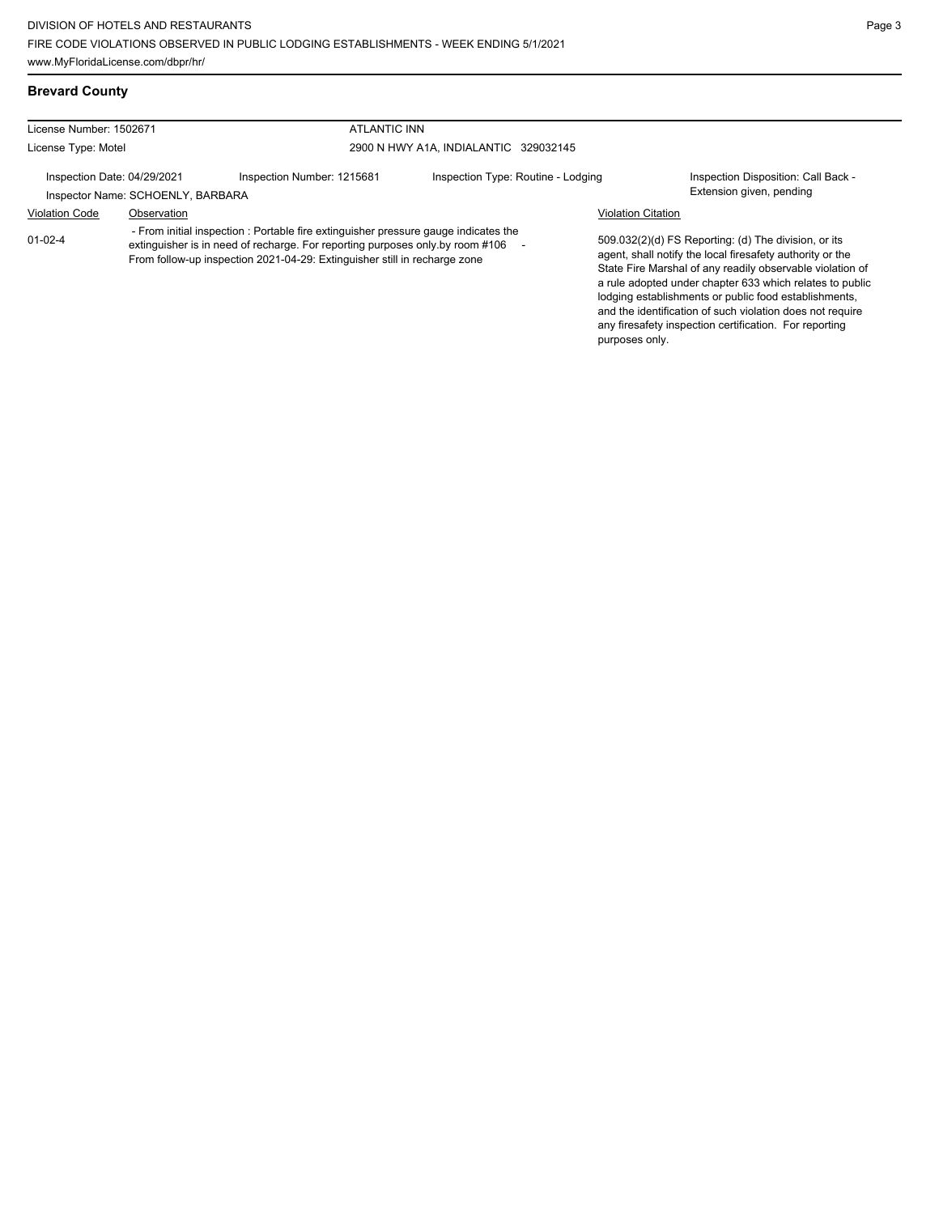# **Brevard County**

| License Number: 1502671     |                                   | <b>ATLANTIC INN</b>                                                                                                                                                                                                                                 |                                       |                           |                                                                                                                                                                                                                                                                                                                                                                                                                            |
|-----------------------------|-----------------------------------|-----------------------------------------------------------------------------------------------------------------------------------------------------------------------------------------------------------------------------------------------------|---------------------------------------|---------------------------|----------------------------------------------------------------------------------------------------------------------------------------------------------------------------------------------------------------------------------------------------------------------------------------------------------------------------------------------------------------------------------------------------------------------------|
| License Type: Motel         |                                   |                                                                                                                                                                                                                                                     | 2900 N HWY A1A, INDIALANTIC 329032145 |                           |                                                                                                                                                                                                                                                                                                                                                                                                                            |
| Inspection Date: 04/29/2021 | Inspector Name: SCHOENLY, BARBARA | Inspection Number: 1215681                                                                                                                                                                                                                          | Inspection Type: Routine - Lodging    |                           | Inspection Disposition: Call Back -<br>Extension given, pending                                                                                                                                                                                                                                                                                                                                                            |
| <b>Violation Code</b>       | Observation                       |                                                                                                                                                                                                                                                     |                                       | <b>Violation Citation</b> |                                                                                                                                                                                                                                                                                                                                                                                                                            |
| $01 - 02 - 4$               |                                   | - From initial inspection : Portable fire extinguisher pressure gauge indicates the<br>extinguisher is in need of recharge. For reporting purposes only by room #106 -<br>From follow-up inspection 2021-04-29: Extinguisher still in recharge zone |                                       |                           | 509.032(2)(d) FS Reporting: (d) The division, or its<br>agent, shall notify the local firesafety authority or the<br>State Fire Marshal of any readily observable violation of<br>a rule adopted under chapter 633 which relates to public<br>lodging establishments or public food establishments,<br>and the identification of such violation does not require<br>any firesafety inspection certification. For reporting |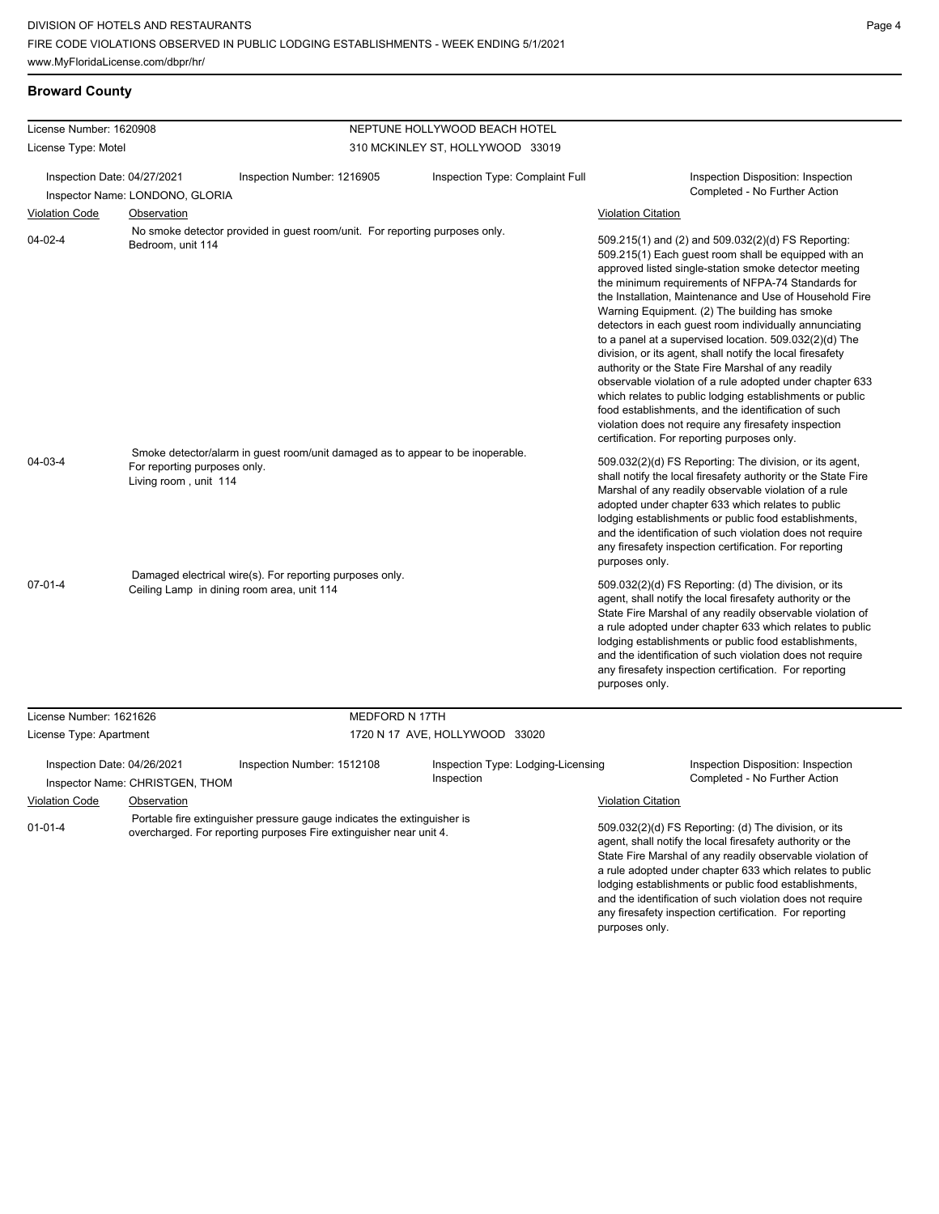and the identification of such violation does not require any firesafety inspection certification. For reporting

purposes only.

# **Broward County**

| License Number: 1620908     |                                                       |                                                                                                                                               | NEPTUNE HOLLYWOOD BEACH HOTEL                    |                           |                                                                                                                                                                                                                                                                                                                                                                                                                                                                                                                                                                                                                                                                                                                                                                                                                                                                   |
|-----------------------------|-------------------------------------------------------|-----------------------------------------------------------------------------------------------------------------------------------------------|--------------------------------------------------|---------------------------|-------------------------------------------------------------------------------------------------------------------------------------------------------------------------------------------------------------------------------------------------------------------------------------------------------------------------------------------------------------------------------------------------------------------------------------------------------------------------------------------------------------------------------------------------------------------------------------------------------------------------------------------------------------------------------------------------------------------------------------------------------------------------------------------------------------------------------------------------------------------|
| License Type: Motel         |                                                       |                                                                                                                                               | 310 MCKINLEY ST, HOLLYWOOD 33019                 |                           |                                                                                                                                                                                                                                                                                                                                                                                                                                                                                                                                                                                                                                                                                                                                                                                                                                                                   |
| Inspection Date: 04/27/2021 | Inspector Name: LONDONO, GLORIA                       | Inspection Number: 1216905                                                                                                                    | Inspection Type: Complaint Full                  |                           | Inspection Disposition: Inspection<br>Completed - No Further Action                                                                                                                                                                                                                                                                                                                                                                                                                                                                                                                                                                                                                                                                                                                                                                                               |
| <b>Violation Code</b>       | Observation                                           |                                                                                                                                               |                                                  | <b>Violation Citation</b> |                                                                                                                                                                                                                                                                                                                                                                                                                                                                                                                                                                                                                                                                                                                                                                                                                                                                   |
| $04 - 02 - 4$               | Bedroom, unit 114                                     | No smoke detector provided in guest room/unit. For reporting purposes only.                                                                   |                                                  |                           | 509.215(1) and (2) and 509.032(2)(d) FS Reporting:<br>509.215(1) Each guest room shall be equipped with an<br>approved listed single-station smoke detector meeting<br>the minimum requirements of NFPA-74 Standards for<br>the Installation, Maintenance and Use of Household Fire<br>Warning Equipment. (2) The building has smoke<br>detectors in each guest room individually annunciating<br>to a panel at a supervised location. 509.032(2)(d) The<br>division, or its agent, shall notify the local firesafety<br>authority or the State Fire Marshal of any readily<br>observable violation of a rule adopted under chapter 633<br>which relates to public lodging establishments or public<br>food establishments, and the identification of such<br>violation does not require any firesafety inspection<br>certification. For reporting purposes only. |
| 04-03-4                     | For reporting purposes only.<br>Living room, unit 114 | Smoke detector/alarm in guest room/unit damaged as to appear to be inoperable.                                                                |                                                  | purposes only.            | 509.032(2)(d) FS Reporting: The division, or its agent,<br>shall notify the local firesafety authority or the State Fire<br>Marshal of any readily observable violation of a rule<br>adopted under chapter 633 which relates to public<br>lodging establishments or public food establishments,<br>and the identification of such violation does not require<br>any firesafety inspection certification. For reporting                                                                                                                                                                                                                                                                                                                                                                                                                                            |
| $07 - 01 - 4$               | Ceiling Lamp in dining room area, unit 114            | Damaged electrical wire(s). For reporting purposes only.                                                                                      |                                                  | purposes only.            | 509.032(2)(d) FS Reporting: (d) The division, or its<br>agent, shall notify the local firesafety authority or the<br>State Fire Marshal of any readily observable violation of<br>a rule adopted under chapter 633 which relates to public<br>lodging establishments or public food establishments,<br>and the identification of such violation does not require<br>any firesafety inspection certification. For reporting                                                                                                                                                                                                                                                                                                                                                                                                                                        |
| License Number: 1621626     |                                                       | MEDFORD N 17TH                                                                                                                                |                                                  |                           |                                                                                                                                                                                                                                                                                                                                                                                                                                                                                                                                                                                                                                                                                                                                                                                                                                                                   |
| License Type: Apartment     |                                                       |                                                                                                                                               | 1720 N 17 AVE, HOLLYWOOD 33020                   |                           |                                                                                                                                                                                                                                                                                                                                                                                                                                                                                                                                                                                                                                                                                                                                                                                                                                                                   |
| Inspection Date: 04/26/2021 | Inspector Name: CHRISTGEN, THOM                       | Inspection Number: 1512108                                                                                                                    | Inspection Type: Lodging-Licensing<br>Inspection |                           | Inspection Disposition: Inspection<br>Completed - No Further Action                                                                                                                                                                                                                                                                                                                                                                                                                                                                                                                                                                                                                                                                                                                                                                                               |
| <b>Violation Code</b>       | Observation                                           |                                                                                                                                               |                                                  | <b>Violation Citation</b> |                                                                                                                                                                                                                                                                                                                                                                                                                                                                                                                                                                                                                                                                                                                                                                                                                                                                   |
| $01 - 01 - 4$               |                                                       | Portable fire extinguisher pressure gauge indicates the extinguisher is<br>overcharged. For reporting purposes Fire extinguisher near unit 4. |                                                  |                           | 509.032(2)(d) FS Reporting: (d) The division, or its<br>agent, shall notify the local firesafety authority or the<br>State Fire Marshal of any readily observable violation of<br>a rule adopted under chapter 633 which relates to public<br>lodging establishments or public food establishments,                                                                                                                                                                                                                                                                                                                                                                                                                                                                                                                                                               |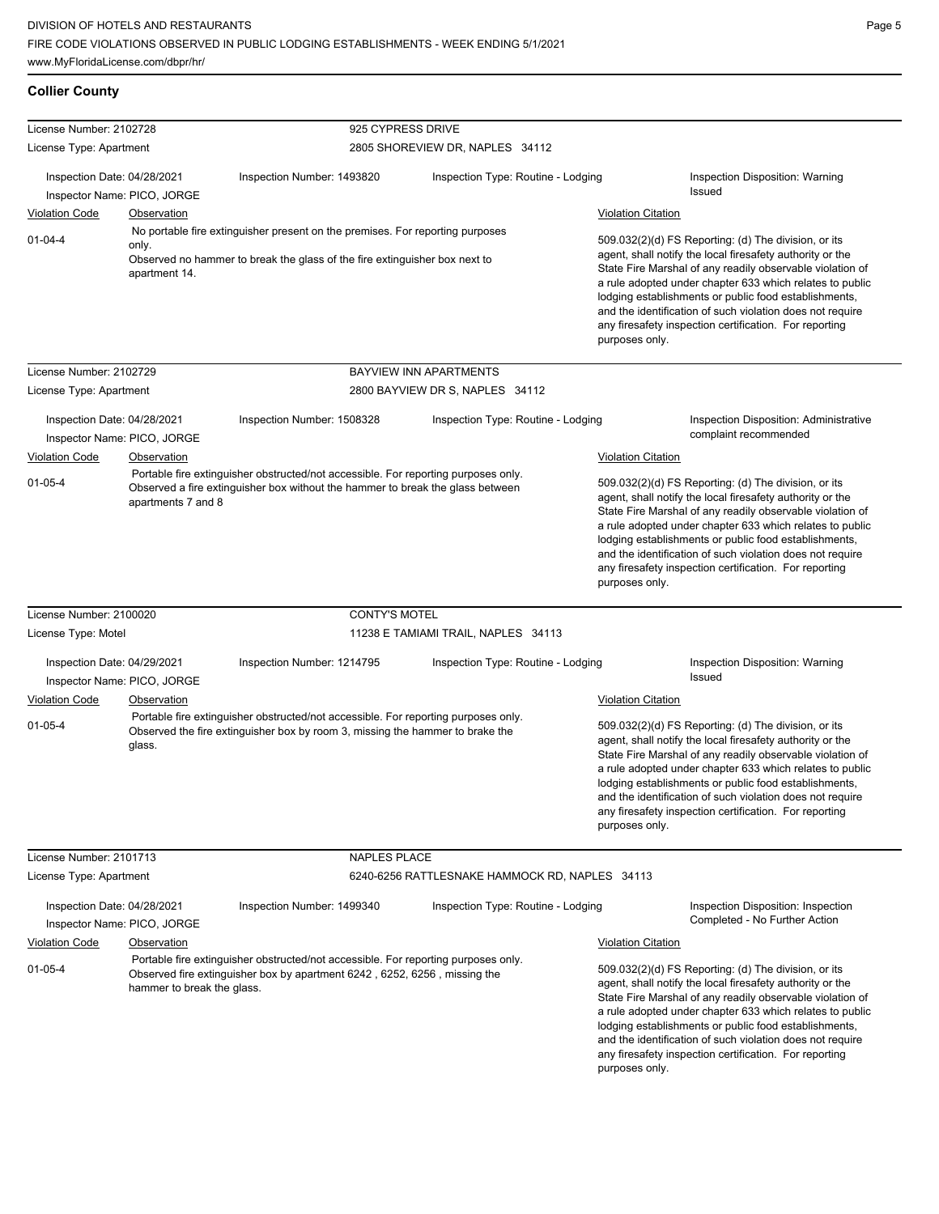# **Collier County**

|                                                    |                             | 925 CYPRESS DRIVE                                                                                                                                                    |                                                |                           |                                                                                                                                                                                                                                                                                                                                                                                                                            |
|----------------------------------------------------|-----------------------------|----------------------------------------------------------------------------------------------------------------------------------------------------------------------|------------------------------------------------|---------------------------|----------------------------------------------------------------------------------------------------------------------------------------------------------------------------------------------------------------------------------------------------------------------------------------------------------------------------------------------------------------------------------------------------------------------------|
| License Number: 2102728<br>License Type: Apartment |                             |                                                                                                                                                                      | 2805 SHOREVIEW DR, NAPLES 34112                |                           |                                                                                                                                                                                                                                                                                                                                                                                                                            |
|                                                    |                             |                                                                                                                                                                      |                                                |                           |                                                                                                                                                                                                                                                                                                                                                                                                                            |
| Inspection Date: 04/28/2021                        | Inspector Name: PICO, JORGE | Inspection Number: 1493820                                                                                                                                           | Inspection Type: Routine - Lodging             |                           | Inspection Disposition: Warning<br>Issued                                                                                                                                                                                                                                                                                                                                                                                  |
| <b>Violation Code</b>                              | <b>Observation</b>          |                                                                                                                                                                      |                                                | <b>Violation Citation</b> |                                                                                                                                                                                                                                                                                                                                                                                                                            |
| $01 - 04 - 4$<br>only.<br>apartment 14.            |                             | No portable fire extinguisher present on the premises. For reporting purposes<br>Observed no hammer to break the glass of the fire extinguisher box next to          |                                                |                           | 509.032(2)(d) FS Reporting: (d) The division, or its<br>agent, shall notify the local firesafety authority or the<br>State Fire Marshal of any readily observable violation of<br>a rule adopted under chapter 633 which relates to public<br>lodging establishments or public food establishments,<br>and the identification of such violation does not require<br>any firesafety inspection certification. For reporting |
|                                                    |                             |                                                                                                                                                                      |                                                | purposes only.            |                                                                                                                                                                                                                                                                                                                                                                                                                            |
| License Number: 2102729                            |                             |                                                                                                                                                                      | BAYVIEW INN APARTMENTS                         |                           |                                                                                                                                                                                                                                                                                                                                                                                                                            |
| License Type: Apartment                            |                             |                                                                                                                                                                      | 2800 BAYVIEW DR S, NAPLES 34112                |                           |                                                                                                                                                                                                                                                                                                                                                                                                                            |
|                                                    |                             |                                                                                                                                                                      |                                                |                           |                                                                                                                                                                                                                                                                                                                                                                                                                            |
| Inspection Date: 04/28/2021                        | Inspector Name: PICO, JORGE | Inspection Number: 1508328                                                                                                                                           | Inspection Type: Routine - Lodging             |                           | <b>Inspection Disposition: Administrative</b><br>complaint recommended                                                                                                                                                                                                                                                                                                                                                     |
| <b>Violation Code</b>                              | Observation                 |                                                                                                                                                                      |                                                | <b>Violation Citation</b> |                                                                                                                                                                                                                                                                                                                                                                                                                            |
| $01 - 05 - 4$                                      | apartments 7 and 8          | Portable fire extinguisher obstructed/not accessible. For reporting purposes only.<br>Observed a fire extinguisher box without the hammer to break the glass between |                                                | purposes only.            | 509.032(2)(d) FS Reporting: (d) The division, or its<br>agent, shall notify the local firesafety authority or the<br>State Fire Marshal of any readily observable violation of<br>a rule adopted under chapter 633 which relates to public<br>lodging establishments or public food establishments,<br>and the identification of such violation does not require<br>any firesafety inspection certification. For reporting |
| License Number: 2100020                            |                             | <b>CONTY'S MOTEL</b>                                                                                                                                                 |                                                |                           |                                                                                                                                                                                                                                                                                                                                                                                                                            |
| License Type: Motel                                |                             |                                                                                                                                                                      | 11238 E TAMIAMI TRAIL, NAPLES 34113            |                           |                                                                                                                                                                                                                                                                                                                                                                                                                            |
| Inspection Date: 04/29/2021                        | Inspector Name: PICO, JORGE | Inspection Number: 1214795<br>Inspection Type: Routine - Lodging                                                                                                     |                                                |                           | Inspection Disposition: Warning<br>Issued                                                                                                                                                                                                                                                                                                                                                                                  |
| <b>Violation Code</b>                              | <b>Observation</b>          |                                                                                                                                                                      |                                                | <b>Violation Citation</b> |                                                                                                                                                                                                                                                                                                                                                                                                                            |
| $01 - 05 - 4$                                      | glass.                      | Portable fire extinguisher obstructed/not accessible. For reporting purposes only.<br>Observed the fire extinguisher box by room 3, missing the hammer to brake the  |                                                | purposes only.            | 509.032(2)(d) FS Reporting: (d) The division, or its<br>agent, shall notify the local firesafety authority or the<br>State Fire Marshal of any readily observable violation of<br>a rule adopted under chapter 633 which relates to public<br>lodging establishments or public food establishments,<br>and the identification of such violation does not require<br>any firesafety inspection certification. For reporting |
| License Number: 2101713                            |                             | NAPLES PLACE                                                                                                                                                         |                                                |                           |                                                                                                                                                                                                                                                                                                                                                                                                                            |
| License Type: Apartment                            |                             |                                                                                                                                                                      | 6240-6256 RATTLESNAKE HAMMOCK RD, NAPLES 34113 |                           |                                                                                                                                                                                                                                                                                                                                                                                                                            |
| Inspection Date: 04/28/2021                        | Inspector Name: PICO, JORGE | Inspection Number: 1499340                                                                                                                                           | Inspection Type: Routine - Lodging             |                           | Inspection Disposition: Inspection<br>Completed - No Further Action                                                                                                                                                                                                                                                                                                                                                        |
| <b>Violation Code</b>                              | Observation                 |                                                                                                                                                                      |                                                | <b>Violation Citation</b> |                                                                                                                                                                                                                                                                                                                                                                                                                            |
| $01 - 05 - 4$                                      | hammer to break the glass.  | Portable fire extinguisher obstructed/not accessible. For reporting purposes only.<br>Observed fire extinguisher box by apartment 6242, 6252, 6256, missing the      |                                                | purposes only.            | 509.032(2)(d) FS Reporting: (d) The division, or its<br>agent, shall notify the local firesafety authority or the<br>State Fire Marshal of any readily observable violation of<br>a rule adopted under chapter 633 which relates to public<br>lodging establishments or public food establishments,<br>and the identification of such violation does not require<br>any firesafety inspection certification. For reporting |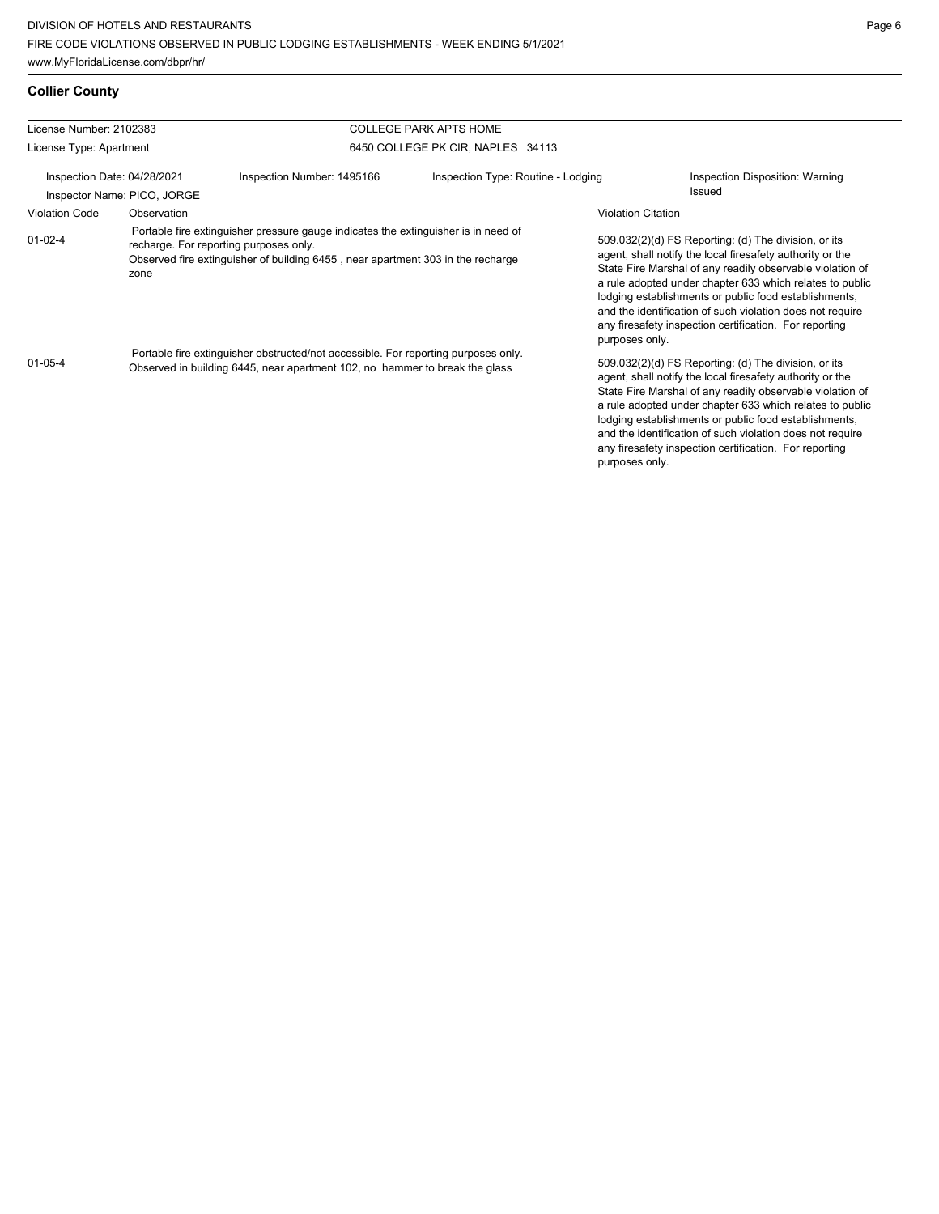# **Collier County**

| License Number: 2102383 |                             |                                                                                                                                                                                                                 | <b>COLLEGE PARK APTS HOME</b>      |                           |                                                                                                                                                                                                                                                                                                                                                                                                                            |
|-------------------------|-----------------------------|-----------------------------------------------------------------------------------------------------------------------------------------------------------------------------------------------------------------|------------------------------------|---------------------------|----------------------------------------------------------------------------------------------------------------------------------------------------------------------------------------------------------------------------------------------------------------------------------------------------------------------------------------------------------------------------------------------------------------------------|
| License Type: Apartment |                             |                                                                                                                                                                                                                 | 6450 COLLEGE PK CIR, NAPLES 34113  |                           |                                                                                                                                                                                                                                                                                                                                                                                                                            |
|                         | Inspection Date: 04/28/2021 | Inspection Number: 1495166                                                                                                                                                                                      | Inspection Type: Routine - Lodging |                           | Inspection Disposition: Warning                                                                                                                                                                                                                                                                                                                                                                                            |
|                         | Inspector Name: PICO, JORGE |                                                                                                                                                                                                                 |                                    |                           | Issued                                                                                                                                                                                                                                                                                                                                                                                                                     |
| <b>Violation Code</b>   | Observation                 |                                                                                                                                                                                                                 |                                    | <b>Violation Citation</b> |                                                                                                                                                                                                                                                                                                                                                                                                                            |
| $01-02-4$               | zone                        | Portable fire extinguisher pressure gauge indicates the extinguisher is in need of<br>recharge. For reporting purposes only.<br>Observed fire extinguisher of building 6455, near apartment 303 in the recharge |                                    | purposes only.            | 509.032(2)(d) FS Reporting: (d) The division, or its<br>agent, shall notify the local firesafety authority or the<br>State Fire Marshal of any readily observable violation of<br>a rule adopted under chapter 633 which relates to public<br>lodging establishments or public food establishments,<br>and the identification of such violation does not require<br>any firesafety inspection certification. For reporting |
| $01 - 05 - 4$           |                             | Portable fire extinguisher obstructed/not accessible. For reporting purposes only.<br>Observed in building 6445, near apartment 102, no hammer to break the glass                                               |                                    | purposes only.            | 509.032(2)(d) FS Reporting: (d) The division, or its<br>agent, shall notify the local firesafety authority or the<br>State Fire Marshal of any readily observable violation of<br>a rule adopted under chapter 633 which relates to public<br>lodging establishments or public food establishments,<br>and the identification of such violation does not require<br>any firesafety inspection certification. For reporting |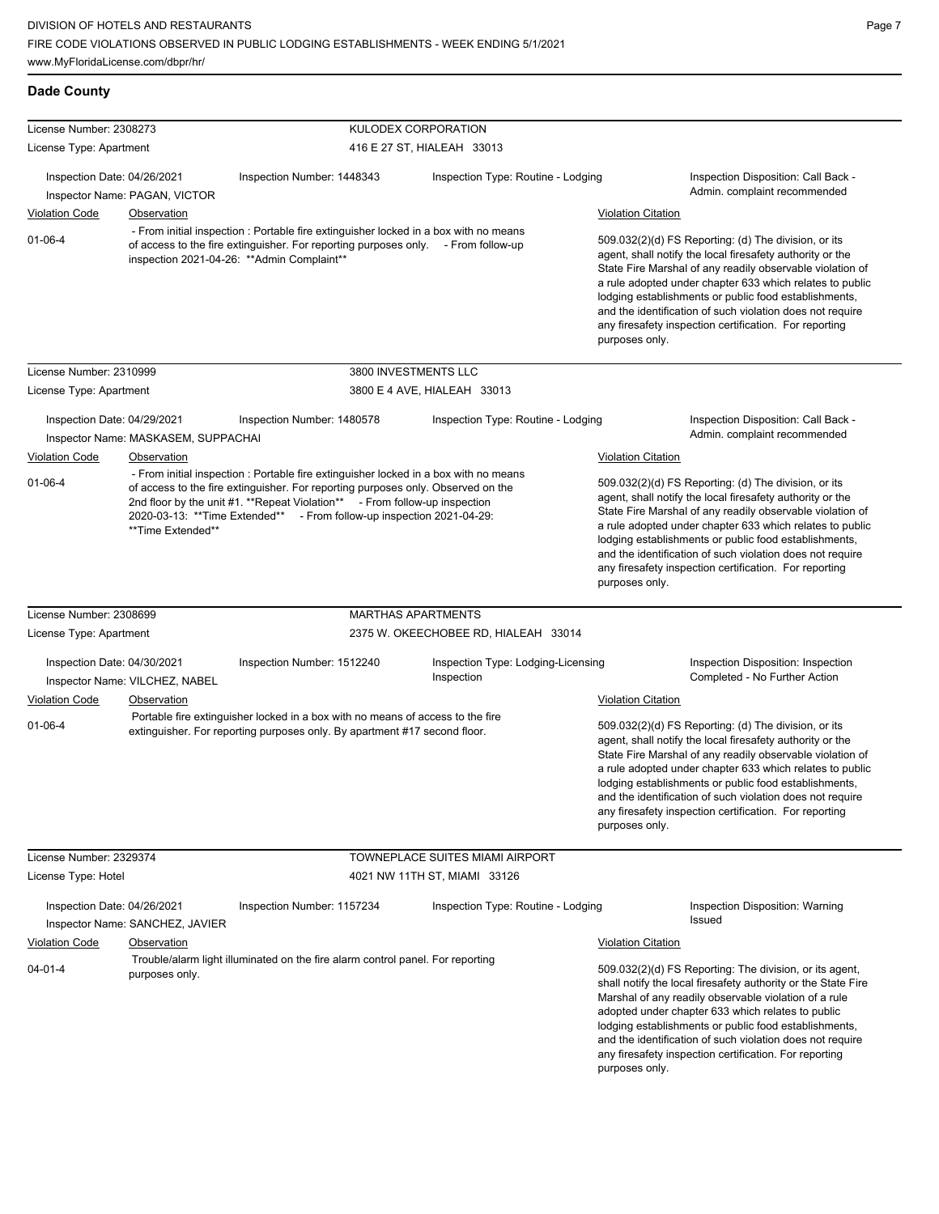| License Number: 2308273     |                                     | KULODEX CORPORATION                                                                                                                                                                                                                                                                                                             |                                                  |                                                                                                                                                                                                                                                                                                                                                                                                                                              |
|-----------------------------|-------------------------------------|---------------------------------------------------------------------------------------------------------------------------------------------------------------------------------------------------------------------------------------------------------------------------------------------------------------------------------|--------------------------------------------------|----------------------------------------------------------------------------------------------------------------------------------------------------------------------------------------------------------------------------------------------------------------------------------------------------------------------------------------------------------------------------------------------------------------------------------------------|
| License Type: Apartment     |                                     |                                                                                                                                                                                                                                                                                                                                 | 416 E 27 ST, HIALEAH 33013                       |                                                                                                                                                                                                                                                                                                                                                                                                                                              |
| Inspection Date: 04/26/2021 | Inspector Name: PAGAN, VICTOR       | Inspection Number: 1448343                                                                                                                                                                                                                                                                                                      | Inspection Type: Routine - Lodging               | Inspection Disposition: Call Back -<br>Admin. complaint recommended                                                                                                                                                                                                                                                                                                                                                                          |
| <b>Violation Code</b>       | Observation                         |                                                                                                                                                                                                                                                                                                                                 |                                                  | <b>Violation Citation</b>                                                                                                                                                                                                                                                                                                                                                                                                                    |
| $01 - 06 - 4$               |                                     | - From initial inspection : Portable fire extinguisher locked in a box with no means<br>of access to the fire extinguisher. For reporting purposes only. - From follow-up<br>inspection 2021-04-26: ** Admin Complaint**                                                                                                        |                                                  | 509.032(2)(d) FS Reporting: (d) The division, or its<br>agent, shall notify the local firesafety authority or the<br>State Fire Marshal of any readily observable violation of<br>a rule adopted under chapter 633 which relates to public<br>lodging establishments or public food establishments,<br>and the identification of such violation does not require<br>any firesafety inspection certification. For reporting<br>purposes only. |
| License Number: 2310999     |                                     | 3800 INVESTMENTS LLC                                                                                                                                                                                                                                                                                                            |                                                  |                                                                                                                                                                                                                                                                                                                                                                                                                                              |
| License Type: Apartment     |                                     |                                                                                                                                                                                                                                                                                                                                 | 3800 E 4 AVE, HIALEAH 33013                      |                                                                                                                                                                                                                                                                                                                                                                                                                                              |
| Inspection Date: 04/29/2021 | Inspector Name: MASKASEM, SUPPACHAI | Inspection Number: 1480578                                                                                                                                                                                                                                                                                                      | Inspection Type: Routine - Lodging               | Inspection Disposition: Call Back -<br>Admin. complaint recommended                                                                                                                                                                                                                                                                                                                                                                          |
| <b>Violation Code</b>       | <b>Observation</b>                  |                                                                                                                                                                                                                                                                                                                                 |                                                  | <b>Violation Citation</b>                                                                                                                                                                                                                                                                                                                                                                                                                    |
| $01 - 06 - 4$               | **Time Extended**                   | - From initial inspection : Portable fire extinguisher locked in a box with no means<br>of access to the fire extinguisher. For reporting purposes only. Observed on the<br>2nd floor by the unit #1. **Repeat Violation** - From follow-up inspection<br>2020-03-13: **Time Extended** - From follow-up inspection 2021-04-29: |                                                  | 509.032(2)(d) FS Reporting: (d) The division, or its<br>agent, shall notify the local firesafety authority or the<br>State Fire Marshal of any readily observable violation of<br>a rule adopted under chapter 633 which relates to public<br>lodging establishments or public food establishments,<br>and the identification of such violation does not require<br>any firesafety inspection certification. For reporting<br>purposes only. |
| License Number: 2308699     |                                     | <b>MARTHAS APARTMENTS</b>                                                                                                                                                                                                                                                                                                       |                                                  |                                                                                                                                                                                                                                                                                                                                                                                                                                              |
| License Type: Apartment     |                                     |                                                                                                                                                                                                                                                                                                                                 | 2375 W. OKEECHOBEE RD, HIALEAH 33014             |                                                                                                                                                                                                                                                                                                                                                                                                                                              |
| Inspection Date: 04/30/2021 | Inspector Name: VILCHEZ, NABEL      | Inspection Number: 1512240                                                                                                                                                                                                                                                                                                      | Inspection Type: Lodging-Licensing<br>Inspection | Inspection Disposition: Inspection<br>Completed - No Further Action                                                                                                                                                                                                                                                                                                                                                                          |
| <b>Violation Code</b>       | Observation                         |                                                                                                                                                                                                                                                                                                                                 |                                                  | <b>Violation Citation</b>                                                                                                                                                                                                                                                                                                                                                                                                                    |
| $01 - 06 - 4$               |                                     | Portable fire extinguisher locked in a box with no means of access to the fire<br>extinguisher. For reporting purposes only. By apartment #17 second floor.                                                                                                                                                                     |                                                  | 509.032(2)(d) FS Reporting: (d) The division, or its<br>agent, shall notify the local firesafety authority or the<br>State Fire Marshal of any readily observable violation of<br>a rule adopted under chapter 633 which relates to public<br>lodging establishments or public food establishments,<br>and the identification of such violation does not require<br>any firesafety inspection certification. For reporting<br>purposes only. |
| License Number: 2329374     |                                     |                                                                                                                                                                                                                                                                                                                                 | TOWNEPLACE SUITES MIAMI AIRPORT                  |                                                                                                                                                                                                                                                                                                                                                                                                                                              |
| License Type: Hotel         |                                     |                                                                                                                                                                                                                                                                                                                                 | 4021 NW 11TH ST, MIAMI 33126                     |                                                                                                                                                                                                                                                                                                                                                                                                                                              |
| Inspection Date: 04/26/2021 | Inspector Name: SANCHEZ, JAVIER     | Inspection Number: 1157234                                                                                                                                                                                                                                                                                                      | Inspection Type: Routine - Lodging               | Inspection Disposition: Warning<br>Issued                                                                                                                                                                                                                                                                                                                                                                                                    |
| <b>Violation Code</b>       | Observation                         |                                                                                                                                                                                                                                                                                                                                 |                                                  | <b>Violation Citation</b>                                                                                                                                                                                                                                                                                                                                                                                                                    |
| $04 - 01 - 4$               | purposes only.                      | Trouble/alarm light illuminated on the fire alarm control panel. For reporting                                                                                                                                                                                                                                                  |                                                  | 509.032(2)(d) FS Reporting: The division, or its agent,<br>shall notify the local firesafety authority or the State Fire<br>Marshal of any readily observable violation of a rule<br>adopted under chapter 633 which relates to public<br>lodging establishments or public food establishments,<br>and the identification of such violation does not require<br>any firesafety inspection certification. For reporting<br>purposes only.     |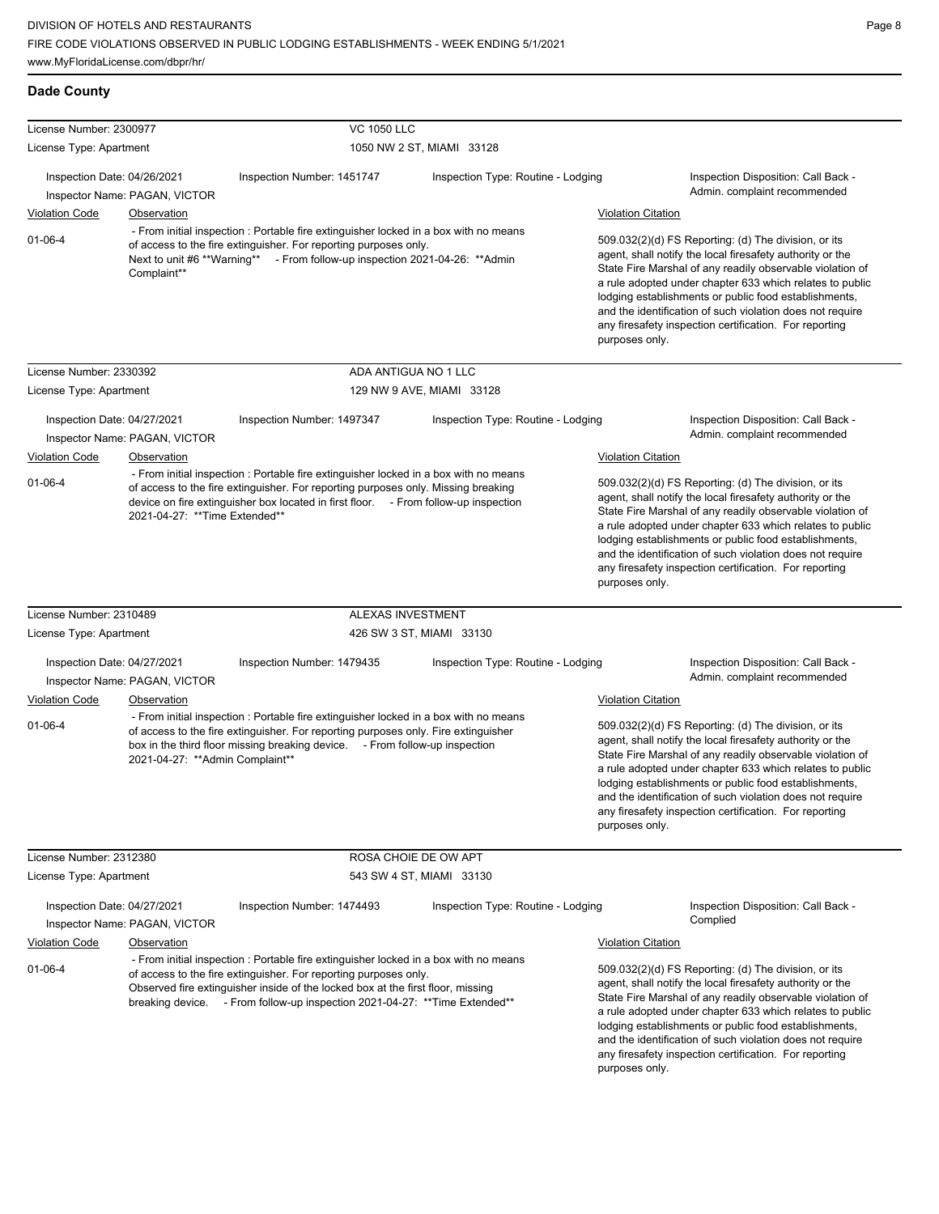| License Number: 2300977                                                                                                                                                                                                                                                                                                              |                                                     | <b>VC 1050 LLC</b>                                                                                                                                                                                                                                               |                                    |                                                                                                                                                                                                                                                                                                                                                                                                                                              |                                                                                                                                                                                                                                                                                                                                                                                                                            |
|--------------------------------------------------------------------------------------------------------------------------------------------------------------------------------------------------------------------------------------------------------------------------------------------------------------------------------------|-----------------------------------------------------|------------------------------------------------------------------------------------------------------------------------------------------------------------------------------------------------------------------------------------------------------------------|------------------------------------|----------------------------------------------------------------------------------------------------------------------------------------------------------------------------------------------------------------------------------------------------------------------------------------------------------------------------------------------------------------------------------------------------------------------------------------------|----------------------------------------------------------------------------------------------------------------------------------------------------------------------------------------------------------------------------------------------------------------------------------------------------------------------------------------------------------------------------------------------------------------------------|
| License Type: Apartment                                                                                                                                                                                                                                                                                                              |                                                     |                                                                                                                                                                                                                                                                  | 1050 NW 2 ST, MIAMI 33128          |                                                                                                                                                                                                                                                                                                                                                                                                                                              |                                                                                                                                                                                                                                                                                                                                                                                                                            |
| Inspection Date: 04/26/2021                                                                                                                                                                                                                                                                                                          |                                                     | Inspection Number: 1451747                                                                                                                                                                                                                                       | Inspection Type: Routine - Lodging |                                                                                                                                                                                                                                                                                                                                                                                                                                              | Inspection Disposition: Call Back -<br>Admin. complaint recommended                                                                                                                                                                                                                                                                                                                                                        |
| <b>Violation Code</b>                                                                                                                                                                                                                                                                                                                | Inspector Name: PAGAN, VICTOR<br><b>Observation</b> |                                                                                                                                                                                                                                                                  |                                    | <b>Violation Citation</b>                                                                                                                                                                                                                                                                                                                                                                                                                    |                                                                                                                                                                                                                                                                                                                                                                                                                            |
| $01 - 06 - 4$                                                                                                                                                                                                                                                                                                                        | Complaint**                                         | - From initial inspection : Portable fire extinguisher locked in a box with no means<br>of access to the fire extinguisher. For reporting purposes only.<br>Next to unit #6 **Warning** - From follow-up inspection 2021-04-26: **Admin                          |                                    | purposes only.                                                                                                                                                                                                                                                                                                                                                                                                                               | 509.032(2)(d) FS Reporting: (d) The division, or its<br>agent, shall notify the local firesafety authority or the<br>State Fire Marshal of any readily observable violation of<br>a rule adopted under chapter 633 which relates to public<br>lodging establishments or public food establishments,<br>and the identification of such violation does not require<br>any firesafety inspection certification. For reporting |
| License Number: 2330392                                                                                                                                                                                                                                                                                                              |                                                     |                                                                                                                                                                                                                                                                  | ADA ANTIGUA NO 1 LLC               |                                                                                                                                                                                                                                                                                                                                                                                                                                              |                                                                                                                                                                                                                                                                                                                                                                                                                            |
| License Type: Apartment                                                                                                                                                                                                                                                                                                              |                                                     |                                                                                                                                                                                                                                                                  | 129 NW 9 AVE, MIAMI 33128          |                                                                                                                                                                                                                                                                                                                                                                                                                                              |                                                                                                                                                                                                                                                                                                                                                                                                                            |
| Inspection Date: 04/27/2021                                                                                                                                                                                                                                                                                                          | Inspector Name: PAGAN, VICTOR                       | Inspection Number: 1497347                                                                                                                                                                                                                                       | Inspection Type: Routine - Lodging |                                                                                                                                                                                                                                                                                                                                                                                                                                              | Inspection Disposition: Call Back -<br>Admin. complaint recommended                                                                                                                                                                                                                                                                                                                                                        |
| <b>Violation Code</b>                                                                                                                                                                                                                                                                                                                | Observation                                         |                                                                                                                                                                                                                                                                  |                                    | <b>Violation Citation</b>                                                                                                                                                                                                                                                                                                                                                                                                                    |                                                                                                                                                                                                                                                                                                                                                                                                                            |
| $01 - 06 - 4$                                                                                                                                                                                                                                                                                                                        | 2021-04-27: ** Time Extended**                      | - From initial inspection : Portable fire extinguisher locked in a box with no means<br>of access to the fire extinguisher. For reporting purposes only. Missing breaking<br>device on fire extinguisher box located in first floor. - From follow-up inspection |                                    | 509.032(2)(d) FS Reporting: (d) The division, or its<br>agent, shall notify the local firesafety authority or the<br>State Fire Marshal of any readily observable violation of<br>a rule adopted under chapter 633 which relates to public<br>lodging establishments or public food establishments,<br>and the identification of such violation does not require<br>any firesafety inspection certification. For reporting<br>purposes only. |                                                                                                                                                                                                                                                                                                                                                                                                                            |
| License Number: 2310489                                                                                                                                                                                                                                                                                                              |                                                     |                                                                                                                                                                                                                                                                  | ALEXAS INVESTMENT                  |                                                                                                                                                                                                                                                                                                                                                                                                                                              |                                                                                                                                                                                                                                                                                                                                                                                                                            |
| License Type: Apartment                                                                                                                                                                                                                                                                                                              |                                                     |                                                                                                                                                                                                                                                                  | 426 SW 3 ST, MIAMI 33130           |                                                                                                                                                                                                                                                                                                                                                                                                                                              |                                                                                                                                                                                                                                                                                                                                                                                                                            |
| Inspection Date: 04/27/2021                                                                                                                                                                                                                                                                                                          | Inspector Name: PAGAN, VICTOR                       | Inspection Number: 1479435                                                                                                                                                                                                                                       | Inspection Type: Routine - Lodging |                                                                                                                                                                                                                                                                                                                                                                                                                                              | Inspection Disposition: Call Back -<br>Admin. complaint recommended                                                                                                                                                                                                                                                                                                                                                        |
| <b>Violation Code</b>                                                                                                                                                                                                                                                                                                                | Observation                                         |                                                                                                                                                                                                                                                                  |                                    | <b>Violation Citation</b>                                                                                                                                                                                                                                                                                                                                                                                                                    |                                                                                                                                                                                                                                                                                                                                                                                                                            |
| $01 - 06 - 4$                                                                                                                                                                                                                                                                                                                        | 2021-04-27: ** Admin Complaint**                    | - From initial inspection : Portable fire extinguisher locked in a box with no means<br>of access to the fire extinguisher. For reporting purposes only. Fire extinguisher<br>box in the third floor missing breaking device. - From follow-up inspection        |                                    | purposes only.                                                                                                                                                                                                                                                                                                                                                                                                                               | 509.032(2)(d) FS Reporting: (d) The division, or its<br>agent, shall notify the local firesafety authority or the<br>State Fire Marshal of any readily observable violation of<br>a rule adopted under chapter 633 which relates to public<br>lodging establishments or public food establishments,<br>and the identification of such violation does not require<br>any firesafety inspection certification. For reporting |
| License Number: 2312380                                                                                                                                                                                                                                                                                                              |                                                     |                                                                                                                                                                                                                                                                  | ROSA CHOIE DE OW APT               |                                                                                                                                                                                                                                                                                                                                                                                                                                              |                                                                                                                                                                                                                                                                                                                                                                                                                            |
| License Type: Apartment                                                                                                                                                                                                                                                                                                              |                                                     |                                                                                                                                                                                                                                                                  | 543 SW 4 ST, MIAMI 33130           |                                                                                                                                                                                                                                                                                                                                                                                                                                              |                                                                                                                                                                                                                                                                                                                                                                                                                            |
| Inspection Date: 04/27/2021                                                                                                                                                                                                                                                                                                          | Inspector Name: PAGAN, VICTOR                       | Inspection Number: 1474493                                                                                                                                                                                                                                       | Inspection Type: Routine - Lodging |                                                                                                                                                                                                                                                                                                                                                                                                                                              | Inspection Disposition: Call Back -<br>Complied                                                                                                                                                                                                                                                                                                                                                                            |
| <b>Violation Code</b>                                                                                                                                                                                                                                                                                                                | Observation                                         |                                                                                                                                                                                                                                                                  |                                    | <b>Violation Citation</b>                                                                                                                                                                                                                                                                                                                                                                                                                    |                                                                                                                                                                                                                                                                                                                                                                                                                            |
| - From initial inspection : Portable fire extinguisher locked in a box with no means<br>01-06-4<br>of access to the fire extinguisher. For reporting purposes only.<br>Observed fire extinguisher inside of the locked box at the first floor, missing<br>breaking device. - From follow-up inspection 2021-04-27: **Time Extended** |                                                     |                                                                                                                                                                                                                                                                  | purposes only.                     | 509.032(2)(d) FS Reporting: (d) The division, or its<br>agent, shall notify the local firesafety authority or the<br>State Fire Marshal of any readily observable violation of<br>a rule adopted under chapter 633 which relates to public<br>lodging establishments or public food establishments,<br>and the identification of such violation does not require<br>any firesafety inspection certification. For reporting                   |                                                                                                                                                                                                                                                                                                                                                                                                                            |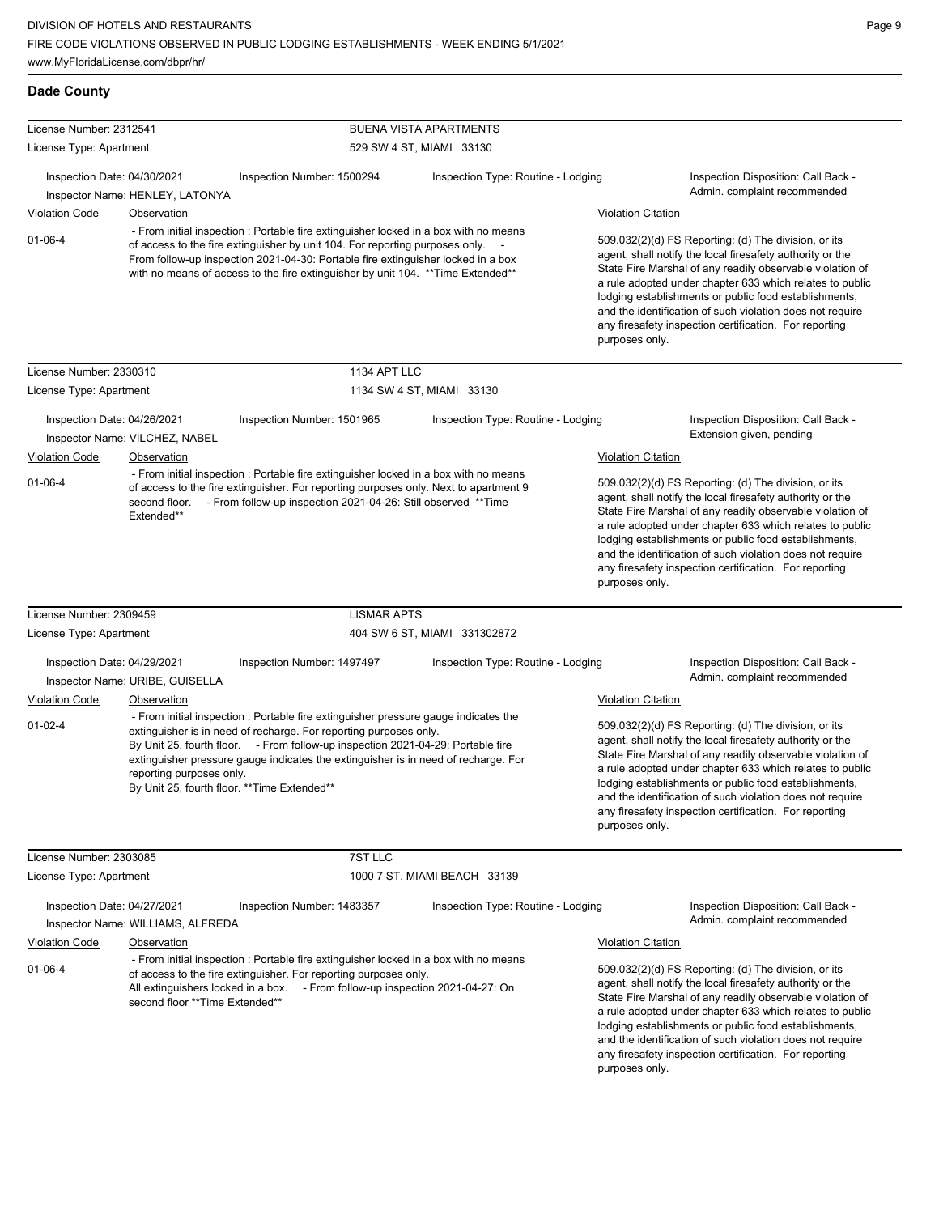| License Number: 2312541                              |                                                                       |                                                                                                                                                                                                                                                                                                                                                                                   | <b>BUENA VISTA APARTMENTS</b>      |                           |                                                                                                                                                                                                                                                                                                                                                                                                                            |
|------------------------------------------------------|-----------------------------------------------------------------------|-----------------------------------------------------------------------------------------------------------------------------------------------------------------------------------------------------------------------------------------------------------------------------------------------------------------------------------------------------------------------------------|------------------------------------|---------------------------|----------------------------------------------------------------------------------------------------------------------------------------------------------------------------------------------------------------------------------------------------------------------------------------------------------------------------------------------------------------------------------------------------------------------------|
| License Type: Apartment                              |                                                                       |                                                                                                                                                                                                                                                                                                                                                                                   | 529 SW 4 ST, MIAMI 33130           |                           |                                                                                                                                                                                                                                                                                                                                                                                                                            |
| Inspection Date: 04/30/2021                          | Inspector Name: HENLEY, LATONYA                                       | Inspection Number: 1500294                                                                                                                                                                                                                                                                                                                                                        | Inspection Type: Routine - Lodging |                           | Inspection Disposition: Call Back -<br>Admin. complaint recommended                                                                                                                                                                                                                                                                                                                                                        |
| <b>Violation Code</b>                                | Observation                                                           |                                                                                                                                                                                                                                                                                                                                                                                   |                                    | <b>Violation Citation</b> |                                                                                                                                                                                                                                                                                                                                                                                                                            |
| $01 - 06 - 4$                                        |                                                                       | - From initial inspection : Portable fire extinguisher locked in a box with no means<br>of access to the fire extinguisher by unit 104. For reporting purposes only. -<br>From follow-up inspection 2021-04-30: Portable fire extinguisher locked in a box<br>with no means of access to the fire extinguisher by unit 104. ** Time Extended**                                    |                                    | purposes only.            | 509.032(2)(d) FS Reporting: (d) The division, or its<br>agent, shall notify the local firesafety authority or the<br>State Fire Marshal of any readily observable violation of<br>a rule adopted under chapter 633 which relates to public<br>lodging establishments or public food establishments,<br>and the identification of such violation does not require<br>any firesafety inspection certification. For reporting |
| License Number: 2330310                              |                                                                       | 1134 APT LLC                                                                                                                                                                                                                                                                                                                                                                      |                                    |                           |                                                                                                                                                                                                                                                                                                                                                                                                                            |
| License Type: Apartment                              |                                                                       |                                                                                                                                                                                                                                                                                                                                                                                   | 1134 SW 4 ST, MIAMI 33130          |                           |                                                                                                                                                                                                                                                                                                                                                                                                                            |
| Inspection Date: 04/26/2021                          | Inspector Name: VILCHEZ, NABEL                                        | Inspection Number: 1501965                                                                                                                                                                                                                                                                                                                                                        | Inspection Type: Routine - Lodging |                           | Inspection Disposition: Call Back -<br>Extension given, pending                                                                                                                                                                                                                                                                                                                                                            |
| <b>Violation Code</b>                                | Observation                                                           |                                                                                                                                                                                                                                                                                                                                                                                   |                                    | <b>Violation Citation</b> |                                                                                                                                                                                                                                                                                                                                                                                                                            |
| $01 - 06 - 4$                                        | second floor.<br>Extended**                                           | - From initial inspection : Portable fire extinguisher locked in a box with no means<br>of access to the fire extinguisher. For reporting purposes only. Next to apartment 9<br>- From follow-up inspection 2021-04-26: Still observed ** Time                                                                                                                                    |                                    | purposes only.            | 509.032(2)(d) FS Reporting: (d) The division, or its<br>agent, shall notify the local firesafety authority or the<br>State Fire Marshal of any readily observable violation of<br>a rule adopted under chapter 633 which relates to public<br>lodging establishments or public food establishments,<br>and the identification of such violation does not require<br>any firesafety inspection certification. For reporting |
| License Number: 2309459                              |                                                                       | <b>LISMAR APTS</b>                                                                                                                                                                                                                                                                                                                                                                |                                    |                           |                                                                                                                                                                                                                                                                                                                                                                                                                            |
| License Type: Apartment                              |                                                                       |                                                                                                                                                                                                                                                                                                                                                                                   | 404 SW 6 ST, MIAMI 331302872       |                           |                                                                                                                                                                                                                                                                                                                                                                                                                            |
| Inspection Date: 04/29/2021                          | Inspector Name: URIBE, GUISELLA                                       | Inspection Number: 1497497                                                                                                                                                                                                                                                                                                                                                        | Inspection Type: Routine - Lodging |                           | Inspection Disposition: Call Back -<br>Admin. complaint recommended                                                                                                                                                                                                                                                                                                                                                        |
| Violation Code                                       | Observation                                                           |                                                                                                                                                                                                                                                                                                                                                                                   |                                    | <b>Violation Citation</b> |                                                                                                                                                                                                                                                                                                                                                                                                                            |
| $01 - 02 - 4$                                        | reporting purposes only.                                              | - From initial inspection : Portable fire extinguisher pressure gauge indicates the<br>extinguisher is in need of recharge. For reporting purposes only.<br>By Unit 25, fourth floor. - From follow-up inspection 2021-04-29: Portable fire<br>extinguisher pressure gauge indicates the extinguisher is in need of recharge. For<br>By Unit 25, fourth floor. ** Time Extended** |                                    | purposes only.            | 509.032(2)(d) FS Reporting: (d) The division, or its<br>agent, shall notify the local firesafety authority or the<br>State Fire Marshal of any readily observable violation of<br>a rule adopted under chapter 633 which relates to public<br>lodging establishments or public food establishments,<br>and the identification of such violation does not require<br>any firesafety inspection certification. For reporting |
| License Number: 2303085                              |                                                                       | 7ST LLC                                                                                                                                                                                                                                                                                                                                                                           |                                    |                           |                                                                                                                                                                                                                                                                                                                                                                                                                            |
| License Type: Apartment                              |                                                                       |                                                                                                                                                                                                                                                                                                                                                                                   | 1000 7 ST, MIAMI BEACH 33139       |                           |                                                                                                                                                                                                                                                                                                                                                                                                                            |
| Inspection Date: 04/27/2021<br><b>Violation Code</b> | Inspector Name: WILLIAMS, ALFREDA<br>Observation                      | Inspection Number: 1483357                                                                                                                                                                                                                                                                                                                                                        | Inspection Type: Routine - Lodging | <b>Violation Citation</b> | Inspection Disposition: Call Back -<br>Admin. complaint recommended                                                                                                                                                                                                                                                                                                                                                        |
| $01 - 06 - 4$                                        | All extinguishers locked in a box.<br>second floor ** Time Extended** | - From initial inspection : Portable fire extinguisher locked in a box with no means<br>of access to the fire extinguisher. For reporting purposes only.<br>- From follow-up inspection 2021-04-27: On                                                                                                                                                                            |                                    |                           | 509.032(2)(d) FS Reporting: (d) The division, or its<br>agent, shall notify the local firesafety authority or the<br>State Fire Marshal of any readily observable violation of<br>a rule adopted under chapter 633 which relates to public<br>lodging establishments or public food establishments,<br>and the identification of such violation does not require<br>any firesafety inspection certification. For reporting |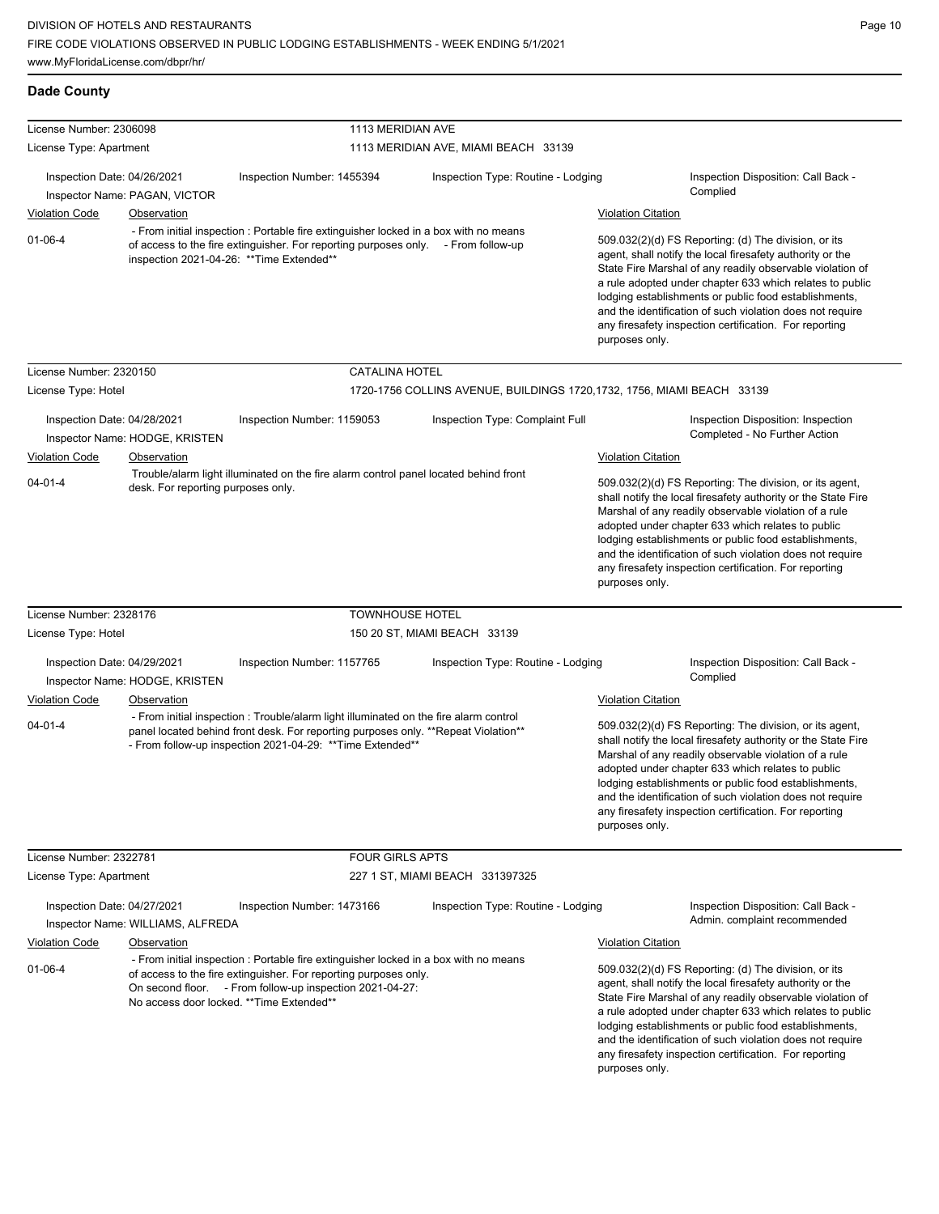| <b>Dade County</b>          |                                               |                                                                                                                                                                                                                                                                   |                                                                         |                           |                                                                                                                                                                                                                                                                                                                                                                                                                            |  |
|-----------------------------|-----------------------------------------------|-------------------------------------------------------------------------------------------------------------------------------------------------------------------------------------------------------------------------------------------------------------------|-------------------------------------------------------------------------|---------------------------|----------------------------------------------------------------------------------------------------------------------------------------------------------------------------------------------------------------------------------------------------------------------------------------------------------------------------------------------------------------------------------------------------------------------------|--|
| License Number: 2306098     |                                               | 1113 MERIDIAN AVE                                                                                                                                                                                                                                                 |                                                                         |                           |                                                                                                                                                                                                                                                                                                                                                                                                                            |  |
| License Type: Apartment     |                                               |                                                                                                                                                                                                                                                                   | 1113 MERIDIAN AVE, MIAMI BEACH 33139                                    |                           |                                                                                                                                                                                                                                                                                                                                                                                                                            |  |
| Inspection Date: 04/26/2021 |                                               | Inspection Number: 1455394                                                                                                                                                                                                                                        | Inspection Type: Routine - Lodging                                      |                           | Inspection Disposition: Call Back -<br>Complied                                                                                                                                                                                                                                                                                                                                                                            |  |
|                             | Inspector Name: PAGAN, VICTOR                 |                                                                                                                                                                                                                                                                   |                                                                         |                           |                                                                                                                                                                                                                                                                                                                                                                                                                            |  |
| <b>Violation Code</b>       | Observation                                   | - From initial inspection : Portable fire extinguisher locked in a box with no means                                                                                                                                                                              |                                                                         | <b>Violation Citation</b> |                                                                                                                                                                                                                                                                                                                                                                                                                            |  |
| $01 - 06 - 4$               |                                               | of access to the fire extinguisher. For reporting purposes only. - From follow-up<br>inspection 2021-04-26: ** Time Extended**                                                                                                                                    |                                                                         | purposes only.            | 509.032(2)(d) FS Reporting: (d) The division, or its<br>agent, shall notify the local firesafety authority or the<br>State Fire Marshal of any readily observable violation of<br>a rule adopted under chapter 633 which relates to public<br>lodging establishments or public food establishments,<br>and the identification of such violation does not require<br>any firesafety inspection certification. For reporting |  |
| License Number: 2320150     |                                               | <b>CATALINA HOTEL</b>                                                                                                                                                                                                                                             |                                                                         |                           |                                                                                                                                                                                                                                                                                                                                                                                                                            |  |
| License Type: Hotel         |                                               |                                                                                                                                                                                                                                                                   | 1720-1756 COLLINS AVENUE, BUILDINGS 1720, 1732, 1756, MIAMI BEACH 33139 |                           |                                                                                                                                                                                                                                                                                                                                                                                                                            |  |
|                             |                                               |                                                                                                                                                                                                                                                                   |                                                                         |                           |                                                                                                                                                                                                                                                                                                                                                                                                                            |  |
| Inspection Date: 04/28/2021 |                                               | Inspection Number: 1159053                                                                                                                                                                                                                                        | Inspection Type: Complaint Full                                         |                           | Inspection Disposition: Inspection<br>Completed - No Further Action                                                                                                                                                                                                                                                                                                                                                        |  |
| <b>Violation Code</b>       | Inspector Name: HODGE, KRISTEN<br>Observation |                                                                                                                                                                                                                                                                   |                                                                         | <b>Violation Citation</b> |                                                                                                                                                                                                                                                                                                                                                                                                                            |  |
|                             |                                               | Trouble/alarm light illuminated on the fire alarm control panel located behind front                                                                                                                                                                              |                                                                         |                           |                                                                                                                                                                                                                                                                                                                                                                                                                            |  |
|                             | desk. For reporting purposes only.            |                                                                                                                                                                                                                                                                   |                                                                         |                           | shall notify the local firesafety authority or the State Fire<br>Marshal of any readily observable violation of a rule<br>adopted under chapter 633 which relates to public<br>lodging establishments or public food establishments,<br>and the identification of such violation does not require<br>any firesafety inspection certification. For reporting<br>purposes only.                                              |  |
| License Number: 2328176     |                                               | <b>TOWNHOUSE HOTEL</b>                                                                                                                                                                                                                                            |                                                                         |                           |                                                                                                                                                                                                                                                                                                                                                                                                                            |  |
| License Type: Hotel         |                                               |                                                                                                                                                                                                                                                                   | 150 20 ST, MIAMI BEACH 33139                                            |                           |                                                                                                                                                                                                                                                                                                                                                                                                                            |  |
| Inspection Date: 04/29/2021 | Inspector Name: HODGE, KRISTEN                | Inspection Number: 1157765                                                                                                                                                                                                                                        | Inspection Type: Routine - Lodging                                      |                           | Inspection Disposition: Call Back -<br>Complied                                                                                                                                                                                                                                                                                                                                                                            |  |
| <b>Violation Code</b>       | Observation                                   |                                                                                                                                                                                                                                                                   |                                                                         | <b>Violation Citation</b> |                                                                                                                                                                                                                                                                                                                                                                                                                            |  |
| $04 - 01 - 4$               |                                               | - From initial inspection : Trouble/alarm light illuminated on the fire alarm control<br>panel located behind front desk. For reporting purposes only. **Repeat Violation**<br>- From follow-up inspection 2021-04-29: ** Time Extended**                         |                                                                         | purposes only.            | 509.032(2)(d) FS Reporting: The division, or its agent,<br>shall notify the local firesafety authority or the State Fire<br>Marshal of any readily observable violation of a rule<br>adopted under chapter 633 which relates to public<br>lodging establishments or public food establishments,<br>and the identification of such violation does not require<br>any firesafety inspection certification. For reporting     |  |
| License Number: 2322781     |                                               | <b>FOUR GIRLS APTS</b>                                                                                                                                                                                                                                            |                                                                         |                           |                                                                                                                                                                                                                                                                                                                                                                                                                            |  |
| License Type: Apartment     |                                               |                                                                                                                                                                                                                                                                   | 227 1 ST, MIAMI BEACH 331397325                                         |                           |                                                                                                                                                                                                                                                                                                                                                                                                                            |  |
|                             |                                               |                                                                                                                                                                                                                                                                   |                                                                         |                           |                                                                                                                                                                                                                                                                                                                                                                                                                            |  |
| Inspection Date: 04/27/2021 | Inspector Name: WILLIAMS, ALFREDA             | Inspection Number: 1473166                                                                                                                                                                                                                                        | Inspection Type: Routine - Lodging                                      |                           | Inspection Disposition: Call Back -<br>Admin. complaint recommended                                                                                                                                                                                                                                                                                                                                                        |  |
| <b>Violation Code</b>       | Observation                                   |                                                                                                                                                                                                                                                                   |                                                                         | <b>Violation Citation</b> |                                                                                                                                                                                                                                                                                                                                                                                                                            |  |
| $01 - 06 - 4$               |                                               | - From initial inspection : Portable fire extinguisher locked in a box with no means<br>of access to the fire extinguisher. For reporting purposes only.<br>On second floor. - From follow-up inspection 2021-04-27:<br>No access door locked. ** Time Extended** |                                                                         |                           | 509.032(2)(d) FS Reporting: (d) The division, or its<br>agent, shall notify the local firesafety authority or the<br>State Fire Marshal of any readily observable violation of<br>a rule adopted under chapter 633 which relates to public<br>lodging establishments or public food establishments,<br>and the identification of such violation does not require<br>any firesafety inspection certification. For reporting |  |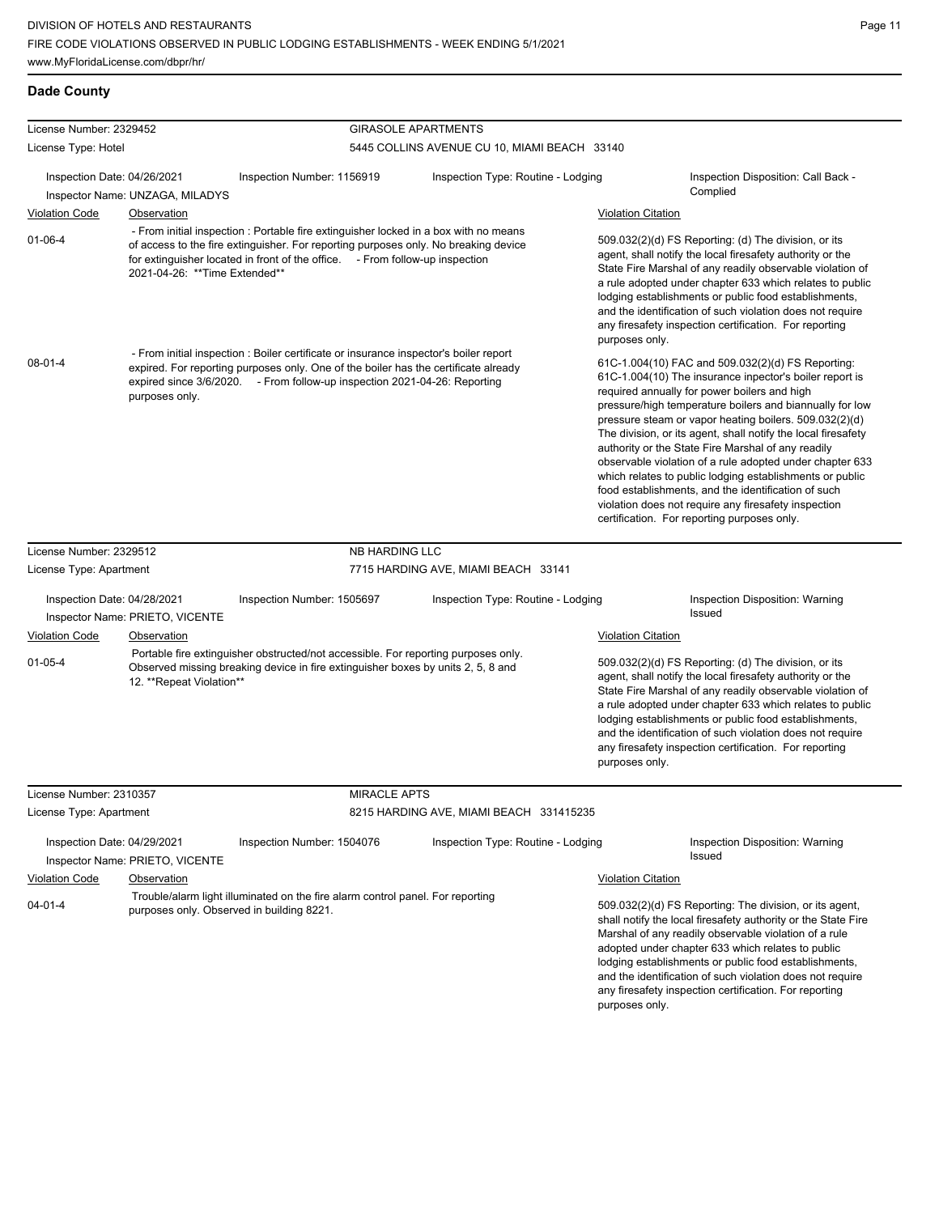| License Number: 2329452 |                                                                |                                                                                                                                                                                                                                                             | <b>GIRASOLE APARTMENTS</b>                   |                                                                                                                                                                                                                                                                                                                                                                                                                                                                                                                                                                                                                                                                                                 |
|-------------------------|----------------------------------------------------------------|-------------------------------------------------------------------------------------------------------------------------------------------------------------------------------------------------------------------------------------------------------------|----------------------------------------------|-------------------------------------------------------------------------------------------------------------------------------------------------------------------------------------------------------------------------------------------------------------------------------------------------------------------------------------------------------------------------------------------------------------------------------------------------------------------------------------------------------------------------------------------------------------------------------------------------------------------------------------------------------------------------------------------------|
| License Type: Hotel     |                                                                |                                                                                                                                                                                                                                                             | 5445 COLLINS AVENUE CU 10, MIAMI BEACH 33140 |                                                                                                                                                                                                                                                                                                                                                                                                                                                                                                                                                                                                                                                                                                 |
|                         | Inspection Date: 04/26/2021                                    | Inspection Number: 1156919                                                                                                                                                                                                                                  | Inspection Type: Routine - Lodging           | Inspection Disposition: Call Back -<br>Complied                                                                                                                                                                                                                                                                                                                                                                                                                                                                                                                                                                                                                                                 |
| <b>Violation Code</b>   | Inspector Name: UNZAGA, MILADYS<br><b>Observation</b>          |                                                                                                                                                                                                                                                             |                                              | <b>Violation Citation</b>                                                                                                                                                                                                                                                                                                                                                                                                                                                                                                                                                                                                                                                                       |
| $01 - 06 - 4$           | 2021-04-26: ** Time Extended**                                 | - From initial inspection : Portable fire extinguisher locked in a box with no means<br>of access to the fire extinguisher. For reporting purposes only. No breaking device<br>for extinguisher located in front of the office. - From follow-up inspection |                                              | 509.032(2)(d) FS Reporting: (d) The division, or its<br>agent, shall notify the local firesafety authority or the<br>State Fire Marshal of any readily observable violation of<br>a rule adopted under chapter 633 which relates to public<br>lodging establishments or public food establishments,<br>and the identification of such violation does not require<br>any firesafety inspection certification. For reporting<br>purposes only.                                                                                                                                                                                                                                                    |
| $08-01-4$               | purposes only.                                                 | - From initial inspection : Boiler certificate or insurance inspector's boiler report<br>expired. For reporting purposes only. One of the boiler has the certificate already<br>expired since 3/6/2020. - From follow-up inspection 2021-04-26: Reporting   |                                              | 61C-1.004(10) FAC and 509.032(2)(d) FS Reporting:<br>61C-1.004(10) The insurance inpector's boiler report is<br>required annually for power boilers and high<br>pressure/high temperature boilers and biannually for low<br>pressure steam or vapor heating boilers. 509.032(2)(d)<br>The division, or its agent, shall notify the local firesafety<br>authority or the State Fire Marshal of any readily<br>observable violation of a rule adopted under chapter 633<br>which relates to public lodging establishments or public<br>food establishments, and the identification of such<br>violation does not require any firesafety inspection<br>certification. For reporting purposes only. |
|                         |                                                                |                                                                                                                                                                                                                                                             |                                              |                                                                                                                                                                                                                                                                                                                                                                                                                                                                                                                                                                                                                                                                                                 |
| License Number: 2329512 |                                                                | <b>NB HARDING LLC</b>                                                                                                                                                                                                                                       |                                              |                                                                                                                                                                                                                                                                                                                                                                                                                                                                                                                                                                                                                                                                                                 |
| License Type: Apartment |                                                                |                                                                                                                                                                                                                                                             | 7715 HARDING AVE, MIAMI BEACH 33141          |                                                                                                                                                                                                                                                                                                                                                                                                                                                                                                                                                                                                                                                                                                 |
|                         | Inspection Date: 04/28/2021<br>Inspector Name: PRIETO, VICENTE | Inspection Number: 1505697                                                                                                                                                                                                                                  | Inspection Type: Routine - Lodging           | Inspection Disposition: Warning<br>Issued                                                                                                                                                                                                                                                                                                                                                                                                                                                                                                                                                                                                                                                       |
| <b>Violation Code</b>   | Observation                                                    |                                                                                                                                                                                                                                                             |                                              | <b>Violation Citation</b>                                                                                                                                                                                                                                                                                                                                                                                                                                                                                                                                                                                                                                                                       |
| $01 - 05 - 4$           | 12. **Repeat Violation**                                       | Portable fire extinguisher obstructed/not accessible. For reporting purposes only.<br>Observed missing breaking device in fire extinguisher boxes by units 2, 5, 8 and                                                                                      |                                              | 509.032(2)(d) FS Reporting: (d) The division, or its<br>agent, shall notify the local firesafety authority or the<br>State Fire Marshal of any readily observable violation of<br>a rule adopted under chapter 633 which relates to public<br>lodging establishments or public food establishments,<br>and the identification of such violation does not require<br>any firesafety inspection certification. For reporting<br>purposes only.                                                                                                                                                                                                                                                    |
| License Number: 2310357 |                                                                | <b>MIRACLE APTS</b>                                                                                                                                                                                                                                         |                                              |                                                                                                                                                                                                                                                                                                                                                                                                                                                                                                                                                                                                                                                                                                 |
| License Type: Apartment |                                                                |                                                                                                                                                                                                                                                             | 8215 HARDING AVE, MIAMI BEACH 331415235      |                                                                                                                                                                                                                                                                                                                                                                                                                                                                                                                                                                                                                                                                                                 |
|                         | Inspection Date: 04/29/2021                                    | Inspection Number: 1504076                                                                                                                                                                                                                                  | Inspection Type: Routine - Lodging           | Inspection Disposition: Warning<br>Issued                                                                                                                                                                                                                                                                                                                                                                                                                                                                                                                                                                                                                                                       |
| <b>Violation Code</b>   | Inspector Name: PRIETO, VICENTE<br>Observation                 |                                                                                                                                                                                                                                                             |                                              | <b>Violation Citation</b>                                                                                                                                                                                                                                                                                                                                                                                                                                                                                                                                                                                                                                                                       |
| $04 - 01 - 4$           |                                                                | Trouble/alarm light illuminated on the fire alarm control panel. For reporting<br>purposes only. Observed in building 8221.                                                                                                                                 |                                              | 509.032(2)(d) FS Reporting: The division, or its agent,<br>shall notify the local firesafety authority or the State Fire<br>Marshal of any readily observable violation of a rule<br>adopted under chapter 633 which relates to public<br>lodging establishments or public food establishments,<br>and the identification of such violation does not require<br>any firesafety inspection certification. For reporting                                                                                                                                                                                                                                                                          |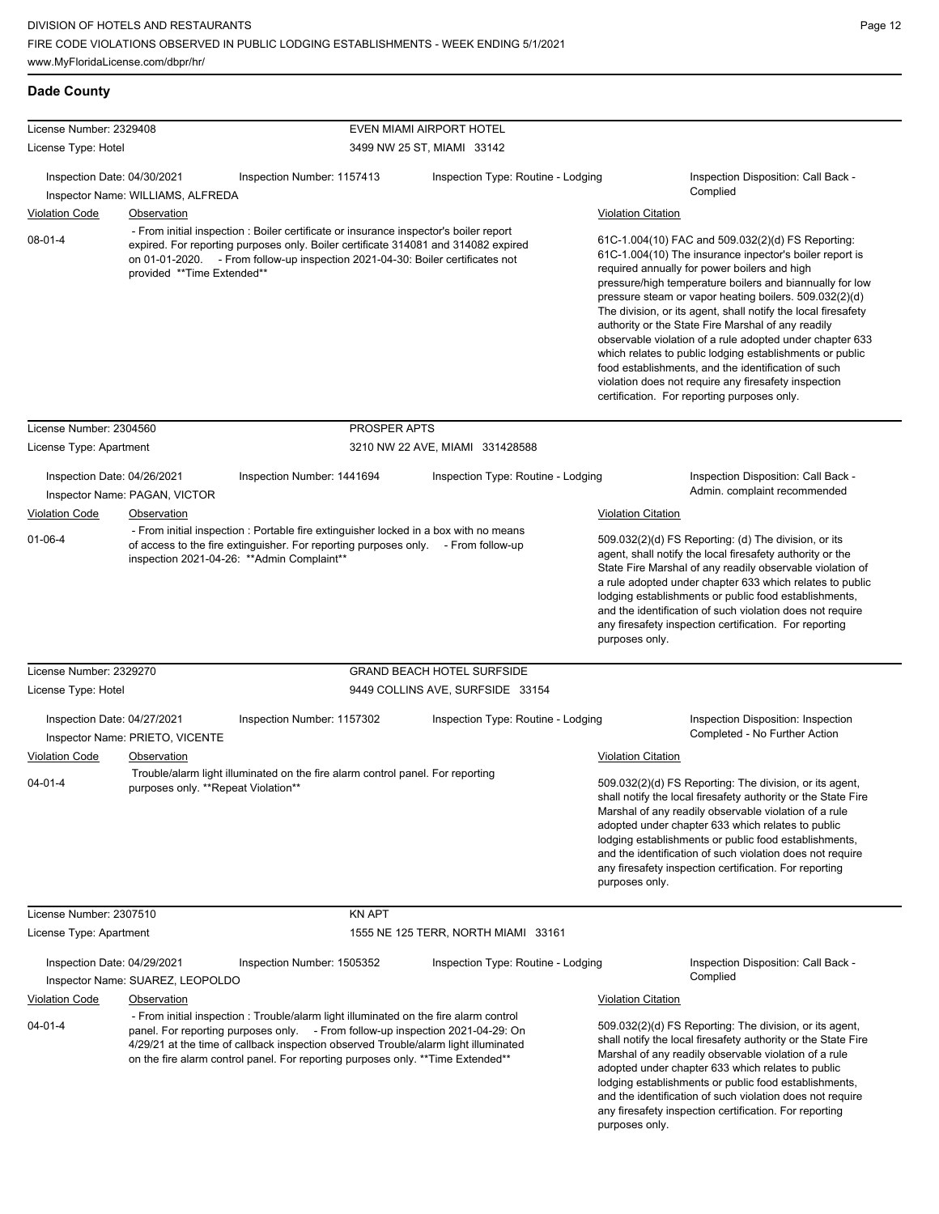| <b>Dade County</b> |
|--------------------|
|                    |

| License Number: 2329408                              |                                              |                                                                                                                                                                                                                                                                                                                                                    | <b>EVEN MIAMI AIRPORT HOTEL</b>     |                           |                                                                                                                                                                                                                                                                                                                                                                                                                                                                                                                                                                                                                                                                                                 |
|------------------------------------------------------|----------------------------------------------|----------------------------------------------------------------------------------------------------------------------------------------------------------------------------------------------------------------------------------------------------------------------------------------------------------------------------------------------------|-------------------------------------|---------------------------|-------------------------------------------------------------------------------------------------------------------------------------------------------------------------------------------------------------------------------------------------------------------------------------------------------------------------------------------------------------------------------------------------------------------------------------------------------------------------------------------------------------------------------------------------------------------------------------------------------------------------------------------------------------------------------------------------|
| License Type: Hotel                                  |                                              |                                                                                                                                                                                                                                                                                                                                                    | 3499 NW 25 ST, MIAMI 33142          |                           |                                                                                                                                                                                                                                                                                                                                                                                                                                                                                                                                                                                                                                                                                                 |
| Inspection Date: 04/30/2021                          | Inspector Name: WILLIAMS, ALFREDA            | Inspection Number: 1157413                                                                                                                                                                                                                                                                                                                         | Inspection Type: Routine - Lodging  |                           | Inspection Disposition: Call Back -<br>Complied                                                                                                                                                                                                                                                                                                                                                                                                                                                                                                                                                                                                                                                 |
| <b>Violation Code</b>                                | Observation                                  |                                                                                                                                                                                                                                                                                                                                                    |                                     | <b>Violation Citation</b> |                                                                                                                                                                                                                                                                                                                                                                                                                                                                                                                                                                                                                                                                                                 |
| $08 - 01 - 4$                                        | provided **Time Extended**                   | - From initial inspection : Boiler certificate or insurance inspector's boiler report<br>expired. For reporting purposes only. Boiler certificate 314081 and 314082 expired<br>on 01-01-2020. - From follow-up inspection 2021-04-30: Boiler certificates not                                                                                      |                                     |                           | 61C-1.004(10) FAC and 509.032(2)(d) FS Reporting:<br>61C-1.004(10) The insurance inpector's boiler report is<br>required annually for power boilers and high<br>pressure/high temperature boilers and biannually for low<br>pressure steam or vapor heating boilers. 509.032(2)(d)<br>The division, or its agent, shall notify the local firesafety<br>authority or the State Fire Marshal of any readily<br>observable violation of a rule adopted under chapter 633<br>which relates to public lodging establishments or public<br>food establishments, and the identification of such<br>violation does not require any firesafety inspection<br>certification. For reporting purposes only. |
| License Number: 2304560                              |                                              | PROSPER APTS                                                                                                                                                                                                                                                                                                                                       |                                     |                           |                                                                                                                                                                                                                                                                                                                                                                                                                                                                                                                                                                                                                                                                                                 |
| License Type: Apartment                              |                                              |                                                                                                                                                                                                                                                                                                                                                    | 3210 NW 22 AVE, MIAMI 331428588     |                           |                                                                                                                                                                                                                                                                                                                                                                                                                                                                                                                                                                                                                                                                                                 |
| Inspection Date: 04/26/2021<br><b>Violation Code</b> | Inspector Name: PAGAN, VICTOR<br>Observation | Inspection Number: 1441694                                                                                                                                                                                                                                                                                                                         | Inspection Type: Routine - Lodging  | <b>Violation Citation</b> | Inspection Disposition: Call Back -<br>Admin. complaint recommended                                                                                                                                                                                                                                                                                                                                                                                                                                                                                                                                                                                                                             |
| $01 - 06 - 4$                                        |                                              | - From initial inspection : Portable fire extinguisher locked in a box with no means<br>of access to the fire extinguisher. For reporting purposes only. - From follow-up<br>inspection 2021-04-26: ** Admin Complaint**                                                                                                                           |                                     | purposes only.            | 509.032(2)(d) FS Reporting: (d) The division, or its<br>agent, shall notify the local firesafety authority or the<br>State Fire Marshal of any readily observable violation of<br>a rule adopted under chapter 633 which relates to public<br>lodging establishments or public food establishments,<br>and the identification of such violation does not require<br>any firesafety inspection certification. For reporting                                                                                                                                                                                                                                                                      |
| License Number: 2329270                              |                                              |                                                                                                                                                                                                                                                                                                                                                    | <b>GRAND BEACH HOTEL SURFSIDE</b>   |                           |                                                                                                                                                                                                                                                                                                                                                                                                                                                                                                                                                                                                                                                                                                 |
| License Type: Hotel                                  |                                              |                                                                                                                                                                                                                                                                                                                                                    | 9449 COLLINS AVE, SURFSIDE 33154    |                           |                                                                                                                                                                                                                                                                                                                                                                                                                                                                                                                                                                                                                                                                                                 |
| Inspection Date: 04/27/2021                          | Inspector Name: PRIETO, VICENTE              | Inspection Number: 1157302                                                                                                                                                                                                                                                                                                                         | Inspection Type: Routine - Lodging  |                           | <b>Inspection Disposition: Inspection</b><br>Completed - No Further Action                                                                                                                                                                                                                                                                                                                                                                                                                                                                                                                                                                                                                      |
| <b>Violation Code</b>                                | Observation                                  |                                                                                                                                                                                                                                                                                                                                                    |                                     | <b>Violation Citation</b> |                                                                                                                                                                                                                                                                                                                                                                                                                                                                                                                                                                                                                                                                                                 |
| $04 - 01 - 4$                                        | purposes only. **Repeat Violation**          | Trouble/alarm light illuminated on the fire alarm control panel. For reporting                                                                                                                                                                                                                                                                     |                                     | purposes only.            | 509.032(2)(d) FS Reporting: The division, or its agent,<br>shall notify the local firesafety authority or the State Fire<br>Marshal of any readily observable violation of a rule<br>adopted under chapter 633 which relates to public<br>lodging establishments or public food establishments,<br>and the identification of such violation does not require<br>any firesafety inspection certification. For reporting                                                                                                                                                                                                                                                                          |
| License Number: 2307510                              |                                              | <b>KN APT</b>                                                                                                                                                                                                                                                                                                                                      |                                     |                           |                                                                                                                                                                                                                                                                                                                                                                                                                                                                                                                                                                                                                                                                                                 |
| License Type: Apartment                              |                                              |                                                                                                                                                                                                                                                                                                                                                    | 1555 NE 125 TERR, NORTH MIAMI 33161 |                           |                                                                                                                                                                                                                                                                                                                                                                                                                                                                                                                                                                                                                                                                                                 |
| Inspection Date: 04/29/2021                          | Inspector Name: SUAREZ, LEOPOLDO             | Inspection Number: 1505352                                                                                                                                                                                                                                                                                                                         | Inspection Type: Routine - Lodging  |                           | Inspection Disposition: Call Back -<br>Complied                                                                                                                                                                                                                                                                                                                                                                                                                                                                                                                                                                                                                                                 |
| <b>Violation Code</b>                                | Observation                                  |                                                                                                                                                                                                                                                                                                                                                    |                                     | <b>Violation Citation</b> |                                                                                                                                                                                                                                                                                                                                                                                                                                                                                                                                                                                                                                                                                                 |
| $04 - 01 - 4$                                        |                                              | - From initial inspection : Trouble/alarm light illuminated on the fire alarm control<br>panel. For reporting purposes only. - From follow-up inspection 2021-04-29: On<br>4/29/21 at the time of callback inspection observed Trouble/alarm light illuminated<br>on the fire alarm control panel. For reporting purposes only. ** Time Extended** |                                     | purposes only.            | 509.032(2)(d) FS Reporting: The division, or its agent,<br>shall notify the local firesafety authority or the State Fire<br>Marshal of any readily observable violation of a rule<br>adopted under chapter 633 which relates to public<br>lodging establishments or public food establishments,<br>and the identification of such violation does not require<br>any firesafety inspection certification. For reporting                                                                                                                                                                                                                                                                          |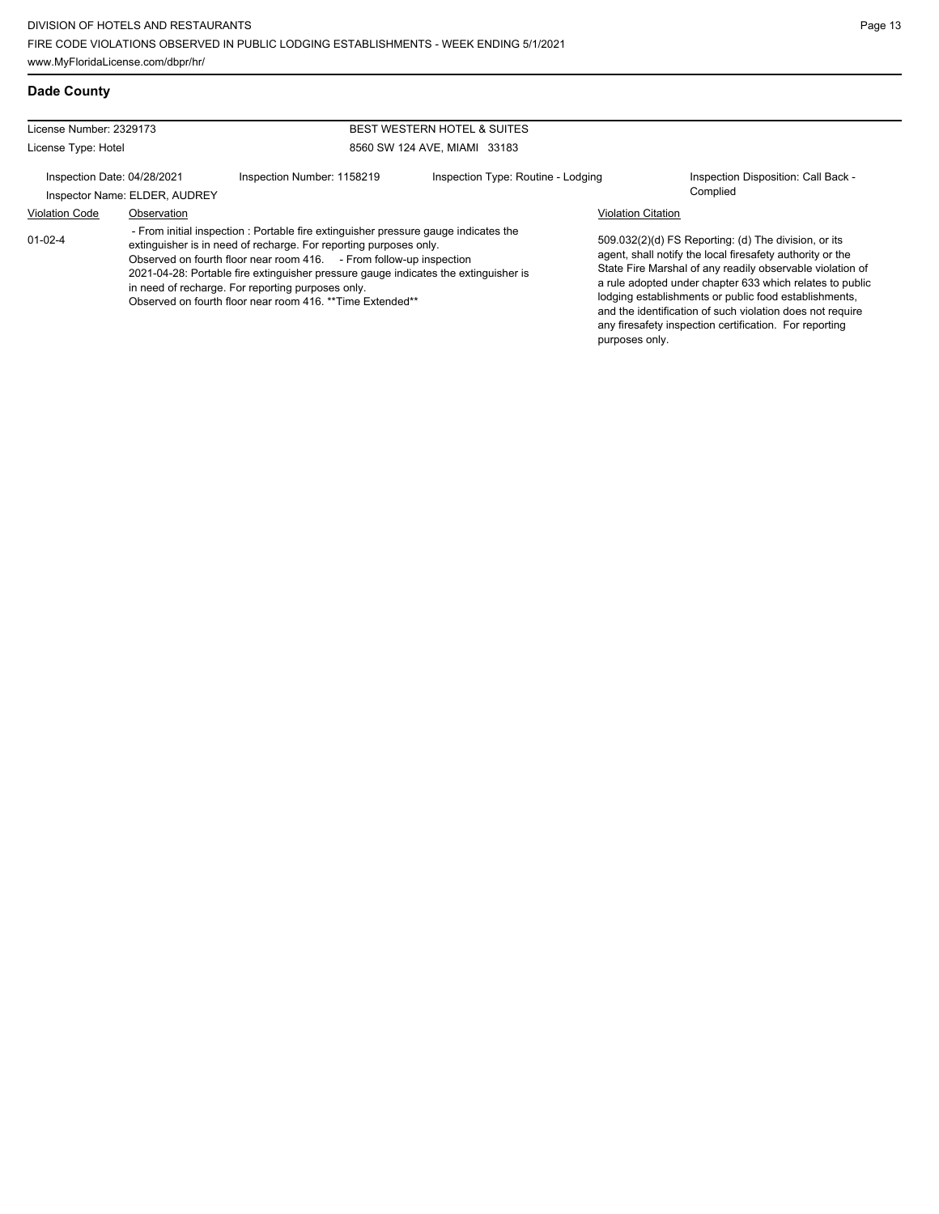#### License Number: 2329173 License Type: Hotel BEST WESTERN HOTEL & SUITES 8560 SW 124 AVE, MIAMI 33183 Inspection Date: 04/28/2021 Inspection Number: 1158219 Inspection Type: Routine - Lodging Inspection Disposition: Call Back -Inspector Name: ELDER, AUDREY Violation Code Observation Violation Citation 509.032(2)(d) FS Reporting: (d) The division, or its agent, shall notify the local firesafety authority or the State Fire Marshal of any readily observable violation of a rule adopted under chapter 633 which relates to public lodging establishments or public food establishments, and the identification of such violation does not require any firesafety inspection certification. For reporting purposes only. 01-02-4 - From initial inspection : Portable fire extinguisher pressure gauge indicates the extinguisher is in need of recharge. For reporting purposes only. Observed on fourth floor near room 416. - From follow-up inspection 2021-04-28: Portable fire extinguisher pressure gauge indicates the extinguisher is in need of recharge. For reporting purposes only. Observed on fourth floor near room 416. \*\*Time Extended\*\*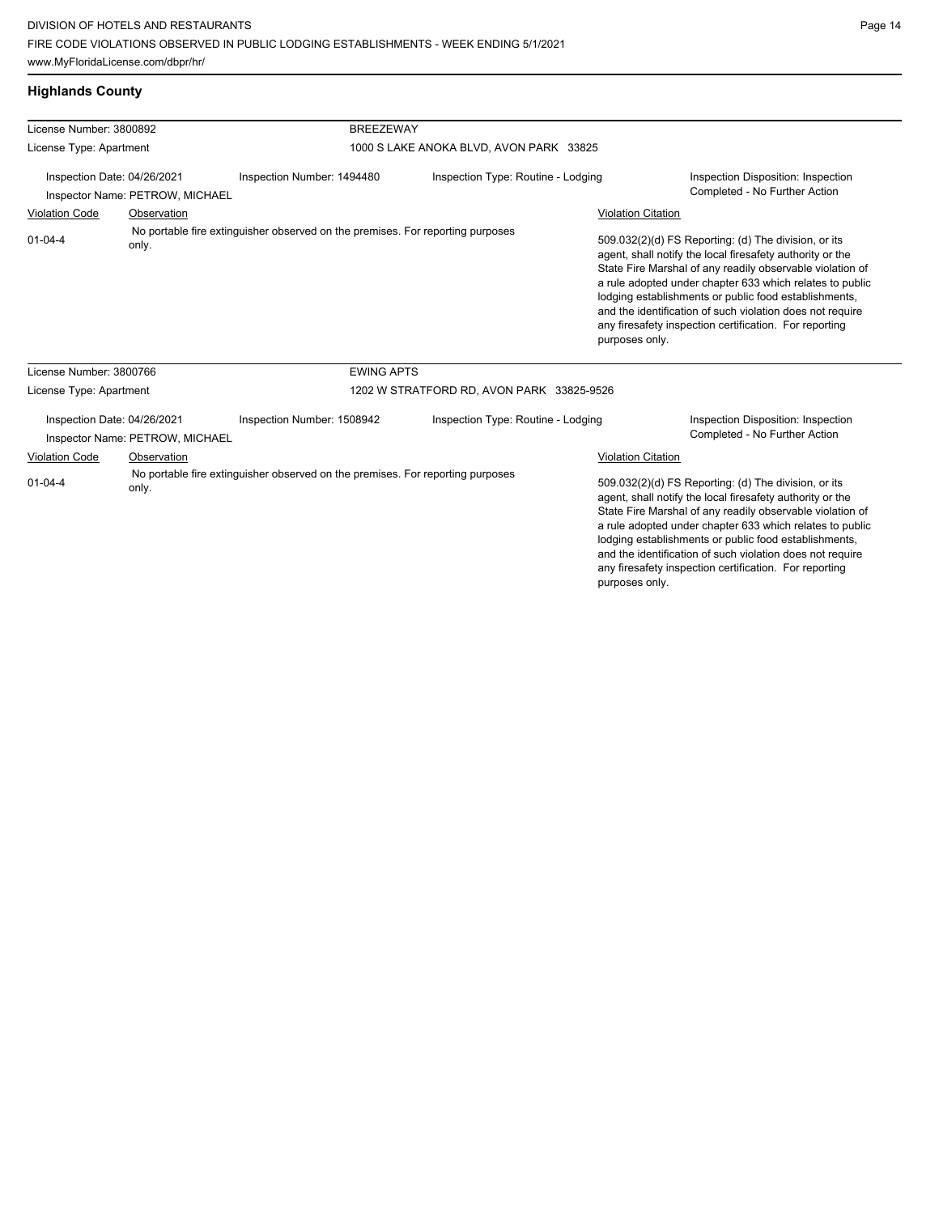# **Highlands County**

| License Number: 3800892                                        |                                 |                                                                                | <b>BREEZEWAY</b>                          |                           |                                                                                                                                                                                                                                                                                                                                                                                                                            |  |  |
|----------------------------------------------------------------|---------------------------------|--------------------------------------------------------------------------------|-------------------------------------------|---------------------------|----------------------------------------------------------------------------------------------------------------------------------------------------------------------------------------------------------------------------------------------------------------------------------------------------------------------------------------------------------------------------------------------------------------------------|--|--|
| License Type: Apartment                                        |                                 |                                                                                | 1000 S LAKE ANOKA BLVD, AVON PARK 33825   |                           |                                                                                                                                                                                                                                                                                                                                                                                                                            |  |  |
| Inspection Date: 04/26/2021<br>Inspector Name: PETROW, MICHAEL |                                 | Inspection Type: Routine - Lodging<br>Inspection Number: 1494480               |                                           |                           | Inspection Disposition: Inspection<br>Completed - No Further Action                                                                                                                                                                                                                                                                                                                                                        |  |  |
| <b>Violation Code</b>                                          | Observation                     |                                                                                |                                           | <b>Violation Citation</b> |                                                                                                                                                                                                                                                                                                                                                                                                                            |  |  |
| $01 - 04 - 4$                                                  | only.                           | No portable fire extinguisher observed on the premises. For reporting purposes |                                           | purposes only.            | 509.032(2)(d) FS Reporting: (d) The division, or its<br>agent, shall notify the local firesafety authority or the<br>State Fire Marshal of any readily observable violation of<br>a rule adopted under chapter 633 which relates to public<br>lodging establishments or public food establishments,<br>and the identification of such violation does not require<br>any firesafety inspection certification. For reporting |  |  |
| License Number: 3800766                                        |                                 | <b>EWING APTS</b>                                                              |                                           |                           |                                                                                                                                                                                                                                                                                                                                                                                                                            |  |  |
| License Type: Apartment                                        |                                 |                                                                                | 1202 W STRATFORD RD, AVON PARK 33825-9526 |                           |                                                                                                                                                                                                                                                                                                                                                                                                                            |  |  |
| Inspection Date: 04/26/2021                                    | Inspector Name: PETROW, MICHAEL | Inspection Number: 1508942                                                     | Inspection Type: Routine - Lodging        |                           | Inspection Disposition: Inspection<br>Completed - No Further Action                                                                                                                                                                                                                                                                                                                                                        |  |  |
| Violation Code                                                 | Observation                     |                                                                                |                                           | Violation Citation        |                                                                                                                                                                                                                                                                                                                                                                                                                            |  |  |
| $01 - 04 - 4$                                                  | only.                           | No portable fire extinguisher observed on the premises. For reporting purposes |                                           | purposes only.            | 509.032(2)(d) FS Reporting: (d) The division, or its<br>agent, shall notify the local firesafety authority or the<br>State Fire Marshal of any readily observable violation of<br>a rule adopted under chapter 633 which relates to public<br>lodging establishments or public food establishments,<br>and the identification of such violation does not require<br>any firesafety inspection certification. For reporting |  |  |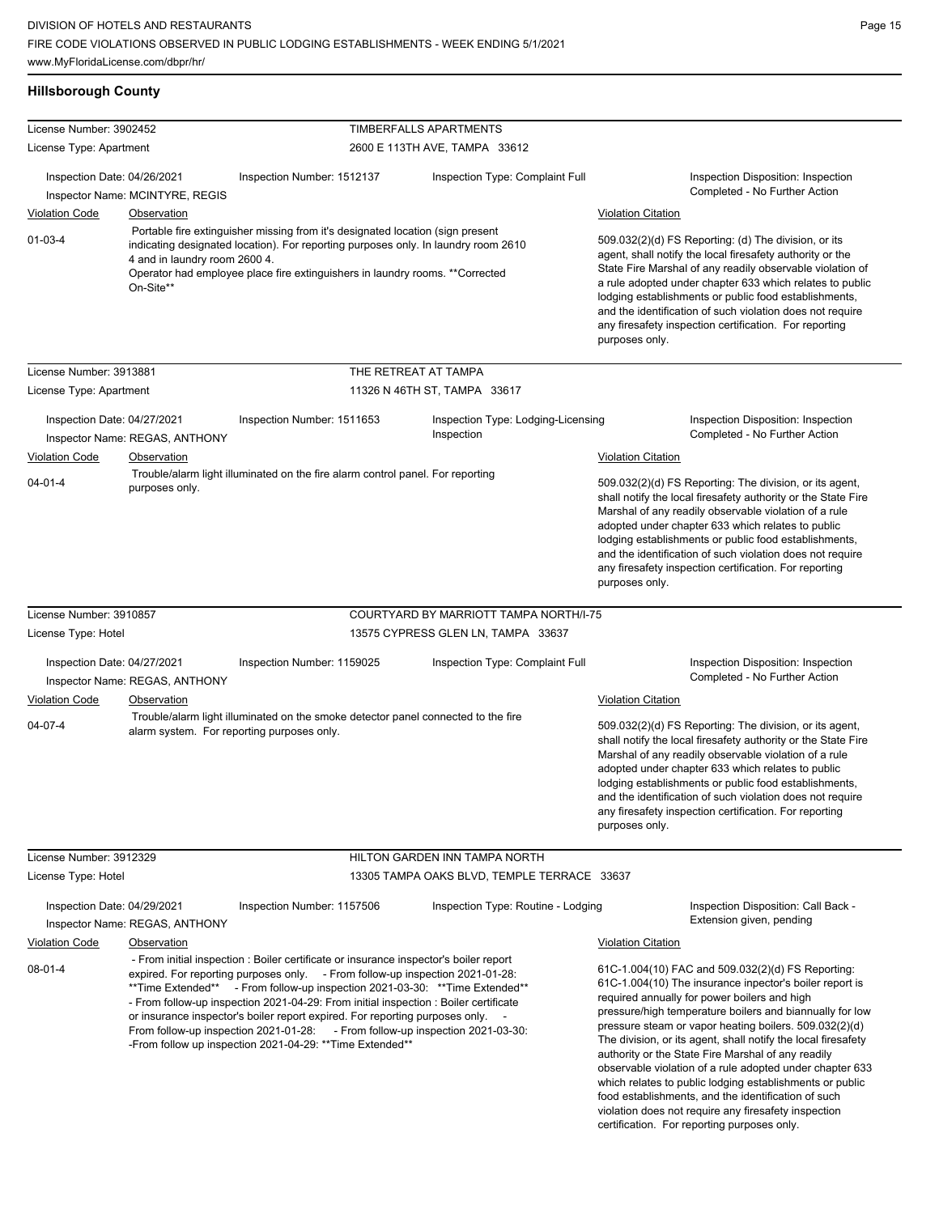# **Hillsborough County**

| License Number: 3902452     |                                               |                                                                                                                                                                                                                                                                                                                                                                                                                                                                                                                                                                               | TIMBERFALLS APARTMENTS       |                                             |                           |                                                                                                                                                                                                                                                                                                                                                                                                                                                                                                                                   |
|-----------------------------|-----------------------------------------------|-------------------------------------------------------------------------------------------------------------------------------------------------------------------------------------------------------------------------------------------------------------------------------------------------------------------------------------------------------------------------------------------------------------------------------------------------------------------------------------------------------------------------------------------------------------------------------|------------------------------|---------------------------------------------|---------------------------|-----------------------------------------------------------------------------------------------------------------------------------------------------------------------------------------------------------------------------------------------------------------------------------------------------------------------------------------------------------------------------------------------------------------------------------------------------------------------------------------------------------------------------------|
| License Type: Apartment     |                                               |                                                                                                                                                                                                                                                                                                                                                                                                                                                                                                                                                                               |                              | 2600 E 113TH AVE, TAMPA 33612               |                           |                                                                                                                                                                                                                                                                                                                                                                                                                                                                                                                                   |
| Inspection Date: 04/26/2021 |                                               | Inspection Number: 1512137                                                                                                                                                                                                                                                                                                                                                                                                                                                                                                                                                    |                              | Inspection Type: Complaint Full             |                           | Inspection Disposition: Inspection                                                                                                                                                                                                                                                                                                                                                                                                                                                                                                |
|                             | Inspector Name: MCINTYRE, REGIS               |                                                                                                                                                                                                                                                                                                                                                                                                                                                                                                                                                                               |                              |                                             |                           | Completed - No Further Action                                                                                                                                                                                                                                                                                                                                                                                                                                                                                                     |
| <b>Violation Code</b>       | Observation                                   |                                                                                                                                                                                                                                                                                                                                                                                                                                                                                                                                                                               |                              |                                             | <b>Violation Citation</b> |                                                                                                                                                                                                                                                                                                                                                                                                                                                                                                                                   |
| $01 - 03 - 4$               | 4 and in laundry room 2600 4.<br>On-Site**    | Portable fire extinguisher missing from it's designated location (sign present<br>indicating designated location). For reporting purposes only. In laundry room 2610<br>Operator had employee place fire extinguishers in laundry rooms. **Corrected                                                                                                                                                                                                                                                                                                                          |                              |                                             | purposes only.            | 509.032(2)(d) FS Reporting: (d) The division, or its<br>agent, shall notify the local firesafety authority or the<br>State Fire Marshal of any readily observable violation of<br>a rule adopted under chapter 633 which relates to public<br>lodging establishments or public food establishments,<br>and the identification of such violation does not require<br>any firesafety inspection certification. For reporting                                                                                                        |
| License Number: 3913881     |                                               |                                                                                                                                                                                                                                                                                                                                                                                                                                                                                                                                                                               | THE RETREAT AT TAMPA         |                                             |                           |                                                                                                                                                                                                                                                                                                                                                                                                                                                                                                                                   |
| License Type: Apartment     |                                               |                                                                                                                                                                                                                                                                                                                                                                                                                                                                                                                                                                               | 11326 N 46TH ST, TAMPA 33617 |                                             |                           |                                                                                                                                                                                                                                                                                                                                                                                                                                                                                                                                   |
| Inspection Date: 04/27/2021 | Inspector Name: REGAS, ANTHONY                | Inspection Number: 1511653                                                                                                                                                                                                                                                                                                                                                                                                                                                                                                                                                    | Inspection                   | Inspection Type: Lodging-Licensing          |                           | Inspection Disposition: Inspection<br>Completed - No Further Action                                                                                                                                                                                                                                                                                                                                                                                                                                                               |
| <b>Violation Code</b>       | Observation                                   |                                                                                                                                                                                                                                                                                                                                                                                                                                                                                                                                                                               |                              |                                             | <b>Violation Citation</b> |                                                                                                                                                                                                                                                                                                                                                                                                                                                                                                                                   |
| $04 - 01 - 4$               | purposes only.                                | Trouble/alarm light illuminated on the fire alarm control panel. For reporting                                                                                                                                                                                                                                                                                                                                                                                                                                                                                                |                              |                                             | purposes only.            | 509.032(2)(d) FS Reporting: The division, or its agent,<br>shall notify the local firesafety authority or the State Fire<br>Marshal of any readily observable violation of a rule<br>adopted under chapter 633 which relates to public<br>lodging establishments or public food establishments,<br>and the identification of such violation does not require<br>any firesafety inspection certification. For reporting                                                                                                            |
| License Number: 3910857     |                                               |                                                                                                                                                                                                                                                                                                                                                                                                                                                                                                                                                                               |                              | COURTYARD BY MARRIOTT TAMPA NORTH/I-75      |                           |                                                                                                                                                                                                                                                                                                                                                                                                                                                                                                                                   |
| License Type: Hotel         |                                               |                                                                                                                                                                                                                                                                                                                                                                                                                                                                                                                                                                               |                              | 13575 CYPRESS GLEN LN, TAMPA 33637          |                           |                                                                                                                                                                                                                                                                                                                                                                                                                                                                                                                                   |
| Inspection Date: 04/27/2021 | Inspector Name: REGAS, ANTHONY<br>Observation | Inspection Number: 1159025                                                                                                                                                                                                                                                                                                                                                                                                                                                                                                                                                    |                              | Inspection Type: Complaint Full             |                           | Inspection Disposition: Inspection<br>Completed - No Further Action                                                                                                                                                                                                                                                                                                                                                                                                                                                               |
| <b>Violation Code</b>       |                                               | Trouble/alarm light illuminated on the smoke detector panel connected to the fire                                                                                                                                                                                                                                                                                                                                                                                                                                                                                             |                              |                                             | <b>Violation Citation</b> |                                                                                                                                                                                                                                                                                                                                                                                                                                                                                                                                   |
| $04 - 07 - 4$               | alarm system. For reporting purposes only.    |                                                                                                                                                                                                                                                                                                                                                                                                                                                                                                                                                                               |                              |                                             | purposes only.            | 509.032(2)(d) FS Reporting: The division, or its agent,<br>shall notify the local firesafety authority or the State Fire<br>Marshal of any readily observable violation of a rule<br>adopted under chapter 633 which relates to public<br>lodging establishments or public food establishments,<br>and the identification of such violation does not require<br>any firesafety inspection certification. For reporting                                                                                                            |
| License Number: 3912329     |                                               |                                                                                                                                                                                                                                                                                                                                                                                                                                                                                                                                                                               |                              | HILTON GARDEN INN TAMPA NORTH               |                           |                                                                                                                                                                                                                                                                                                                                                                                                                                                                                                                                   |
| License Type: Hotel         |                                               |                                                                                                                                                                                                                                                                                                                                                                                                                                                                                                                                                                               |                              | 13305 TAMPA OAKS BLVD, TEMPLE TERRACE 33637 |                           |                                                                                                                                                                                                                                                                                                                                                                                                                                                                                                                                   |
| Inspection Date: 04/29/2021 | Inspector Name: REGAS, ANTHONY                | Inspection Number: 1157506                                                                                                                                                                                                                                                                                                                                                                                                                                                                                                                                                    |                              | Inspection Type: Routine - Lodging          |                           | Inspection Disposition: Call Back -<br>Extension given, pending                                                                                                                                                                                                                                                                                                                                                                                                                                                                   |
| <b>Violation Code</b>       | <b>Observation</b>                            |                                                                                                                                                                                                                                                                                                                                                                                                                                                                                                                                                                               |                              |                                             | <b>Violation Citation</b> |                                                                                                                                                                                                                                                                                                                                                                                                                                                                                                                                   |
| 08-01-4                     |                                               | - From initial inspection : Boiler certificate or insurance inspector's boiler report<br>expired. For reporting purposes only. - From follow-up inspection 2021-01-28:<br>**Time Extended** - From follow-up inspection 2021-03-30: **Time Extended**<br>- From follow-up inspection 2021-04-29: From initial inspection : Boiler certificate<br>or insurance inspector's boiler report expired. For reporting purposes only. -<br>From follow-up inspection 2021-01-28: - From follow-up inspection 2021-03-30:<br>-From follow up inspection 2021-04-29: ** Time Extended** |                              |                                             |                           | 61C-1.004(10) FAC and 509.032(2)(d) FS Reporting:<br>61C-1.004(10) The insurance inpector's boiler report is<br>required annually for power boilers and high<br>pressure/high temperature boilers and biannually for low<br>pressure steam or vapor heating boilers. 509.032(2)(d)<br>The division, or its agent, shall notify the local firesafety<br>authority or the State Fire Marshal of any readily<br>observable violation of a rule adopted under chapter 633<br>which relates to public lodging establishments or public |

food establishments, and the identification of such violation does not require any firesafety inspection certification. For reporting purposes only.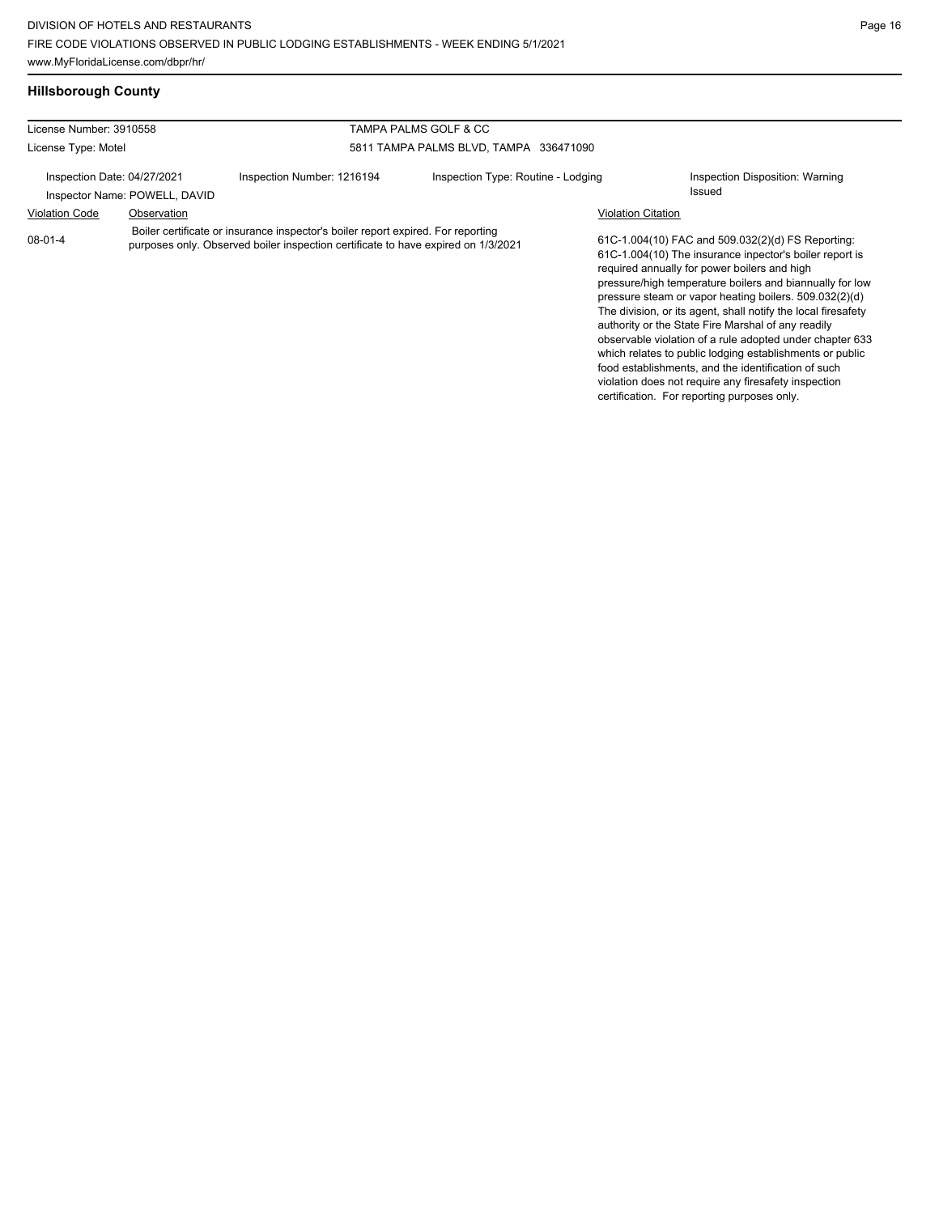#### **Hillsborough County**

| License Number: 3910558<br>TAMPA PALMS GOLF & CC |                                                              |                                                                                                                                                                       |                                        |                           |                                                                                                                                                                                                                                                                                                                                                                                                           |  |
|--------------------------------------------------|--------------------------------------------------------------|-----------------------------------------------------------------------------------------------------------------------------------------------------------------------|----------------------------------------|---------------------------|-----------------------------------------------------------------------------------------------------------------------------------------------------------------------------------------------------------------------------------------------------------------------------------------------------------------------------------------------------------------------------------------------------------|--|
| License Type: Motel                              |                                                              |                                                                                                                                                                       | 5811 TAMPA PALMS BLVD, TAMPA 336471090 |                           |                                                                                                                                                                                                                                                                                                                                                                                                           |  |
|                                                  | Inspection Date: 04/27/2021<br>Inspector Name: POWELL, DAVID | Inspection Number: 1216194                                                                                                                                            | Inspection Type: Routine - Lodging     |                           | Inspection Disposition: Warning<br>Issued                                                                                                                                                                                                                                                                                                                                                                 |  |
| <b>Violation Code</b>                            | Observation                                                  |                                                                                                                                                                       |                                        | <b>Violation Citation</b> |                                                                                                                                                                                                                                                                                                                                                                                                           |  |
| 08-01-4                                          |                                                              | Boiler certificate or insurance inspector's boiler report expired. For reporting<br>purposes only. Observed boiler inspection certificate to have expired on 1/3/2021 |                                        |                           | 61C-1.004(10) FAC and 509.032(2)(d) FS Reporting:<br>61C-1.004(10) The insurance inpector's boiler report is<br>required annually for power boilers and high<br>pressure/high temperature boilers and biannually for low<br>pressure steam or vapor heating boilers. 509.032(2)(d)<br>The division, or its agent, shall notify the local firesafety<br>authority or the State Fire Marshal of any readily |  |

observable violation of a rule adopted under chapter 633 which relates to public lodging establishments or public food establishments, and the identification of such violation does not require any firesafety inspection certification. For reporting purposes only.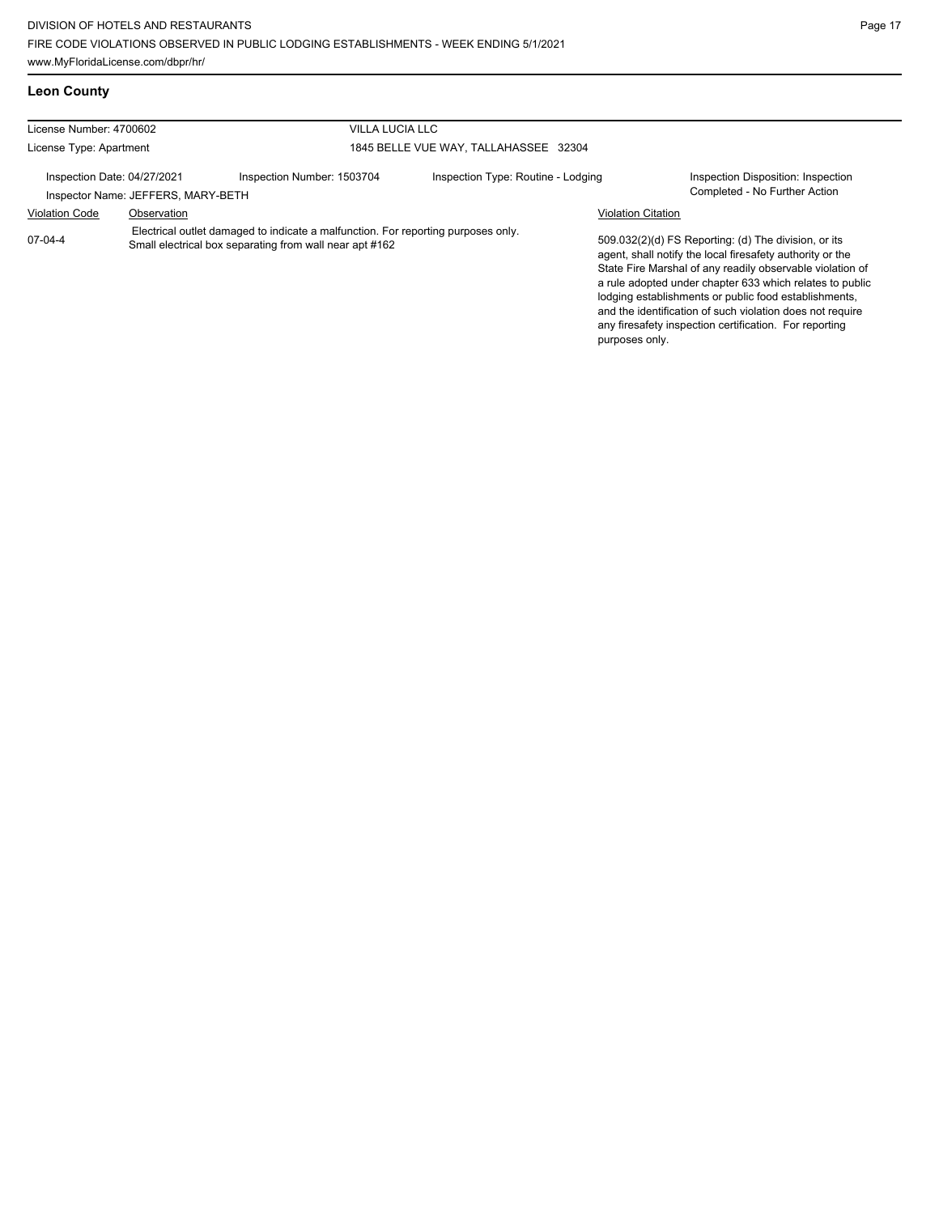# **Leon County**

| License Number: 4700602     |                                    | <b>VILLA LUCIA LLC</b>                                                                                                                       |                                       |                                                                                                                                                                                                                                                                                                                                                                                                                            |
|-----------------------------|------------------------------------|----------------------------------------------------------------------------------------------------------------------------------------------|---------------------------------------|----------------------------------------------------------------------------------------------------------------------------------------------------------------------------------------------------------------------------------------------------------------------------------------------------------------------------------------------------------------------------------------------------------------------------|
| License Type: Apartment     |                                    |                                                                                                                                              | 1845 BELLE VUE WAY, TALLAHASSEE 32304 |                                                                                                                                                                                                                                                                                                                                                                                                                            |
| Inspection Date: 04/27/2021 | Inspector Name: JEFFERS, MARY-BETH | Inspection Number: 1503704                                                                                                                   | Inspection Type: Routine - Lodging    | Inspection Disposition: Inspection<br>Completed - No Further Action                                                                                                                                                                                                                                                                                                                                                        |
| <b>Violation Code</b>       | Observation                        |                                                                                                                                              |                                       | <b>Violation Citation</b>                                                                                                                                                                                                                                                                                                                                                                                                  |
| 07-04-4                     |                                    | Electrical outlet damaged to indicate a malfunction. For reporting purposes only.<br>Small electrical box separating from wall near apt #162 |                                       | 509.032(2)(d) FS Reporting: (d) The division, or its<br>agent, shall notify the local firesafety authority or the<br>State Fire Marshal of any readily observable violation of<br>a rule adopted under chapter 633 which relates to public<br>lodging establishments or public food establishments,<br>and the identification of such violation does not require<br>any firesafety inspection certification. For reporting |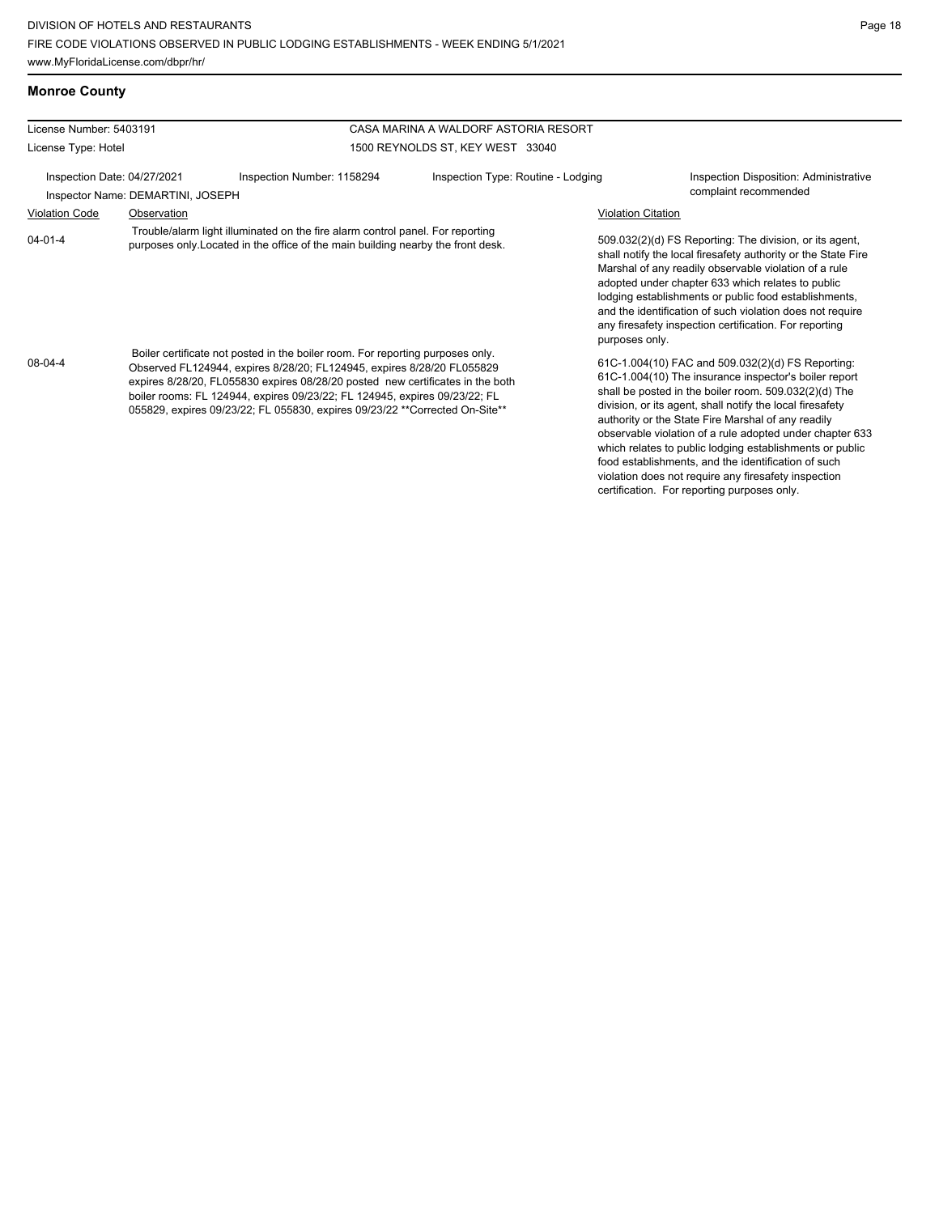**Monroe County**

| License Number: 5403191 |                                                                  |                                                                                                                                                                                                                                                                                                                                                                                                         | CASA MARINA A WALDORF ASTORIA RESORT |                                                                                                                                                                                                                                                                                                                                                                                                                                                                                                                                                                              |
|-------------------------|------------------------------------------------------------------|---------------------------------------------------------------------------------------------------------------------------------------------------------------------------------------------------------------------------------------------------------------------------------------------------------------------------------------------------------------------------------------------------------|--------------------------------------|------------------------------------------------------------------------------------------------------------------------------------------------------------------------------------------------------------------------------------------------------------------------------------------------------------------------------------------------------------------------------------------------------------------------------------------------------------------------------------------------------------------------------------------------------------------------------|
| License Type: Hotel     |                                                                  |                                                                                                                                                                                                                                                                                                                                                                                                         | 1500 REYNOLDS ST, KEY WEST 33040     |                                                                                                                                                                                                                                                                                                                                                                                                                                                                                                                                                                              |
|                         | Inspection Date: 04/27/2021<br>Inspector Name: DEMARTINI, JOSEPH | Inspection Number: 1158294                                                                                                                                                                                                                                                                                                                                                                              | Inspection Type: Routine - Lodging   | Inspection Disposition: Administrative<br>complaint recommended                                                                                                                                                                                                                                                                                                                                                                                                                                                                                                              |
| <b>Violation Code</b>   | Observation                                                      |                                                                                                                                                                                                                                                                                                                                                                                                         |                                      | <b>Violation Citation</b>                                                                                                                                                                                                                                                                                                                                                                                                                                                                                                                                                    |
| $04 - 01 - 4$           |                                                                  | Trouble/alarm light illuminated on the fire alarm control panel. For reporting<br>purposes only. Located in the office of the main building nearby the front desk.                                                                                                                                                                                                                                      |                                      | 509.032(2)(d) FS Reporting: The division, or its agent,<br>shall notify the local firesafety authority or the State Fire<br>Marshal of any readily observable violation of a rule<br>adopted under chapter 633 which relates to public<br>lodging establishments or public food establishments,<br>and the identification of such violation does not require<br>any firesafety inspection certification. For reporting<br>purposes only.                                                                                                                                     |
| $08 - 04 - 4$           |                                                                  | Boiler certificate not posted in the boiler room. For reporting purposes only.<br>Observed FL124944, expires 8/28/20; FL124945, expires 8/28/20 FL055829<br>expires 8/28/20, FL055830 expires 08/28/20 posted new certificates in the both<br>boiler rooms: FL 124944, expires 09/23/22; FL 124945, expires 09/23/22; FL<br>055829, expires 09/23/22; FL 055830, expires 09/23/22 **Corrected On-Site** |                                      | 61C-1.004(10) FAC and 509.032(2)(d) FS Reporting:<br>61C-1.004(10) The insurance inspector's boiler report<br>shall be posted in the boiler room. 509.032(2)(d) The<br>division, or its agent, shall notify the local firesafety<br>authority or the State Fire Marshal of any readily<br>observable violation of a rule adopted under chapter 633<br>which relates to public lodging establishments or public<br>food establishments, and the identification of such<br>violation does not require any firesafety inspection<br>certification. For reporting purposes only. |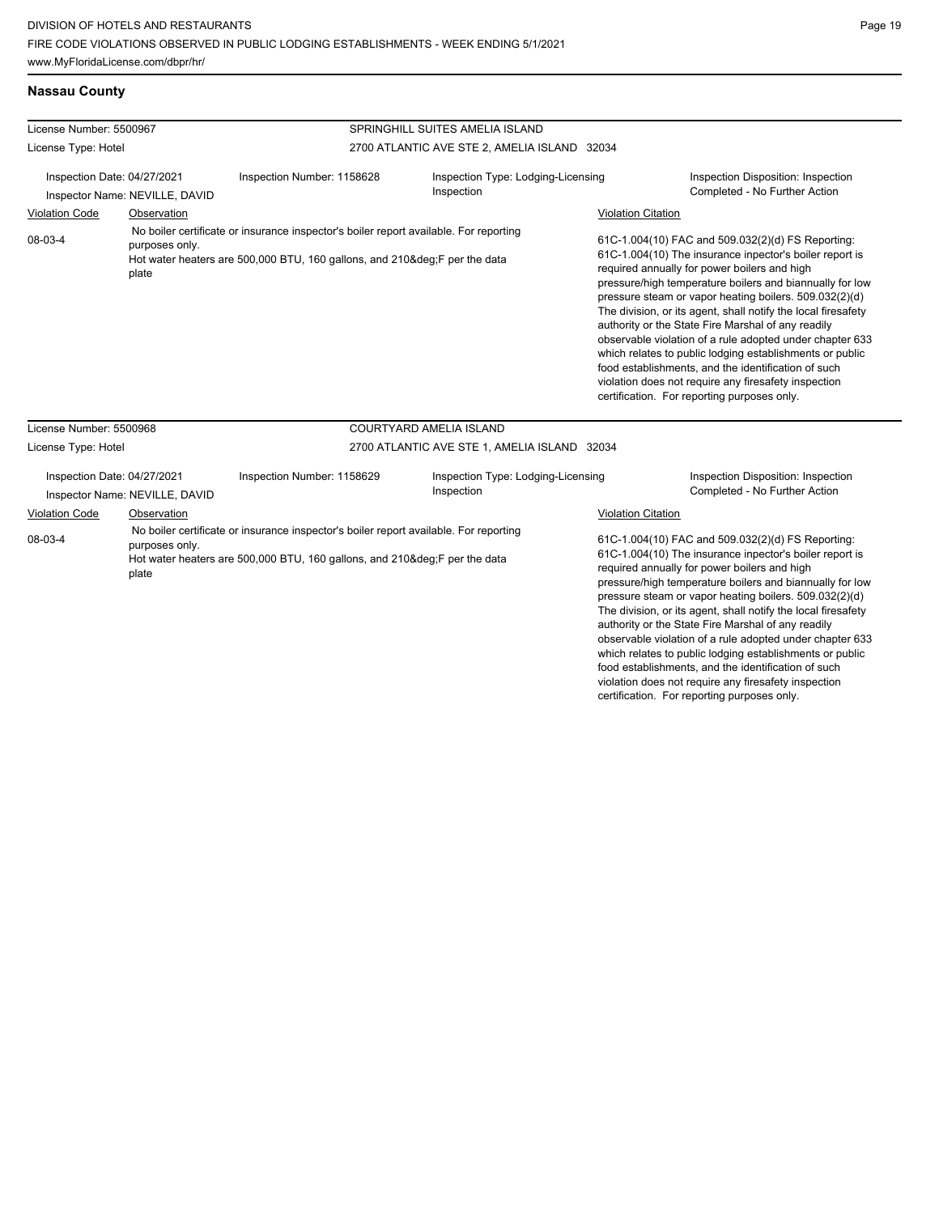#### **Nassau County**

| License Number: 5500967          |                                                               |                                                                                                                                                                 | SPRINGHILL SUITES AMELIA ISLAND                  |                                                                                                                                                                                                                                                                                                                                                                                                                                                                                                                                                                                                                                                                                                                              |
|----------------------------------|---------------------------------------------------------------|-----------------------------------------------------------------------------------------------------------------------------------------------------------------|--------------------------------------------------|------------------------------------------------------------------------------------------------------------------------------------------------------------------------------------------------------------------------------------------------------------------------------------------------------------------------------------------------------------------------------------------------------------------------------------------------------------------------------------------------------------------------------------------------------------------------------------------------------------------------------------------------------------------------------------------------------------------------------|
| License Type: Hotel              |                                                               |                                                                                                                                                                 | 2700 ATLANTIC AVE STE 2, AMELIA ISLAND 32034     |                                                                                                                                                                                                                                                                                                                                                                                                                                                                                                                                                                                                                                                                                                                              |
|                                  | Inspection Date: 04/27/2021<br>Inspector Name: NEVILLE, DAVID | Inspection Number: 1158628                                                                                                                                      | Inspection Type: Lodging-Licensing<br>Inspection | Inspection Disposition: Inspection<br>Completed - No Further Action                                                                                                                                                                                                                                                                                                                                                                                                                                                                                                                                                                                                                                                          |
| <b>Violation Code</b><br>08-03-4 | Observation<br>purposes only.<br>plate                        | No boiler certificate or insurance inspector's boiler report available. For reporting<br>Hot water heaters are 500,000 BTU, 160 gallons, and 210°F per the data |                                                  | <b>Violation Citation</b><br>61C-1.004(10) FAC and 509.032(2)(d) FS Reporting:<br>61C-1.004(10) The insurance inpector's boiler report is<br>required annually for power boilers and high<br>pressure/high temperature boilers and biannually for low<br>pressure steam or vapor heating boilers. 509.032(2)(d)<br>The division, or its agent, shall notify the local firesafety<br>authority or the State Fire Marshal of any readily<br>observable violation of a rule adopted under chapter 633<br>which relates to public lodging establishments or public<br>food establishments, and the identification of such<br>violation does not require any firesafety inspection<br>certification. For reporting purposes only. |
| License Number: 5500968          |                                                               |                                                                                                                                                                 | COURTYARD AMELIA ISLAND                          |                                                                                                                                                                                                                                                                                                                                                                                                                                                                                                                                                                                                                                                                                                                              |
| License Type: Hotel              |                                                               |                                                                                                                                                                 | 2700 ATLANTIC AVE STE 1, AMELIA ISLAND 32034     |                                                                                                                                                                                                                                                                                                                                                                                                                                                                                                                                                                                                                                                                                                                              |
| Inspection Date: 04/27/2021      | Inenactor Nama: NEVIII IF DAVID                               | Inspection Number: 1158629                                                                                                                                      | Inspection Type: Lodging-Licensing<br>Inspection | Inspection Disposition: Inspection<br>Completed - No Further Action                                                                                                                                                                                                                                                                                                                                                                                                                                                                                                                                                                                                                                                          |

Inspector Name: NEVILLE, DAVID **Inspection** Inspection **Inspection** Completed - No Further Action Violation Code Observation Violation Citation 61C-1.004(10) FAC and 509.032(2)(d) FS Reporting: 61C-1.004(10) The insurance inpector's boiler report is required annually for power boilers and high pressure/high temperature boilers and biannually for low pressure steam or vapor heating boilers. 509.032(2)(d) The division, or its agent, shall notify the local firesafety 08-03-4 No boiler certificate or insurance inspector's boiler report available. For reporting purposes only. Hot water heaters are 500,000 BTU, 160 gallons, and 210°F per the data plate

authority or the State Fire Marshal of any readily observable violation of a rule adopted under chapter 633 which relates to public lodging establishments or public food establishments, and the identification of such violation does not require any firesafety inspection certification. For reporting purposes only.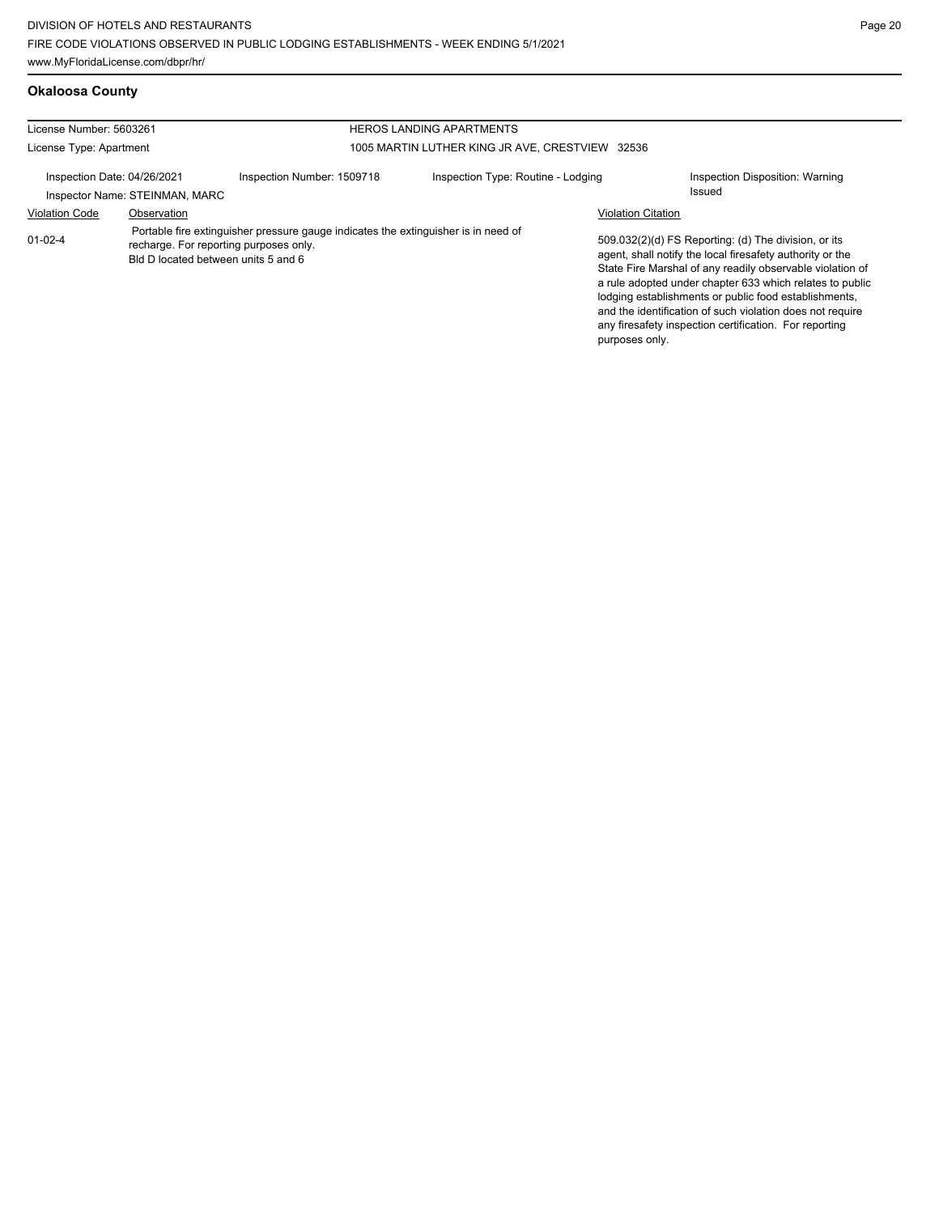# **Okaloosa County**

| License Number: 5603261     |                                     |                                                                                                                              | <b>HEROS LANDING APARTMENTS</b>                 |                           |                                                                                                                                                                                                                                                                                                                                                                                                                            |
|-----------------------------|-------------------------------------|------------------------------------------------------------------------------------------------------------------------------|-------------------------------------------------|---------------------------|----------------------------------------------------------------------------------------------------------------------------------------------------------------------------------------------------------------------------------------------------------------------------------------------------------------------------------------------------------------------------------------------------------------------------|
| License Type: Apartment     |                                     |                                                                                                                              | 1005 MARTIN LUTHER KING JR AVE, CRESTVIEW 32536 |                           |                                                                                                                                                                                                                                                                                                                                                                                                                            |
| Inspection Date: 04/26/2021 | Inspector Name: STEINMAN, MARC      | Inspection Number: 1509718                                                                                                   | Inspection Type: Routine - Lodging              |                           | Inspection Disposition: Warning<br>Issued                                                                                                                                                                                                                                                                                                                                                                                  |
| <b>Violation Code</b>       | Observation                         |                                                                                                                              |                                                 | <b>Violation Citation</b> |                                                                                                                                                                                                                                                                                                                                                                                                                            |
| $01 - 02 - 4$               | Bld D located between units 5 and 6 | Portable fire extinguisher pressure gauge indicates the extinguisher is in need of<br>recharge. For reporting purposes only. |                                                 | purposes only.            | 509.032(2)(d) FS Reporting: (d) The division, or its<br>agent, shall notify the local firesafety authority or the<br>State Fire Marshal of any readily observable violation of<br>a rule adopted under chapter 633 which relates to public<br>lodging establishments or public food establishments,<br>and the identification of such violation does not require<br>any firesafety inspection certification. For reporting |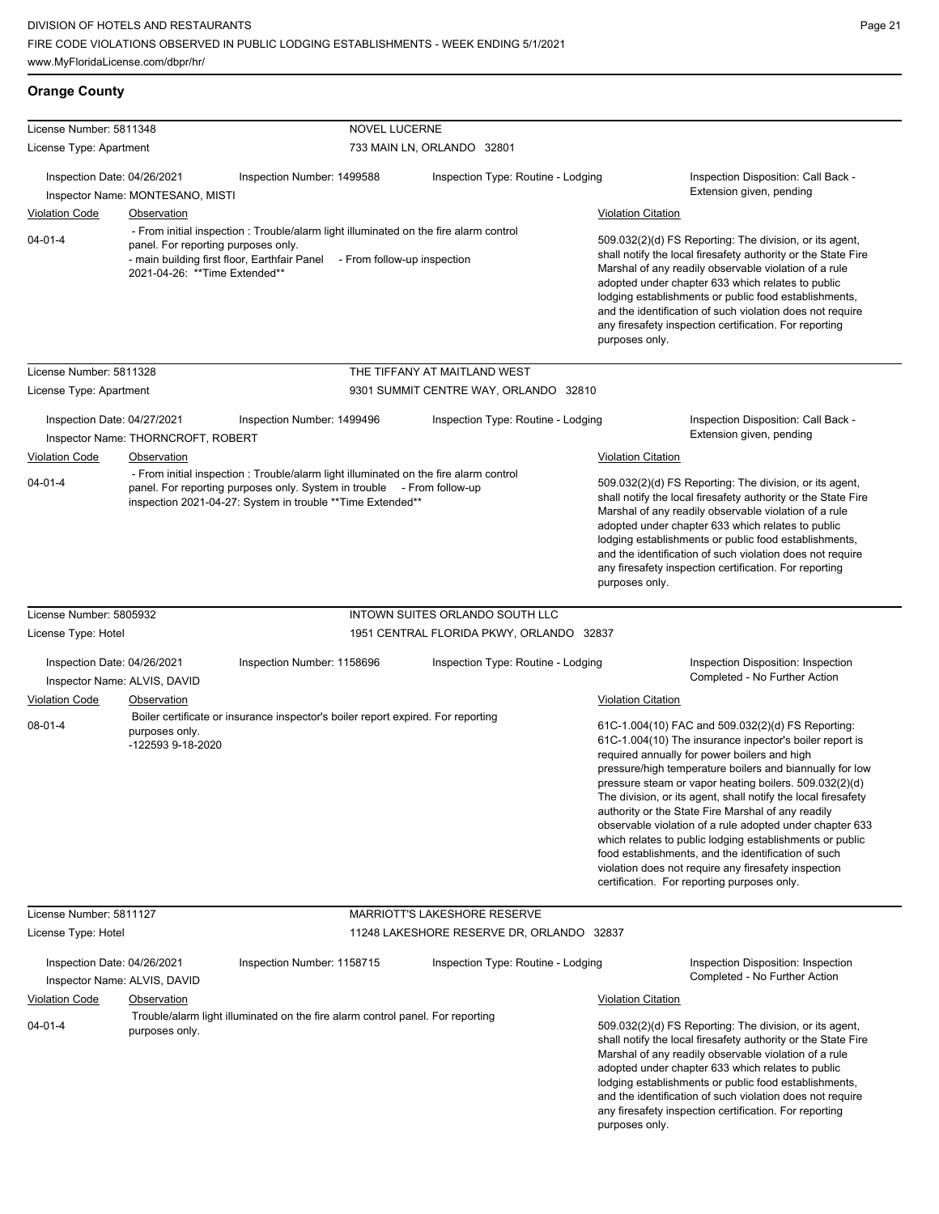**Orange County**

| License Number: 5811348                                     |                                                                                                                      |                                                                                                                                                                                                                                | <b>NOVEL LUCERNE</b>        |                                           |                           |                                                                                                                                                                                                                                                                                                                                                                                                                                                                                                                                                                                                                                                                                                 |
|-------------------------------------------------------------|----------------------------------------------------------------------------------------------------------------------|--------------------------------------------------------------------------------------------------------------------------------------------------------------------------------------------------------------------------------|-----------------------------|-------------------------------------------|---------------------------|-------------------------------------------------------------------------------------------------------------------------------------------------------------------------------------------------------------------------------------------------------------------------------------------------------------------------------------------------------------------------------------------------------------------------------------------------------------------------------------------------------------------------------------------------------------------------------------------------------------------------------------------------------------------------------------------------|
| License Type: Apartment                                     |                                                                                                                      |                                                                                                                                                                                                                                |                             | 733 MAIN LN, ORLANDO 32801                |                           |                                                                                                                                                                                                                                                                                                                                                                                                                                                                                                                                                                                                                                                                                                 |
| Inspection Date: 04/26/2021                                 | Inspector Name: MONTESANO, MISTI                                                                                     | Inspection Number: 1499588                                                                                                                                                                                                     |                             | Inspection Type: Routine - Lodging        |                           | Inspection Disposition: Call Back -<br>Extension given, pending                                                                                                                                                                                                                                                                                                                                                                                                                                                                                                                                                                                                                                 |
| <b>Violation Code</b>                                       | Observation                                                                                                          |                                                                                                                                                                                                                                |                             |                                           | <b>Violation Citation</b> |                                                                                                                                                                                                                                                                                                                                                                                                                                                                                                                                                                                                                                                                                                 |
| $04 - 01 - 4$                                               | panel. For reporting purposes only.<br>- main building first floor, Earthfair Panel<br>2021-04-26: **Time Extended** | - From initial inspection : Trouble/alarm light illuminated on the fire alarm control                                                                                                                                          | - From follow-up inspection |                                           | purposes only.            | 509.032(2)(d) FS Reporting: The division, or its agent,<br>shall notify the local firesafety authority or the State Fire<br>Marshal of any readily observable violation of a rule<br>adopted under chapter 633 which relates to public<br>lodging establishments or public food establishments,<br>and the identification of such violation does not require<br>any firesafety inspection certification. For reporting                                                                                                                                                                                                                                                                          |
| License Number: 5811328                                     |                                                                                                                      |                                                                                                                                                                                                                                |                             | THE TIFFANY AT MAITLAND WEST              |                           |                                                                                                                                                                                                                                                                                                                                                                                                                                                                                                                                                                                                                                                                                                 |
| License Type: Apartment                                     |                                                                                                                      |                                                                                                                                                                                                                                |                             | 9301 SUMMIT CENTRE WAY, ORLANDO 32810     |                           |                                                                                                                                                                                                                                                                                                                                                                                                                                                                                                                                                                                                                                                                                                 |
| Inspection Date: 04/27/2021<br><b>Violation Code</b>        | Inspector Name: THORNCROFT, ROBERT<br>Observation                                                                    | Inspection Number: 1499496                                                                                                                                                                                                     |                             | Inspection Type: Routine - Lodging        | <b>Violation Citation</b> | Inspection Disposition: Call Back -<br>Extension given, pending                                                                                                                                                                                                                                                                                                                                                                                                                                                                                                                                                                                                                                 |
| $04 - 01 - 4$                                               |                                                                                                                      | - From initial inspection : Trouble/alarm light illuminated on the fire alarm control<br>panel. For reporting purposes only. System in trouble - From follow-up<br>inspection 2021-04-27: System in trouble ** Time Extended** |                             |                                           | purposes only.            | 509.032(2)(d) FS Reporting: The division, or its agent,<br>shall notify the local firesafety authority or the State Fire<br>Marshal of any readily observable violation of a rule<br>adopted under chapter 633 which relates to public<br>lodging establishments or public food establishments,<br>and the identification of such violation does not require<br>any firesafety inspection certification. For reporting                                                                                                                                                                                                                                                                          |
| License Number: 5805932                                     |                                                                                                                      |                                                                                                                                                                                                                                |                             | INTOWN SUITES ORLANDO SOUTH LLC           |                           |                                                                                                                                                                                                                                                                                                                                                                                                                                                                                                                                                                                                                                                                                                 |
| License Type: Hotel                                         |                                                                                                                      |                                                                                                                                                                                                                                |                             | 1951 CENTRAL FLORIDA PKWY, ORLANDO 32837  |                           |                                                                                                                                                                                                                                                                                                                                                                                                                                                                                                                                                                                                                                                                                                 |
| Inspection Date: 04/26/2021<br>Inspector Name: ALVIS, DAVID |                                                                                                                      | Inspection Number: 1158696                                                                                                                                                                                                     |                             | Inspection Type: Routine - Lodging        |                           | Inspection Disposition: Inspection<br>Completed - No Further Action                                                                                                                                                                                                                                                                                                                                                                                                                                                                                                                                                                                                                             |
| <b>Violation Code</b>                                       | Observation                                                                                                          |                                                                                                                                                                                                                                |                             |                                           | <b>Violation Citation</b> |                                                                                                                                                                                                                                                                                                                                                                                                                                                                                                                                                                                                                                                                                                 |
| $08 - 01 - 4$                                               | purposes only.<br>-122593 9-18-2020                                                                                  | Boiler certificate or insurance inspector's boiler report expired. For reporting                                                                                                                                               |                             |                                           |                           | 61C-1.004(10) FAC and 509.032(2)(d) FS Reporting:<br>61C-1.004(10) The insurance inpector's boiler report is<br>required annually for power boilers and high<br>pressure/high temperature boilers and biannually for low<br>pressure steam or vapor heating boilers. 509.032(2)(d)<br>The division, or its agent, shall notify the local firesafety<br>authority or the State Fire Marshal of any readily<br>observable violation of a rule adopted under chapter 633<br>which relates to public lodging establishments or public<br>food establishments, and the identification of such<br>violation does not require any firesafety inspection<br>certification. For reporting purposes only. |
| License Number: 5811127                                     |                                                                                                                      |                                                                                                                                                                                                                                |                             | <b>MARRIOTT'S LAKESHORE RESERVE</b>       |                           |                                                                                                                                                                                                                                                                                                                                                                                                                                                                                                                                                                                                                                                                                                 |
| License Type: Hotel                                         |                                                                                                                      |                                                                                                                                                                                                                                |                             | 11248 LAKESHORE RESERVE DR, ORLANDO 32837 |                           |                                                                                                                                                                                                                                                                                                                                                                                                                                                                                                                                                                                                                                                                                                 |
| Inspection Date: 04/26/2021<br>Inspector Name: ALVIS, DAVID |                                                                                                                      | Inspection Number: 1158715                                                                                                                                                                                                     |                             | Inspection Type: Routine - Lodging        |                           | Inspection Disposition: Inspection<br>Completed - No Further Action                                                                                                                                                                                                                                                                                                                                                                                                                                                                                                                                                                                                                             |
| <b>Violation Code</b>                                       | Observation                                                                                                          |                                                                                                                                                                                                                                |                             |                                           | <b>Violation Citation</b> |                                                                                                                                                                                                                                                                                                                                                                                                                                                                                                                                                                                                                                                                                                 |
| $04 - 01 - 4$                                               | purposes only.                                                                                                       | Trouble/alarm light illuminated on the fire alarm control panel. For reporting                                                                                                                                                 |                             |                                           | purposes only.            | 509.032(2)(d) FS Reporting: The division, or its agent,<br>shall notify the local firesafety authority or the State Fire<br>Marshal of any readily observable violation of a rule<br>adopted under chapter 633 which relates to public<br>lodging establishments or public food establishments,<br>and the identification of such violation does not require<br>any firesafety inspection certification. For reporting                                                                                                                                                                                                                                                                          |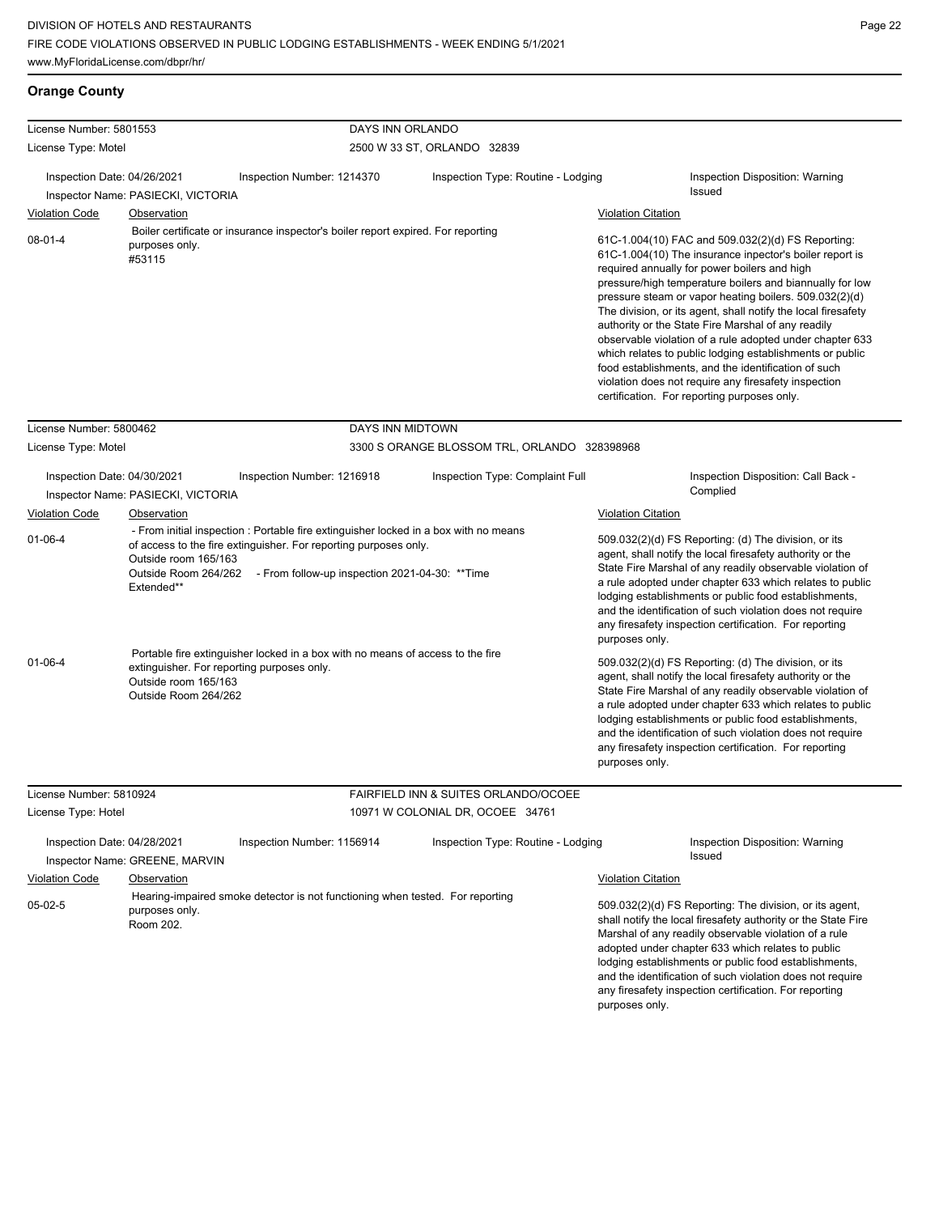# **Orange County**

| License Number: 5801553                                                                |                                                                                                                                         | DAYS INN ORLANDO                                                                                                                                                                                                                                                                                                                                                                              |                                                                          |                                                                                                                                                                                                                                                                                                                                                                                                                                                                                                                                                                                                                                                                                                                                                                                                                                                                                                  |
|----------------------------------------------------------------------------------------|-----------------------------------------------------------------------------------------------------------------------------------------|-----------------------------------------------------------------------------------------------------------------------------------------------------------------------------------------------------------------------------------------------------------------------------------------------------------------------------------------------------------------------------------------------|--------------------------------------------------------------------------|--------------------------------------------------------------------------------------------------------------------------------------------------------------------------------------------------------------------------------------------------------------------------------------------------------------------------------------------------------------------------------------------------------------------------------------------------------------------------------------------------------------------------------------------------------------------------------------------------------------------------------------------------------------------------------------------------------------------------------------------------------------------------------------------------------------------------------------------------------------------------------------------------|
| License Type: Motel                                                                    |                                                                                                                                         |                                                                                                                                                                                                                                                                                                                                                                                               | 2500 W 33 ST, ORLANDO 32839                                              |                                                                                                                                                                                                                                                                                                                                                                                                                                                                                                                                                                                                                                                                                                                                                                                                                                                                                                  |
| Inspection Date: 04/26/2021                                                            | Inspector Name: PASIECKI, VICTORIA                                                                                                      | Inspection Number: 1214370                                                                                                                                                                                                                                                                                                                                                                    | Inspection Type: Routine - Lodging                                       | Inspection Disposition: Warning<br>Issued                                                                                                                                                                                                                                                                                                                                                                                                                                                                                                                                                                                                                                                                                                                                                                                                                                                        |
| <b>Violation Code</b>                                                                  | <b>Observation</b>                                                                                                                      |                                                                                                                                                                                                                                                                                                                                                                                               |                                                                          | <b>Violation Citation</b>                                                                                                                                                                                                                                                                                                                                                                                                                                                                                                                                                                                                                                                                                                                                                                                                                                                                        |
| $08 - 01 - 4$                                                                          | purposes only.<br>#53115                                                                                                                | Boiler certificate or insurance inspector's boiler report expired. For reporting                                                                                                                                                                                                                                                                                                              |                                                                          | 61C-1.004(10) FAC and 509.032(2)(d) FS Reporting:<br>61C-1.004(10) The insurance inpector's boiler report is<br>required annually for power boilers and high<br>pressure/high temperature boilers and biannually for low<br>pressure steam or vapor heating boilers. 509.032(2)(d)<br>The division, or its agent, shall notify the local firesafety<br>authority or the State Fire Marshal of any readily<br>observable violation of a rule adopted under chapter 633<br>which relates to public lodging establishments or public<br>food establishments, and the identification of such<br>violation does not require any firesafety inspection<br>certification. For reporting purposes only.                                                                                                                                                                                                  |
| License Number: 5800462                                                                |                                                                                                                                         | DAYS INN MIDTOWN                                                                                                                                                                                                                                                                                                                                                                              |                                                                          |                                                                                                                                                                                                                                                                                                                                                                                                                                                                                                                                                                                                                                                                                                                                                                                                                                                                                                  |
| License Type: Motel                                                                    |                                                                                                                                         |                                                                                                                                                                                                                                                                                                                                                                                               | 3300 S ORANGE BLOSSOM TRL, ORLANDO 328398968                             |                                                                                                                                                                                                                                                                                                                                                                                                                                                                                                                                                                                                                                                                                                                                                                                                                                                                                                  |
| Inspection Date: 04/30/2021<br><b>Violation Code</b><br>$01 - 06 - 4$<br>$01 - 06 - 4$ | Inspector Name: PASIECKI, VICTORIA<br>Observation<br>Outside room 165/163<br>Extended**<br>Outside room 165/163<br>Outside Room 264/262 | Inspection Number: 1216918<br>- From initial inspection : Portable fire extinguisher locked in a box with no means<br>of access to the fire extinguisher. For reporting purposes only.<br>Outside Room 264/262 - From follow-up inspection 2021-04-30: **Time<br>Portable fire extinguisher locked in a box with no means of access to the fire<br>extinguisher. For reporting purposes only. | Inspection Type: Complaint Full                                          | Inspection Disposition: Call Back -<br>Complied<br><b>Violation Citation</b><br>509.032(2)(d) FS Reporting: (d) The division, or its<br>agent, shall notify the local firesafety authority or the<br>State Fire Marshal of any readily observable violation of<br>a rule adopted under chapter 633 which relates to public<br>lodging establishments or public food establishments,<br>and the identification of such violation does not require<br>any firesafety inspection certification. For reporting<br>purposes only.<br>509.032(2)(d) FS Reporting: (d) The division, or its<br>agent, shall notify the local firesafety authority or the<br>State Fire Marshal of any readily observable violation of<br>a rule adopted under chapter 633 which relates to public<br>lodging establishments or public food establishments,<br>and the identification of such violation does not require |
| License Number: 5810924<br>License Type: Hotel                                         |                                                                                                                                         |                                                                                                                                                                                                                                                                                                                                                                                               | FAIRFIELD INN & SUITES ORLANDO/OCOEE<br>10971 W COLONIAL DR, OCOEE 34761 | any firesafety inspection certification. For reporting<br>purposes only.                                                                                                                                                                                                                                                                                                                                                                                                                                                                                                                                                                                                                                                                                                                                                                                                                         |
| Inspection Date: 04/28/2021                                                            |                                                                                                                                         | Inspection Number: 1156914                                                                                                                                                                                                                                                                                                                                                                    | Inspection Type: Routine - Lodging                                       | Inspection Disposition: Warning                                                                                                                                                                                                                                                                                                                                                                                                                                                                                                                                                                                                                                                                                                                                                                                                                                                                  |
|                                                                                        | Inspector Name: GREENE, MARVIN                                                                                                          |                                                                                                                                                                                                                                                                                                                                                                                               |                                                                          | Issued                                                                                                                                                                                                                                                                                                                                                                                                                                                                                                                                                                                                                                                                                                                                                                                                                                                                                           |
| <b>Violation Code</b><br>$05-02-5$                                                     | Observation<br>purposes only.<br>Room 202.                                                                                              | Hearing-impaired smoke detector is not functioning when tested. For reporting                                                                                                                                                                                                                                                                                                                 |                                                                          | <b>Violation Citation</b><br>509.032(2)(d) FS Reporting: The division, or its agent,<br>shall notify the local firesafety authority or the State Fire<br>Marshal of any readily observable violation of a rule<br>adopted under chapter 633 which relates to public<br>lodging establishments or public food establishments,<br>and the identification of such violation does not require                                                                                                                                                                                                                                                                                                                                                                                                                                                                                                        |

any firesafety inspection certification. For reporting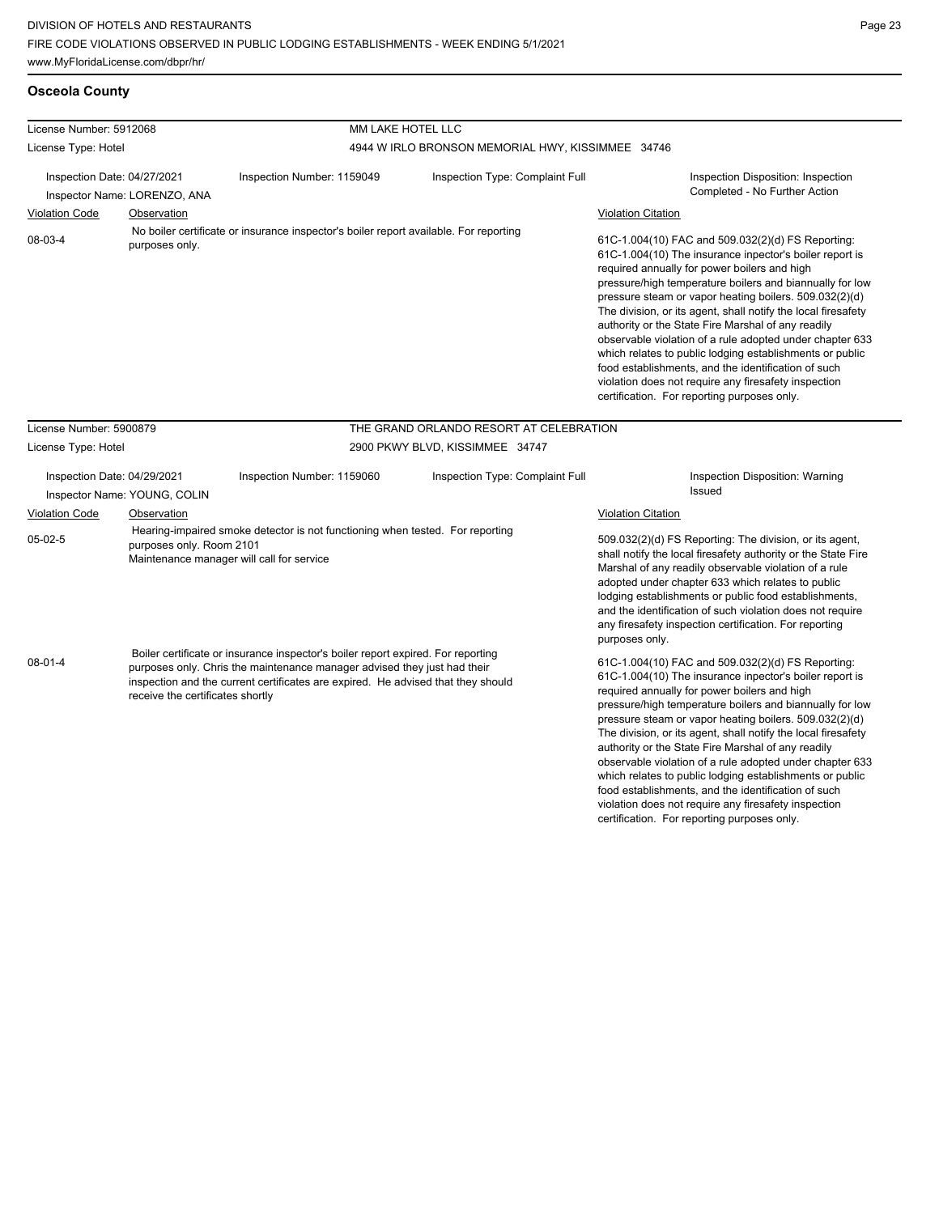#### **Osceola County**

| License Number: 5912068   |                                                             |                                                                                                                                                             | MM LAKE HOTEL LLC                                 |                                                                                                                                                                                                                                                                                                                                                                                                                                                                                                                                                                                                                                                                                                 |  |  |  |  |
|---------------------------|-------------------------------------------------------------|-------------------------------------------------------------------------------------------------------------------------------------------------------------|---------------------------------------------------|-------------------------------------------------------------------------------------------------------------------------------------------------------------------------------------------------------------------------------------------------------------------------------------------------------------------------------------------------------------------------------------------------------------------------------------------------------------------------------------------------------------------------------------------------------------------------------------------------------------------------------------------------------------------------------------------------|--|--|--|--|
| License Type: Hotel       |                                                             |                                                                                                                                                             | 4944 W IRLO BRONSON MEMORIAL HWY, KISSIMMEE 34746 |                                                                                                                                                                                                                                                                                                                                                                                                                                                                                                                                                                                                                                                                                                 |  |  |  |  |
|                           | Inspection Date: 04/27/2021                                 | Inspection Number: 1159049                                                                                                                                  | Inspection Type: Complaint Full                   | Inspection Disposition: Inspection                                                                                                                                                                                                                                                                                                                                                                                                                                                                                                                                                                                                                                                              |  |  |  |  |
|                           | Inspector Name: LORENZO, ANA                                |                                                                                                                                                             |                                                   | Completed - No Further Action                                                                                                                                                                                                                                                                                                                                                                                                                                                                                                                                                                                                                                                                   |  |  |  |  |
| <b>Violation Code</b>     | Observation                                                 |                                                                                                                                                             |                                                   | <b>Violation Citation</b>                                                                                                                                                                                                                                                                                                                                                                                                                                                                                                                                                                                                                                                                       |  |  |  |  |
| 08-03-4<br>purposes only. |                                                             | No boiler certificate or insurance inspector's boiler report available. For reporting                                                                       |                                                   | 61C-1.004(10) FAC and 509.032(2)(d) FS Reporting:<br>61C-1.004(10) The insurance inpector's boiler report is<br>required annually for power boilers and high<br>pressure/high temperature boilers and biannually for low<br>pressure steam or vapor heating boilers. 509.032(2)(d)<br>The division, or its agent, shall notify the local firesafety<br>authority or the State Fire Marshal of any readily<br>observable violation of a rule adopted under chapter 633<br>which relates to public lodging establishments or public<br>food establishments, and the identification of such<br>violation does not require any firesafety inspection<br>certification. For reporting purposes only. |  |  |  |  |
| License Number: 5900879   |                                                             |                                                                                                                                                             | THE GRAND ORLANDO RESORT AT CELEBRATION           |                                                                                                                                                                                                                                                                                                                                                                                                                                                                                                                                                                                                                                                                                                 |  |  |  |  |
| License Type: Hotel       |                                                             |                                                                                                                                                             | 2900 PKWY BLVD, KISSIMMEE 34747                   |                                                                                                                                                                                                                                                                                                                                                                                                                                                                                                                                                                                                                                                                                                 |  |  |  |  |
|                           | Inspection Date: 04/29/2021<br>Inspector Name: YOUNG, COLIN | Inspection Number: 1159060                                                                                                                                  | Inspection Type: Complaint Full                   | Inspection Disposition: Warning<br>Issued                                                                                                                                                                                                                                                                                                                                                                                                                                                                                                                                                                                                                                                       |  |  |  |  |
| <b>Violation Code</b>     | Observation                                                 |                                                                                                                                                             |                                                   | <b>Violation Citation</b>                                                                                                                                                                                                                                                                                                                                                                                                                                                                                                                                                                                                                                                                       |  |  |  |  |
| $05-02-5$                 | purposes only. Room 2101                                    | Hearing-impaired smoke detector is not functioning when tested. For reporting<br>Maintenance manager will call for service                                  |                                                   | 509.032(2)(d) FS Reporting: The division, or its agent,<br>shall notify the local firesafety authority or the State Fire<br>Marshal of any readily observable violation of a rule<br>adopted under chapter 633 which relates to public<br>lodging establishments or public food establishments,<br>and the identification of such violation does not require<br>any firesafety inspection certification. For reporting<br>purposes only.                                                                                                                                                                                                                                                        |  |  |  |  |
| $08-01-4$                 |                                                             | Boiler certificate or insurance inspector's boiler report expired. For reporting<br>purposes only Chris the maintenance manager advised they just had their |                                                   | 61C-1.004(10) FAC and 509.032(2)(d) FS Reporting:                                                                                                                                                                                                                                                                                                                                                                                                                                                                                                                                                                                                                                               |  |  |  |  |

purposes only. Chris the maintenance manager advised they just had their inspection and the current certificates are expired. He advised that they should receive the certificates shortly

61C-1.004(10) FAC and 509.032(2)(d) FS Reporting: 61C-1.004(10) The insurance inpector's boiler report is required annually for power boilers and high pressure/high temperature boilers and biannually for low pressure steam or vapor heating boilers. 509.032(2)(d) The division, or its agent, shall notify the local firesafety authority or the State Fire Marshal of any readily observable violation of a rule adopted under chapter 633 which relates to public lodging establishments or public food establishments, and the identification of such violation does not require any firesafety inspection certification. For reporting purposes only.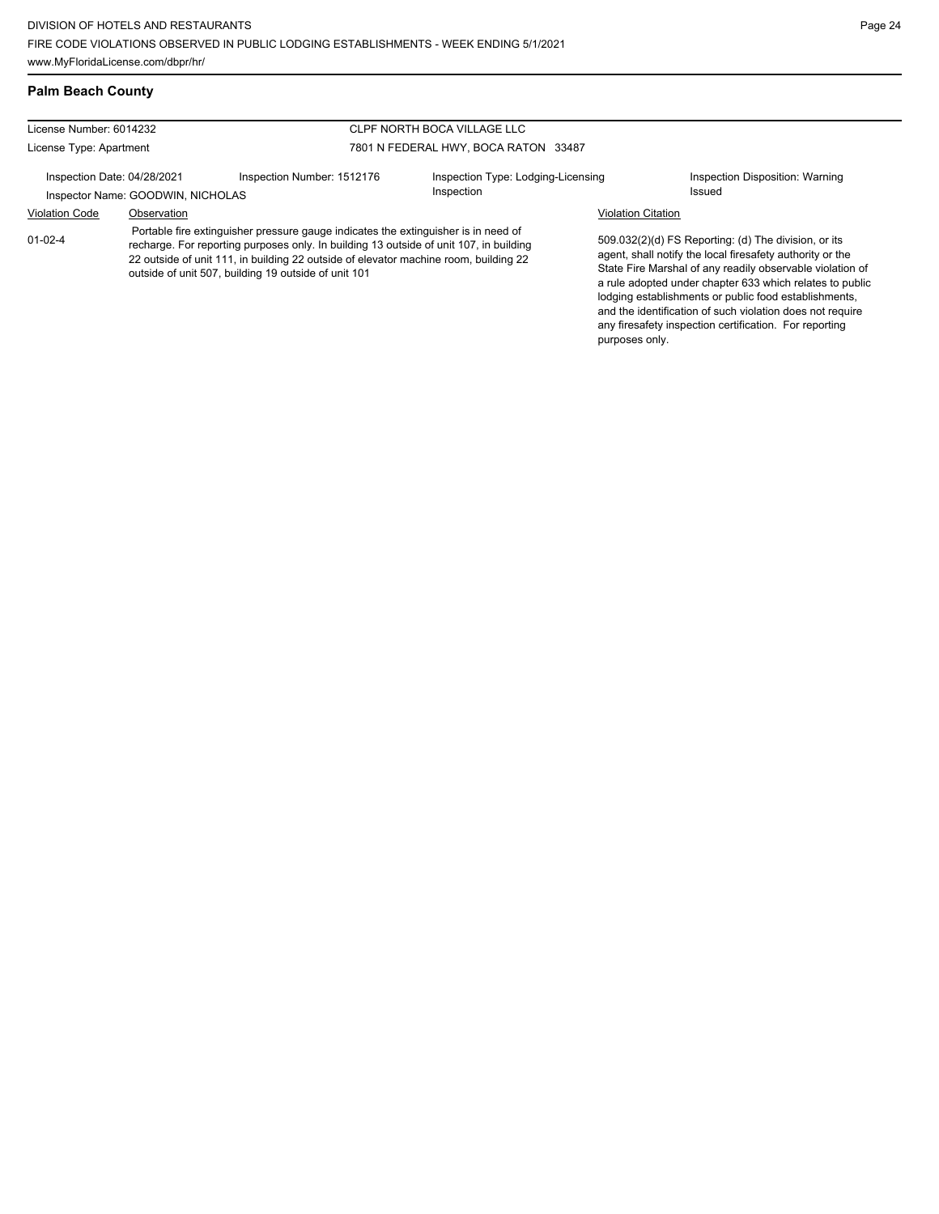#### **Palm Beach County**

#### License Number: 6014232 License Type: Apartment CLPF NORTH BOCA VILLAGE LLC 7801 N FEDERAL HWY, BOCA RATON 33487 Inspection Date: 04/28/2021 Inspection Number: 1512176 Inspection Type: Lodging-Licensing Inspection Inspection Disposition: Warning Inspector Name: GOODWIN, NICHOLAS **Inspection** Inspection **Inspection** Issued Violation Code Observation Violation Citation 509.032(2)(d) FS Reporting: (d) The division, or its agent, shall notify the local firesafety authority or the State Fire Marshal of any readily observable violation of a rule adopted under chapter 633 which relates to public lodging establishments or public food establishments, and the identification of such violation does not require any firesafety inspection certification. For reporting purposes only. 01-02-4 Portable fire extinguisher pressure gauge indicates the extinguisher is in need of recharge. For reporting purposes only. In building 13 outside of unit 107, in building 22 outside of unit 111, in building 22 outside of elevator machine room, building 22 outside of unit 507, building 19 outside of unit 101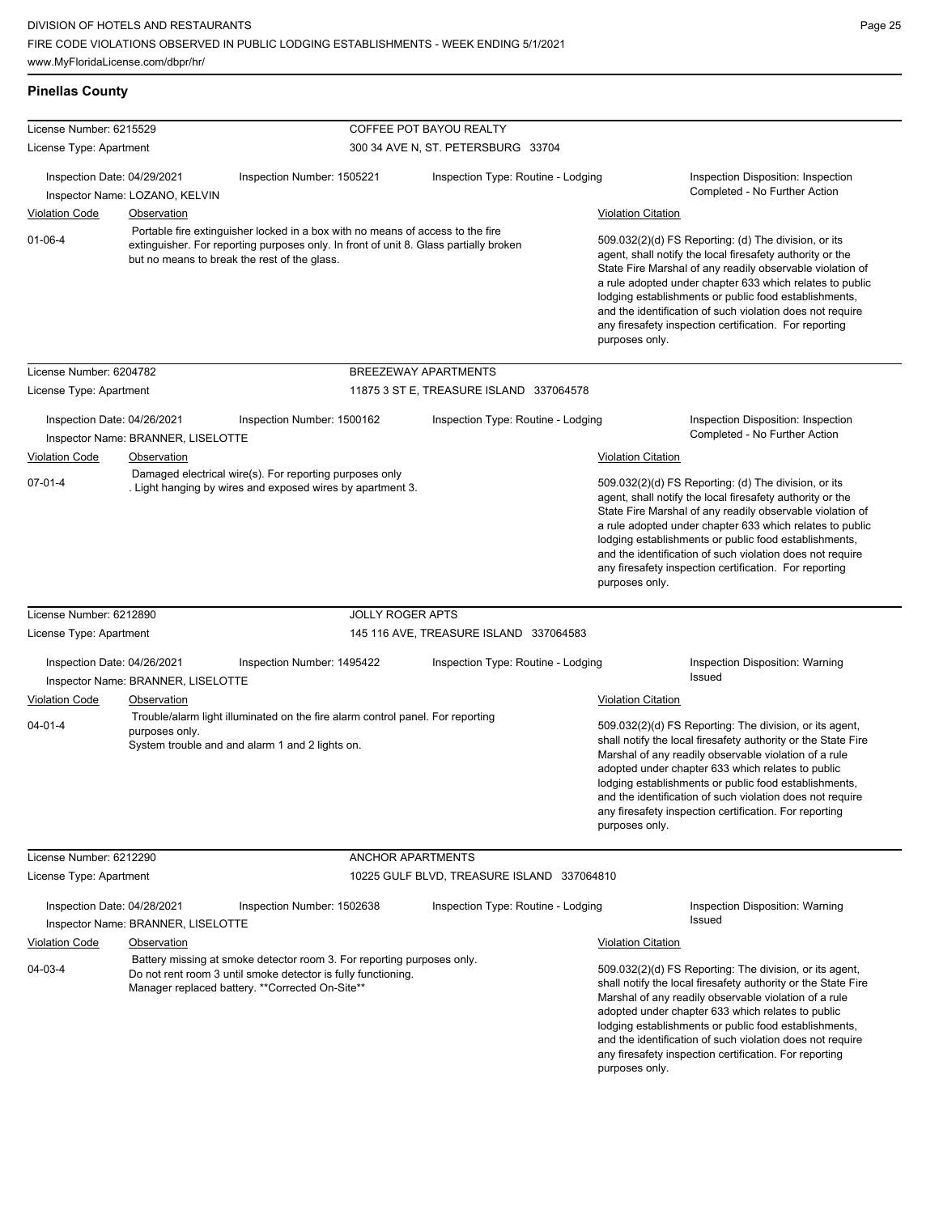| <b>Pinellas County</b>      |                                                                                                                                                                                            |                                                                                                                                       |                                            |                                                                                                                                                                                                                                                                                                                                                                                                                                              |                                                                                                                                                                                                                                                                                                                                                                                                                        |  |
|-----------------------------|--------------------------------------------------------------------------------------------------------------------------------------------------------------------------------------------|---------------------------------------------------------------------------------------------------------------------------------------|--------------------------------------------|----------------------------------------------------------------------------------------------------------------------------------------------------------------------------------------------------------------------------------------------------------------------------------------------------------------------------------------------------------------------------------------------------------------------------------------------|------------------------------------------------------------------------------------------------------------------------------------------------------------------------------------------------------------------------------------------------------------------------------------------------------------------------------------------------------------------------------------------------------------------------|--|
| License Number: 6215529     |                                                                                                                                                                                            |                                                                                                                                       | <b>COFFEE POT BAYOU REALTY</b>             |                                                                                                                                                                                                                                                                                                                                                                                                                                              |                                                                                                                                                                                                                                                                                                                                                                                                                        |  |
| License Type: Apartment     |                                                                                                                                                                                            |                                                                                                                                       | 300 34 AVE N, ST. PETERSBURG 33704         |                                                                                                                                                                                                                                                                                                                                                                                                                                              |                                                                                                                                                                                                                                                                                                                                                                                                                        |  |
| Inspection Date: 04/29/2021 |                                                                                                                                                                                            | Inspection Number: 1505221                                                                                                            | Inspection Type: Routine - Lodging         |                                                                                                                                                                                                                                                                                                                                                                                                                                              | Inspection Disposition: Inspection<br>Completed - No Further Action                                                                                                                                                                                                                                                                                                                                                    |  |
|                             | Inspector Name: LOZANO, KELVIN                                                                                                                                                             |                                                                                                                                       |                                            |                                                                                                                                                                                                                                                                                                                                                                                                                                              |                                                                                                                                                                                                                                                                                                                                                                                                                        |  |
| <b>Violation Code</b>       | Observation                                                                                                                                                                                | Portable fire extinguisher locked in a box with no means of access to the fire                                                        |                                            | <b>Violation Citation</b>                                                                                                                                                                                                                                                                                                                                                                                                                    |                                                                                                                                                                                                                                                                                                                                                                                                                        |  |
| $01 - 06 - 4$               |                                                                                                                                                                                            | extinguisher. For reporting purposes only. In front of unit 8. Glass partially broken<br>but no means to break the rest of the glass. |                                            | 509.032(2)(d) FS Reporting: (d) The division, or its<br>agent, shall notify the local firesafety authority or the<br>State Fire Marshal of any readily observable violation of<br>a rule adopted under chapter 633 which relates to public<br>lodging establishments or public food establishments,<br>and the identification of such violation does not require<br>any firesafety inspection certification. For reporting<br>purposes only. |                                                                                                                                                                                                                                                                                                                                                                                                                        |  |
| License Number: 6204782     |                                                                                                                                                                                            |                                                                                                                                       | BREEZEWAY APARTMENTS                       |                                                                                                                                                                                                                                                                                                                                                                                                                                              |                                                                                                                                                                                                                                                                                                                                                                                                                        |  |
| License Type: Apartment     |                                                                                                                                                                                            |                                                                                                                                       | 11875 3 ST E, TREASURE ISLAND 337064578    |                                                                                                                                                                                                                                                                                                                                                                                                                                              |                                                                                                                                                                                                                                                                                                                                                                                                                        |  |
|                             |                                                                                                                                                                                            |                                                                                                                                       |                                            |                                                                                                                                                                                                                                                                                                                                                                                                                                              |                                                                                                                                                                                                                                                                                                                                                                                                                        |  |
| Inspection Date: 04/26/2021 |                                                                                                                                                                                            | Inspection Number: 1500162                                                                                                            | Inspection Type: Routine - Lodging         |                                                                                                                                                                                                                                                                                                                                                                                                                                              | Inspection Disposition: Inspection<br>Completed - No Further Action                                                                                                                                                                                                                                                                                                                                                    |  |
|                             | Inspector Name: BRANNER, LISELOTTE<br>Observation                                                                                                                                          |                                                                                                                                       |                                            | <b>Violation Citation</b>                                                                                                                                                                                                                                                                                                                                                                                                                    |                                                                                                                                                                                                                                                                                                                                                                                                                        |  |
| <b>Violation Code</b>       |                                                                                                                                                                                            | Damaged electrical wire(s). For reporting purposes only                                                                               |                                            |                                                                                                                                                                                                                                                                                                                                                                                                                                              |                                                                                                                                                                                                                                                                                                                                                                                                                        |  |
|                             |                                                                                                                                                                                            | . Light hanging by wires and exposed wires by apartment 3.                                                                            |                                            |                                                                                                                                                                                                                                                                                                                                                                                                                                              | agent, shall notify the local firesafety authority or the<br>State Fire Marshal of any readily observable violation of<br>a rule adopted under chapter 633 which relates to public<br>lodging establishments or public food establishments,<br>and the identification of such violation does not require<br>any firesafety inspection certification. For reporting<br>purposes only.                                   |  |
| License Number: 6212890     |                                                                                                                                                                                            | <b>JOLLY ROGER APTS</b>                                                                                                               |                                            |                                                                                                                                                                                                                                                                                                                                                                                                                                              |                                                                                                                                                                                                                                                                                                                                                                                                                        |  |
| License Type: Apartment     |                                                                                                                                                                                            |                                                                                                                                       | 145 116 AVE, TREASURE ISLAND 337064583     |                                                                                                                                                                                                                                                                                                                                                                                                                                              |                                                                                                                                                                                                                                                                                                                                                                                                                        |  |
| Inspection Date: 04/26/2021 |                                                                                                                                                                                            | Inspection Number: 1495422                                                                                                            | Inspection Type: Routine - Lodging         |                                                                                                                                                                                                                                                                                                                                                                                                                                              | Inspection Disposition: Warning                                                                                                                                                                                                                                                                                                                                                                                        |  |
|                             | Inspector Name: BRANNER, LISELOTTE                                                                                                                                                         |                                                                                                                                       |                                            |                                                                                                                                                                                                                                                                                                                                                                                                                                              | Issued                                                                                                                                                                                                                                                                                                                                                                                                                 |  |
| <b>Violation Code</b>       | <b>Observation</b>                                                                                                                                                                         |                                                                                                                                       |                                            | <b>Violation Citation</b>                                                                                                                                                                                                                                                                                                                                                                                                                    |                                                                                                                                                                                                                                                                                                                                                                                                                        |  |
| $04 - 01 - 4$               | purposes only.                                                                                                                                                                             | Trouble/alarm light illuminated on the fire alarm control panel. For reporting<br>System trouble and and alarm 1 and 2 lights on.     |                                            | purposes only.                                                                                                                                                                                                                                                                                                                                                                                                                               | 509.032(2)(d) FS Reporting: The division, or its agent,<br>shall notify the local firesafety authority or the State Fire<br>Marshal of any readily observable violation of a rule<br>adopted under chapter 633 which relates to public<br>lodging establishments or public food establishments,<br>and the identification of such violation does not require<br>any firesafety inspection certification. For reporting |  |
| License Number: 6212290     |                                                                                                                                                                                            | ANCHOR APARTMENTS                                                                                                                     |                                            |                                                                                                                                                                                                                                                                                                                                                                                                                                              |                                                                                                                                                                                                                                                                                                                                                                                                                        |  |
| License Type: Apartment     |                                                                                                                                                                                            |                                                                                                                                       | 10225 GULF BLVD, TREASURE ISLAND 337064810 |                                                                                                                                                                                                                                                                                                                                                                                                                                              |                                                                                                                                                                                                                                                                                                                                                                                                                        |  |
| Inspection Date: 04/28/2021 |                                                                                                                                                                                            | Inspection Number: 1502638                                                                                                            | Inspection Type: Routine - Lodging         |                                                                                                                                                                                                                                                                                                                                                                                                                                              | Inspection Disposition: Warning                                                                                                                                                                                                                                                                                                                                                                                        |  |
|                             | Inspector Name: BRANNER, LISELOTTE                                                                                                                                                         |                                                                                                                                       |                                            |                                                                                                                                                                                                                                                                                                                                                                                                                                              | <b>Issued</b>                                                                                                                                                                                                                                                                                                                                                                                                          |  |
| <b>Violation Code</b>       | Observation                                                                                                                                                                                |                                                                                                                                       |                                            | <b>Violation Citation</b>                                                                                                                                                                                                                                                                                                                                                                                                                    |                                                                                                                                                                                                                                                                                                                                                                                                                        |  |
| 04-03-4                     | Battery missing at smoke detector room 3. For reporting purposes only.<br>Do not rent room 3 until smoke detector is fully functioning.<br>Manager replaced battery. **Corrected On-Site** |                                                                                                                                       |                                            | purposes only.                                                                                                                                                                                                                                                                                                                                                                                                                               | 509.032(2)(d) FS Reporting: The division, or its agent,<br>shall notify the local firesafety authority or the State Fire<br>Marshal of any readily observable violation of a rule<br>adopted under chapter 633 which relates to public<br>lodging establishments or public food establishments,<br>and the identification of such violation does not require<br>any firesafety inspection certification. For reporting |  |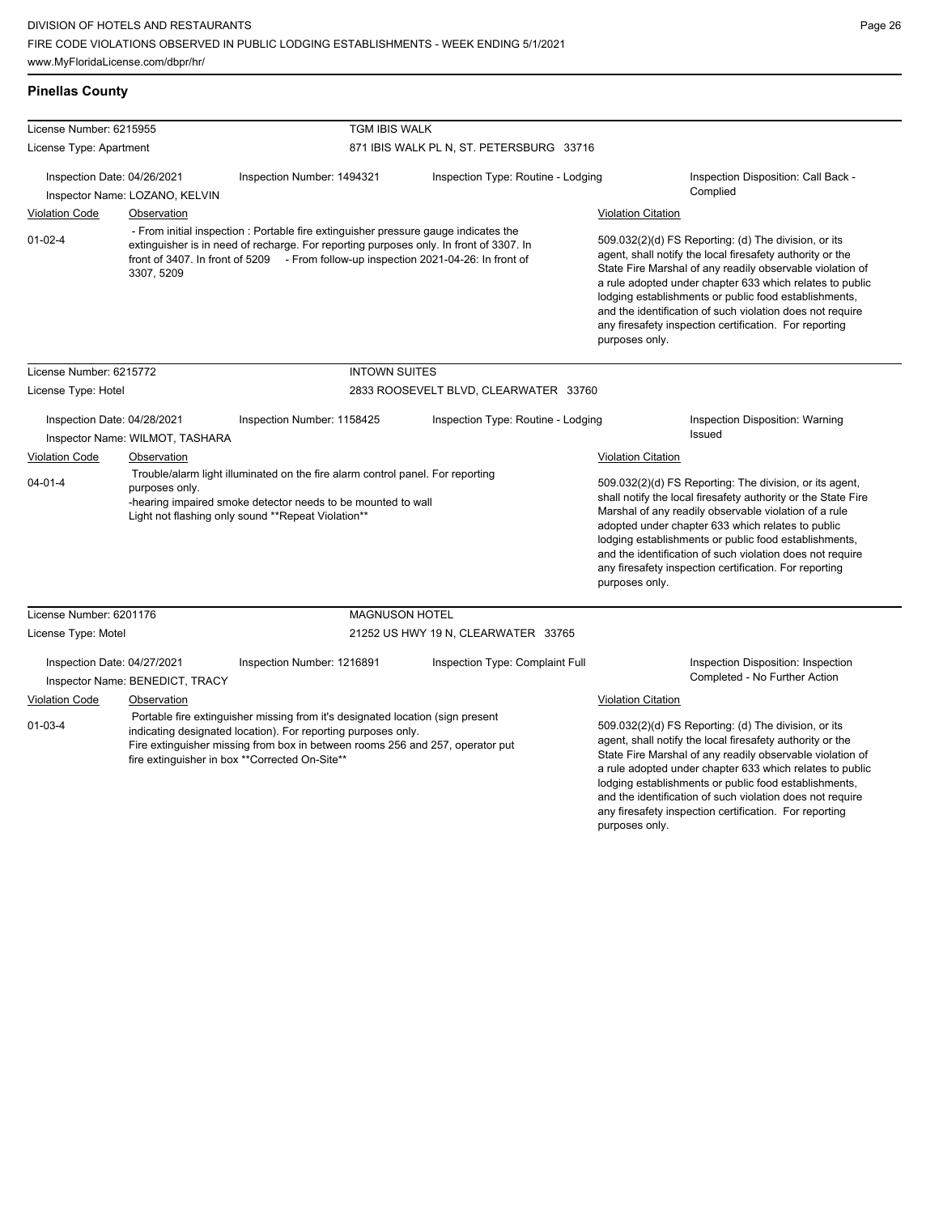any firesafety inspection certification. For reporting

| <b>Pinellas County</b> |  |
|------------------------|--|

| License Number: 6215955                                                                                                                                                                                                                                                                             |                                 | TGM IBIS WALK                                                                                                                                                                                                                                                        |                                          |                                                                                                                                                                                                                                                                                                                                                                                                                                                                           |                                                                                                                                                                                                                                                                                                                                                                  |
|-----------------------------------------------------------------------------------------------------------------------------------------------------------------------------------------------------------------------------------------------------------------------------------------------------|---------------------------------|----------------------------------------------------------------------------------------------------------------------------------------------------------------------------------------------------------------------------------------------------------------------|------------------------------------------|---------------------------------------------------------------------------------------------------------------------------------------------------------------------------------------------------------------------------------------------------------------------------------------------------------------------------------------------------------------------------------------------------------------------------------------------------------------------------|------------------------------------------------------------------------------------------------------------------------------------------------------------------------------------------------------------------------------------------------------------------------------------------------------------------------------------------------------------------|
| License Type: Apartment                                                                                                                                                                                                                                                                             |                                 |                                                                                                                                                                                                                                                                      | 871 IBIS WALK PL N, ST. PETERSBURG 33716 |                                                                                                                                                                                                                                                                                                                                                                                                                                                                           |                                                                                                                                                                                                                                                                                                                                                                  |
| Inspection Date: 04/26/2021                                                                                                                                                                                                                                                                         | Inspector Name: LOZANO, KELVIN  | Inspection Number: 1494321                                                                                                                                                                                                                                           | Inspection Type: Routine - Lodging       |                                                                                                                                                                                                                                                                                                                                                                                                                                                                           | Inspection Disposition: Call Back -<br>Complied                                                                                                                                                                                                                                                                                                                  |
| <b>Violation Code</b><br>$01 - 02 - 4$                                                                                                                                                                                                                                                              | Observation<br>3307, 5209       | - From initial inspection : Portable fire extinguisher pressure gauge indicates the<br>extinguisher is in need of recharge. For reporting purposes only. In front of 3307. In<br>front of 3407. In front of 5209 - From follow-up inspection 2021-04-26: In front of |                                          | <b>Violation Citation</b><br>509.032(2)(d) FS Reporting: (d) The division, or its<br>agent, shall notify the local firesafety authority or the<br>State Fire Marshal of any readily observable violation of<br>a rule adopted under chapter 633 which relates to public<br>lodging establishments or public food establishments,<br>and the identification of such violation does not require<br>any firesafety inspection certification. For reporting<br>purposes only. |                                                                                                                                                                                                                                                                                                                                                                  |
| License Number: 6215772                                                                                                                                                                                                                                                                             |                                 | <b>INTOWN SUITES</b>                                                                                                                                                                                                                                                 |                                          |                                                                                                                                                                                                                                                                                                                                                                                                                                                                           |                                                                                                                                                                                                                                                                                                                                                                  |
| License Type: Hotel                                                                                                                                                                                                                                                                                 |                                 |                                                                                                                                                                                                                                                                      | 2833 ROOSEVELT BLVD, CLEARWATER 33760    |                                                                                                                                                                                                                                                                                                                                                                                                                                                                           |                                                                                                                                                                                                                                                                                                                                                                  |
| Inspection Date: 04/28/2021<br>Inspector Name: WILMOT, TASHARA                                                                                                                                                                                                                                      |                                 | Inspection Number: 1158425                                                                                                                                                                                                                                           | Inspection Type: Routine - Lodging       |                                                                                                                                                                                                                                                                                                                                                                                                                                                                           | Inspection Disposition: Warning<br>Issued                                                                                                                                                                                                                                                                                                                        |
| <b>Violation Code</b>                                                                                                                                                                                                                                                                               | Observation                     | Trouble/alarm light illuminated on the fire alarm control panel. For reporting<br>-hearing impaired smoke detector needs to be mounted to wall<br>Light not flashing only sound **Repeat Violation**                                                                 |                                          | <b>Violation Citation</b>                                                                                                                                                                                                                                                                                                                                                                                                                                                 |                                                                                                                                                                                                                                                                                                                                                                  |
| $04 - 01 - 4$                                                                                                                                                                                                                                                                                       | purposes only.                  |                                                                                                                                                                                                                                                                      |                                          | 509.032(2)(d) FS Reporting: The division, or its agent,<br>shall notify the local firesafety authority or the State Fire<br>Marshal of any readily observable violation of a rule<br>adopted under chapter 633 which relates to public<br>lodging establishments or public food establishments,<br>and the identification of such violation does not require<br>any firesafety inspection certification. For reporting<br>purposes only.                                  |                                                                                                                                                                                                                                                                                                                                                                  |
| License Number: 6201176                                                                                                                                                                                                                                                                             |                                 | <b>MAGNUSON HOTEL</b>                                                                                                                                                                                                                                                |                                          |                                                                                                                                                                                                                                                                                                                                                                                                                                                                           |                                                                                                                                                                                                                                                                                                                                                                  |
| License Type: Motel                                                                                                                                                                                                                                                                                 |                                 |                                                                                                                                                                                                                                                                      | 21252 US HWY 19 N, CLEARWATER 33765      |                                                                                                                                                                                                                                                                                                                                                                                                                                                                           |                                                                                                                                                                                                                                                                                                                                                                  |
| Inspection Date: 04/27/2021                                                                                                                                                                                                                                                                         | Inspector Name: BENEDICT, TRACY | Inspection Number: 1216891                                                                                                                                                                                                                                           | Inspection Type: Complaint Full          |                                                                                                                                                                                                                                                                                                                                                                                                                                                                           | Inspection Disposition: Inspection<br>Completed - No Further Action                                                                                                                                                                                                                                                                                              |
| Violation Code                                                                                                                                                                                                                                                                                      | Observation                     |                                                                                                                                                                                                                                                                      |                                          | Violation Citation                                                                                                                                                                                                                                                                                                                                                                                                                                                        |                                                                                                                                                                                                                                                                                                                                                                  |
| Portable fire extinguisher missing from it's designated location (sign present<br>$01 - 03 - 4$<br>indicating designated location). For reporting purposes only.<br>Fire extinguisher missing from box in between rooms 256 and 257, operator put<br>fire extinguisher in box **Corrected On-Site** |                                 |                                                                                                                                                                                                                                                                      |                                          |                                                                                                                                                                                                                                                                                                                                                                                                                                                                           | 509.032(2)(d) FS Reporting: (d) The division, or its<br>agent, shall notify the local firesafety authority or the<br>State Fire Marshal of any readily observable violation of<br>a rule adopted under chapter 633 which relates to public<br>lodging establishments or public food establishments,<br>and the identification of such violation does not require |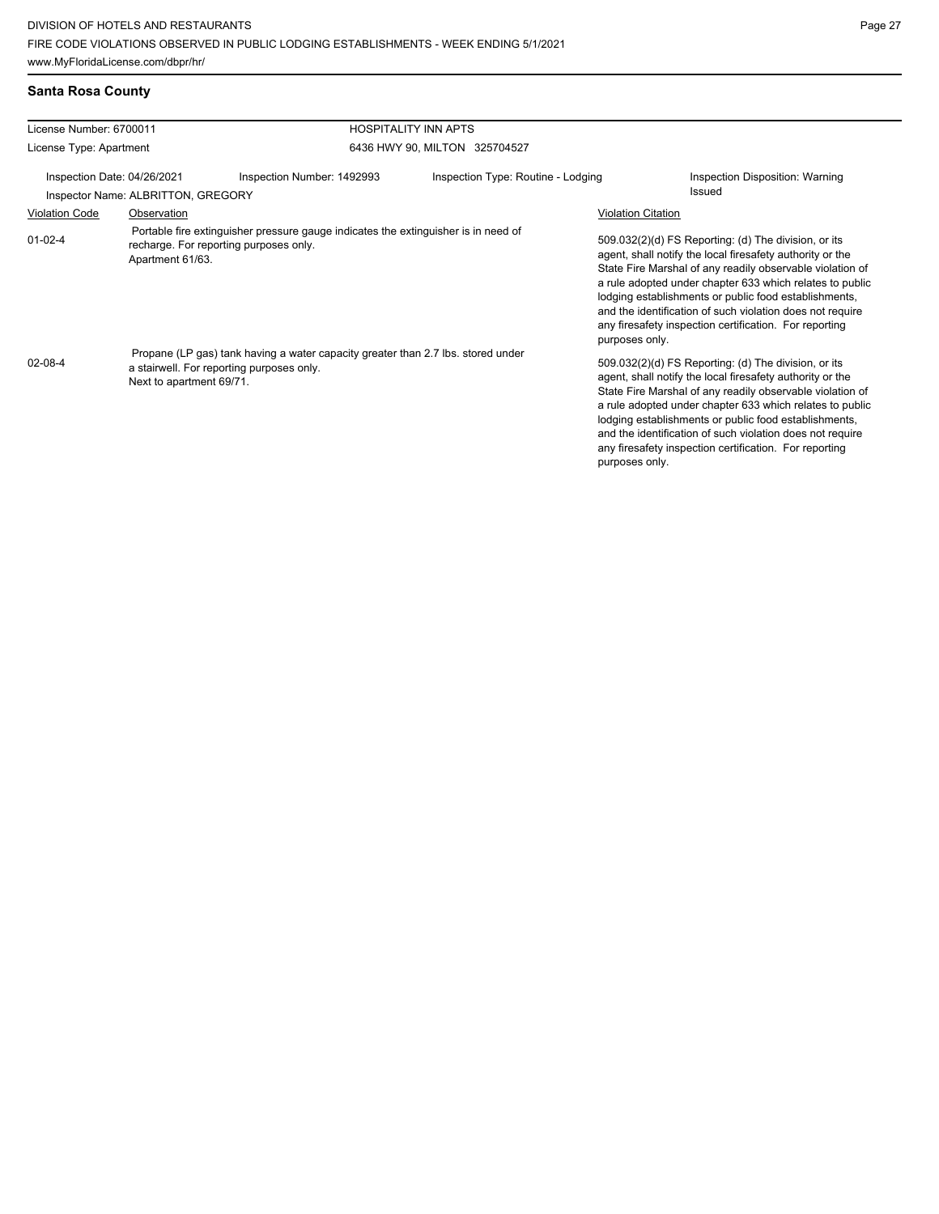|  | Santa Rosa County |
|--|-------------------|
|  |                   |

| License Number: 6700011     |                                    | <b>HOSPITALITY INN APTS</b>                                                                                                   |                                    |                                                                                                                                                                                                                                                                                                                                                                                                                                              |                                 |  |
|-----------------------------|------------------------------------|-------------------------------------------------------------------------------------------------------------------------------|------------------------------------|----------------------------------------------------------------------------------------------------------------------------------------------------------------------------------------------------------------------------------------------------------------------------------------------------------------------------------------------------------------------------------------------------------------------------------------------|---------------------------------|--|
| License Type: Apartment     |                                    |                                                                                                                               | 6436 HWY 90, MILTON 325704527      |                                                                                                                                                                                                                                                                                                                                                                                                                                              |                                 |  |
| Inspection Date: 04/26/2021 | Inspector Name: ALBRITTON, GREGORY | Inspection Number: 1492993                                                                                                    | Inspection Type: Routine - Lodging | Issued                                                                                                                                                                                                                                                                                                                                                                                                                                       | Inspection Disposition: Warning |  |
| <b>Violation Code</b>       | Observation                        |                                                                                                                               |                                    | <b>Violation Citation</b>                                                                                                                                                                                                                                                                                                                                                                                                                    |                                 |  |
| $01 - 02 - 4$               | Apartment 61/63.                   | Portable fire extinguisher pressure gauge indicates the extinguisher is in need of<br>recharge. For reporting purposes only.  |                                    | 509.032(2)(d) FS Reporting: (d) The division, or its<br>agent, shall notify the local firesafety authority or the<br>State Fire Marshal of any readily observable violation of<br>a rule adopted under chapter 633 which relates to public<br>lodging establishments or public food establishments,<br>and the identification of such violation does not require<br>any firesafety inspection certification. For reporting<br>purposes only. |                                 |  |
| $02 - 08 - 4$               | Next to apartment 69/71.           | Propane (LP gas) tank having a water capacity greater than 2.7 lbs. stored under<br>a stairwell. For reporting purposes only. |                                    | 509.032(2)(d) FS Reporting: (d) The division, or its<br>agent, shall notify the local firesafety authority or the<br>State Fire Marshal of any readily observable violation of<br>a rule adopted under chapter 633 which relates to public<br>lodging establishments or public food establishments,<br>and the identification of such violation does not require<br>any firesafety inspection certification. For reporting<br>purposes only. |                                 |  |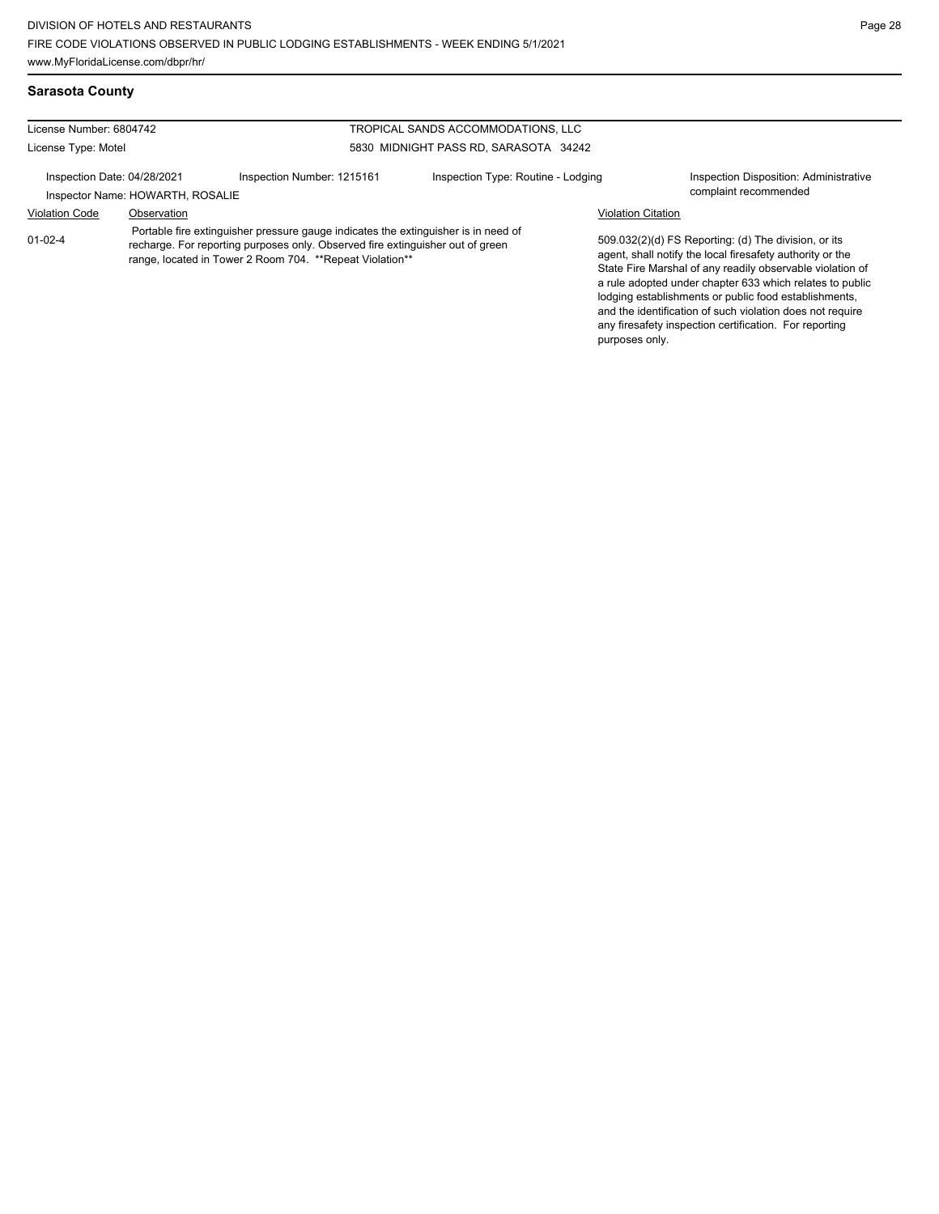# **Sarasota County**

| License Number: 6804742     |                                  |                                                                                                                                                                                                                                   | TROPICAL SANDS ACCOMMODATIONS, LLC    |                           |                                                                                                                                                                                                                                                                                                                                                                                                                            |
|-----------------------------|----------------------------------|-----------------------------------------------------------------------------------------------------------------------------------------------------------------------------------------------------------------------------------|---------------------------------------|---------------------------|----------------------------------------------------------------------------------------------------------------------------------------------------------------------------------------------------------------------------------------------------------------------------------------------------------------------------------------------------------------------------------------------------------------------------|
| License Type: Motel         |                                  |                                                                                                                                                                                                                                   | 5830 MIDNIGHT PASS RD. SARASOTA 34242 |                           |                                                                                                                                                                                                                                                                                                                                                                                                                            |
| Inspection Date: 04/28/2021 | Inspector Name: HOWARTH, ROSALIE | Inspection Number: 1215161                                                                                                                                                                                                        | Inspection Type: Routine - Lodging    |                           | Inspection Disposition: Administrative<br>complaint recommended                                                                                                                                                                                                                                                                                                                                                            |
| <b>Violation Code</b>       | Observation                      |                                                                                                                                                                                                                                   |                                       | <b>Violation Citation</b> |                                                                                                                                                                                                                                                                                                                                                                                                                            |
| $01 - 02 - 4$               |                                  | Portable fire extinguisher pressure gauge indicates the extinguisher is in need of<br>recharge. For reporting purposes only. Observed fire extinguisher out of green<br>range, located in Tower 2 Room 704. ** Repeat Violation** |                                       |                           | 509.032(2)(d) FS Reporting: (d) The division, or its<br>agent, shall notify the local firesafety authority or the<br>State Fire Marshal of any readily observable violation of<br>a rule adopted under chapter 633 which relates to public<br>lodging establishments or public food establishments,<br>and the identification of such violation does not require<br>any firesafety inspection certification. For reporting |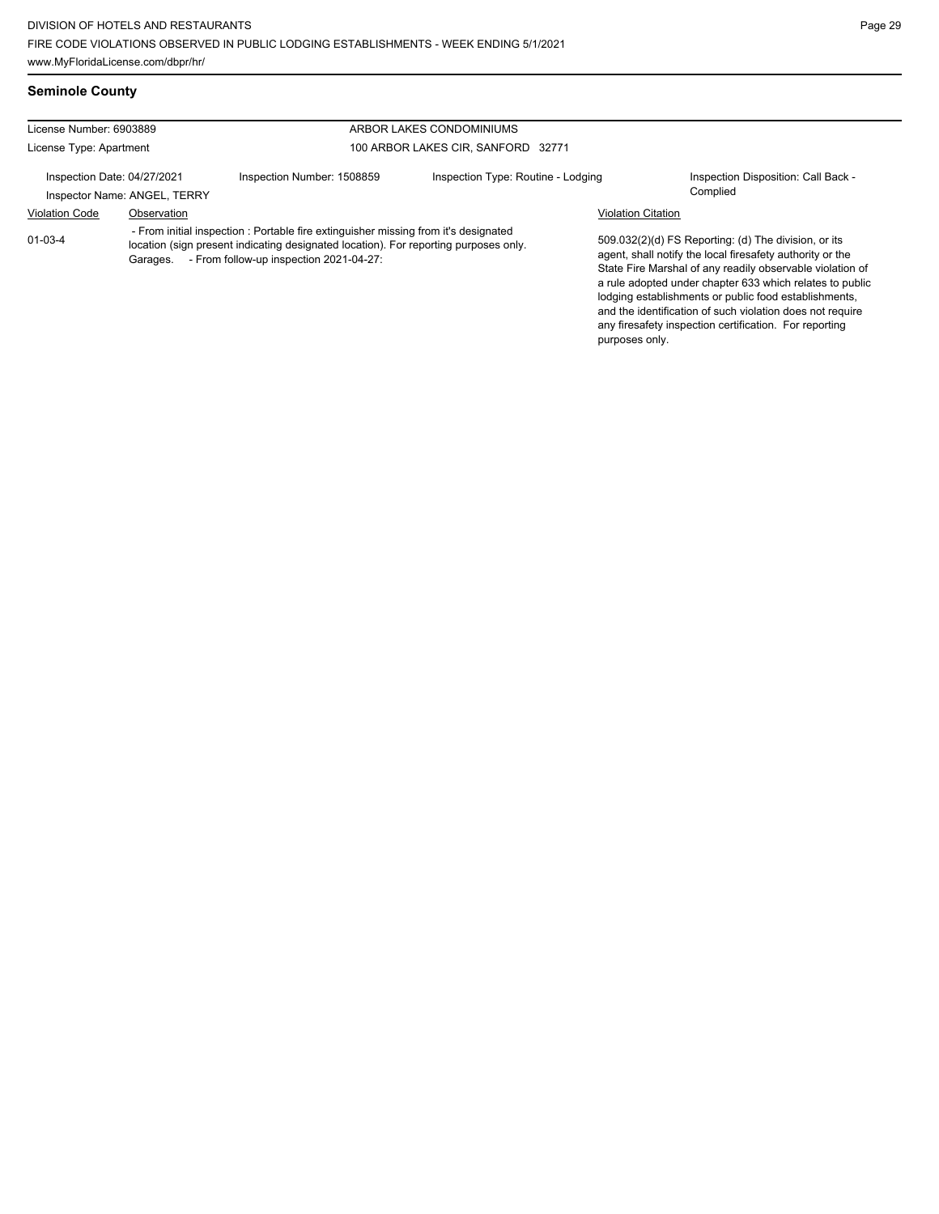**Seminole County**

| License Number: 6903889     |                              |                                                                                                                                                                                                                        | ARBOR LAKES CONDOMINIUMS           |                           |                                                                                                                                                                                                                                                                                                                                                                                                                            |
|-----------------------------|------------------------------|------------------------------------------------------------------------------------------------------------------------------------------------------------------------------------------------------------------------|------------------------------------|---------------------------|----------------------------------------------------------------------------------------------------------------------------------------------------------------------------------------------------------------------------------------------------------------------------------------------------------------------------------------------------------------------------------------------------------------------------|
| License Type: Apartment     |                              |                                                                                                                                                                                                                        | 100 ARBOR LAKES CIR, SANFORD 32771 |                           |                                                                                                                                                                                                                                                                                                                                                                                                                            |
| Inspection Date: 04/27/2021 | Inspector Name: ANGEL, TERRY | Inspection Number: 1508859                                                                                                                                                                                             | Inspection Type: Routine - Lodging |                           | Inspection Disposition: Call Back -<br>Complied                                                                                                                                                                                                                                                                                                                                                                            |
| <b>Violation Code</b>       | Observation                  |                                                                                                                                                                                                                        |                                    | <b>Violation Citation</b> |                                                                                                                                                                                                                                                                                                                                                                                                                            |
| $01 - 03 - 4$               | Garages.                     | - From initial inspection : Portable fire extinguisher missing from it's designated<br>location (sign present indicating designated location). For reporting purposes only.<br>- From follow-up inspection 2021-04-27: |                                    |                           | 509.032(2)(d) FS Reporting: (d) The division, or its<br>agent, shall notify the local firesafety authority or the<br>State Fire Marshal of any readily observable violation of<br>a rule adopted under chapter 633 which relates to public<br>lodging establishments or public food establishments,<br>and the identification of such violation does not require<br>any firesafety inspection certification. For reporting |